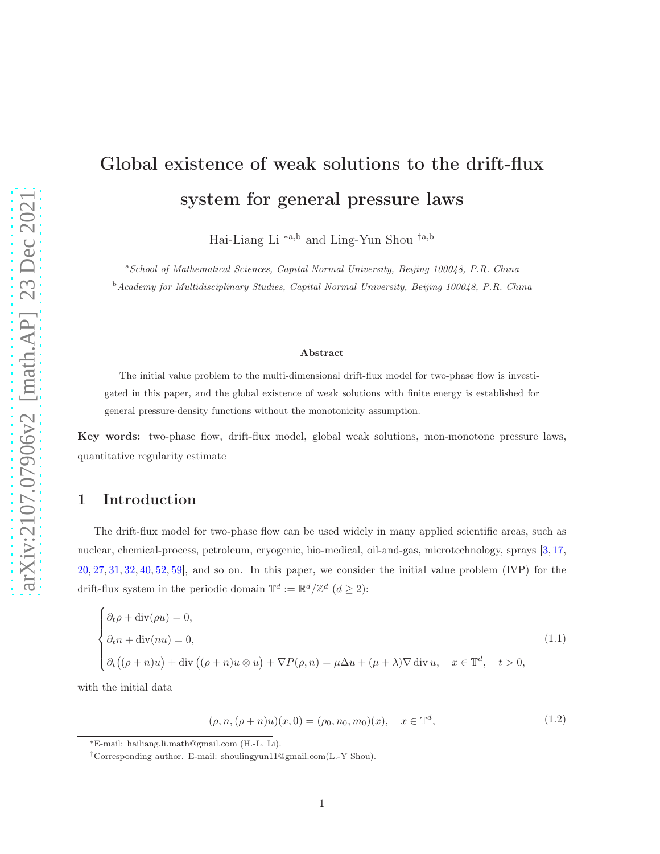# Global existence of weak solutions to the drift-flux system for general pressure laws

Hai-Liang Li ∗a,b and Ling-Yun Shou †a,b

<sup>a</sup>School of Mathematical Sciences, Capital Normal University, Beijing 100048, P.R. China  $b$ Academy for Multidisciplinary Studies, Capital Normal University, Beijing 100048, P.R. China

#### Abstract

The initial value problem to the multi-dimensional drift-flux model for two-phase flow is investigated in this paper, and the global existence of weak solutions with finite energy is established for general pressure-density functions without the monotonicity assumption.

Key words: two-phase flow, drift-flux model, global weak solutions, mon-monotone pressure laws, quantitative regularity estimate

## 1 Introduction

The drift-flux model for two-phase flow can be used widely in many applied scientific areas, such as nuclear, chemical-process, petroleum, cryogenic, bio-medical, oil-and-gas, microtechnology, sprays [\[3,](#page-37-0) [17,](#page-38-0) [20,](#page-39-0) [27,](#page-39-1) [31,](#page-39-2) [32,](#page-39-3) [40,](#page-40-0) [52,](#page-41-0) [59\]](#page-41-1), and so on. In this paper, we consider the initial value problem (IVP) for the drift-flux system in the periodic domain  $\mathbb{T}^d := \mathbb{R}^d / \mathbb{Z}^d$   $(d \geq 2)$ :

<span id="page-0-0"></span>
$$
\begin{cases}\n\partial_t \rho + \text{div}(\rho u) = 0, \\
\partial_t n + \text{div}(nu) = 0, \\
\partial_t ((\rho + n)u) + \text{div}((\rho + n)u \otimes u) + \nabla P(\rho, n) = \mu \Delta u + (\mu + \lambda) \nabla \text{div} u, \quad x \in \mathbb{T}^d, \quad t > 0,\n\end{cases}
$$
\n(1.1)

<span id="page-0-1"></span>with the initial data

$$
(\rho, n, (\rho + n)u)(x, 0) = (\rho_0, n_0, m_0)(x), \quad x \in \mathbb{T}^d,
$$
\n(1.2)

<sup>∗</sup>E-mail: hailiang.li.math@gmail.com (H.-L. Li).

<sup>†</sup>Corresponding author. E-mail: shoulingyun11@gmail.com(L.-Y Shou).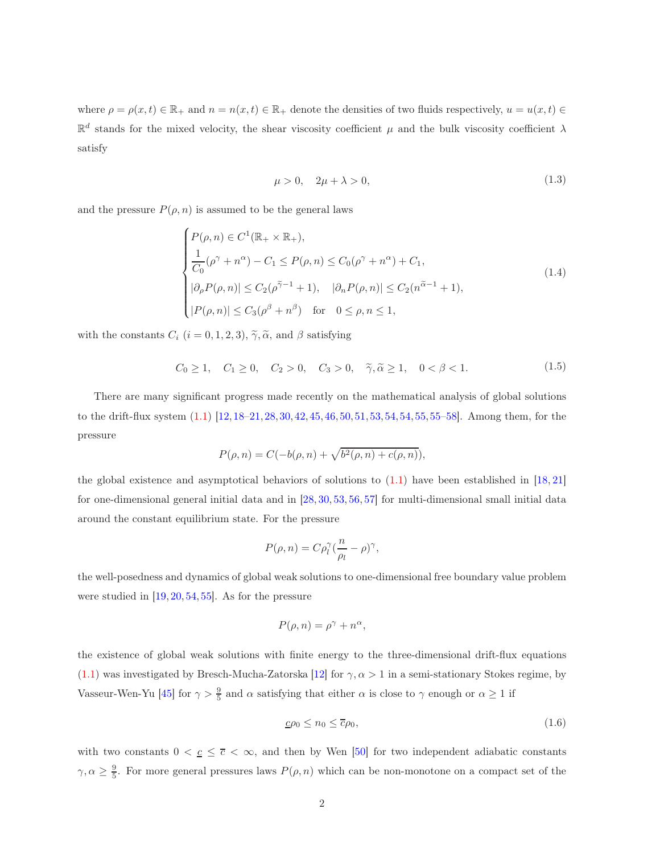where  $\rho = \rho(x, t) \in \mathbb{R}_+$  and  $n = n(x, t) \in \mathbb{R}_+$  denote the densities of two fluids respectively,  $u = u(x, t) \in$  $\mathbb{R}^d$  stands for the mixed velocity, the shear viscosity coefficient  $\mu$  and the bulk viscosity coefficient  $\lambda$ satisfy

$$
\mu > 0, \quad 2\mu + \lambda > 0,\tag{1.3}
$$

<span id="page-1-2"></span>and the pressure  $P(\rho, n)$  is assumed to be the general laws

<span id="page-1-1"></span>
$$
\begin{cases}\nP(\rho, n) \in C^1(\mathbb{R}_+ \times \mathbb{R}_+), \\
\frac{1}{C_0}(\rho^\gamma + n^\alpha) - C_1 \le P(\rho, n) \le C_0(\rho^\gamma + n^\alpha) + C_1, \\
|\partial_\rho P(\rho, n)| \le C_2(\rho^{\widetilde{\gamma}-1} + 1), \quad |\partial_n P(\rho, n)| \le C_2(n^{\widetilde{\alpha}-1} + 1), \\
|P(\rho, n)| \le C_3(\rho^\beta + n^\beta) \quad \text{for} \quad 0 \le \rho, n \le 1,\n\end{cases} \tag{1.4}
$$

with the constants  $C_i$   $(i = 0, 1, 2, 3)$ ,  $\tilde{\gamma}$ ,  $\tilde{\alpha}$ , and  $\beta$  satisfying

$$
C_0 \ge 1
$$
,  $C_1 \ge 0$ ,  $C_2 > 0$ ,  $C_3 > 0$ ,  $\tilde{\gamma}, \tilde{\alpha} \ge 1$ ,  $0 < \beta < 1$ . (1.5)

There are many significant progress made recently on the mathematical analysis of global solutions to the drift-flux system [\(1.1\)](#page-0-0) [\[12,](#page-38-1)[18–](#page-38-2)[21,](#page-39-4)[28,](#page-39-5)[30,](#page-39-6)[42,](#page-40-1)[45,](#page-40-2)[46,](#page-40-3)[50,](#page-41-2)[51,](#page-41-3)[53,](#page-41-4)[54,54,](#page-41-5)[55,55–](#page-41-6)[58\]](#page-41-7). Among them, for the pressure

$$
P(\rho, n) = C(-b(\rho, n) + \sqrt{b^2(\rho, n) + c(\rho, n)}),
$$

the global existence and asymptotical behaviors of solutions to  $(1.1)$  have been established in [\[18,](#page-38-2) [21\]](#page-39-4) for one-dimensional general initial data and in [\[28,](#page-39-5) [30,](#page-39-6) [53,](#page-41-4) [56,](#page-41-8) [57\]](#page-41-9) for multi-dimensional small initial data around the constant equilibrium state. For the pressure

$$
P(\rho, n) = C\rho_l^{\gamma}(\frac{n}{\rho_l} - \rho)^{\gamma},
$$

the well-posedness and dynamics of global weak solutions to one-dimensional free boundary value problem were studied in  $[19, 20, 54, 55]$  $[19, 20, 54, 55]$  $[19, 20, 54, 55]$  $[19, 20, 54, 55]$  $[19, 20, 54, 55]$  $[19, 20, 54, 55]$ . As for the pressure

$$
P(\rho, n) = \rho^{\gamma} + n^{\alpha},
$$

the existence of global weak solutions with finite energy to the three-dimensional drift-flux equations [\(1.1\)](#page-0-0) was investigated by Bresch-Mucha-Zatorska [\[12\]](#page-38-1) for  $\gamma, \alpha > 1$  in a semi-stationary Stokes regime, by Vasseur-Wen-Yu [\[45\]](#page-40-2) for  $\gamma > \frac{9}{5}$  and  $\alpha$  satisfying that either  $\alpha$  is close to  $\gamma$  enough or  $\alpha \ge 1$  if

<span id="page-1-0"></span>
$$
\underline{c}\rho_0 \le n_0 \le \overline{c}\rho_0,\tag{1.6}
$$

with two constants  $0 < \underline{c} \leq \overline{c} < \infty$ , and then by Wen [\[50\]](#page-41-2) for two independent adiabatic constants  $\gamma, \alpha \geq \frac{9}{5}$ . For more general pressures laws  $P(\rho, n)$  which can be non-monotone on a compact set of the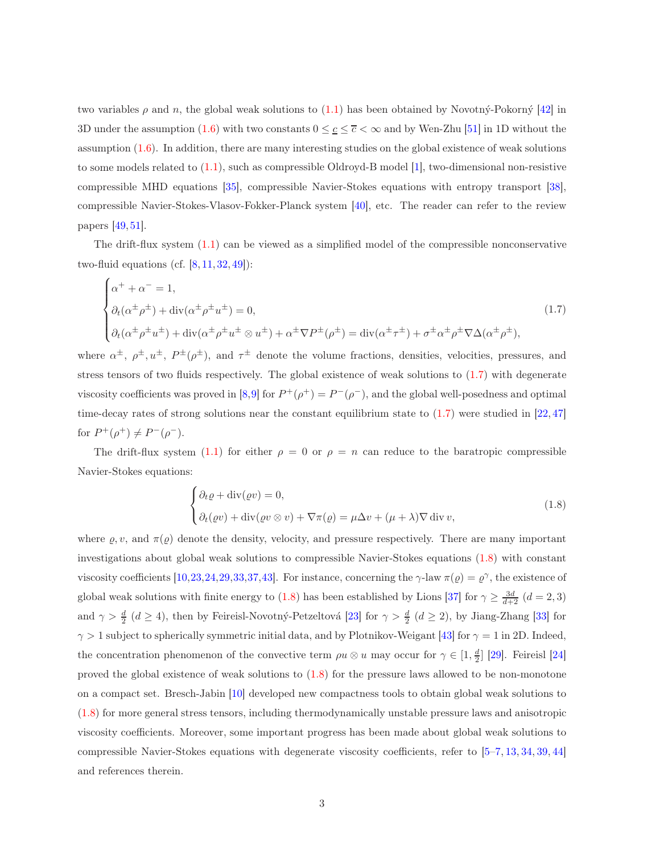two variables  $\rho$  and n, the global weak solutions to [\(1.1\)](#page-0-0) has been obtained by Novotný-Pokorný [\[42\]](#page-40-1) in 3D under the assumption [\(1.6\)](#page-1-0) with two constants  $0 \leq \underline{c} \leq \overline{c} \leq \infty$  and by Wen-Zhu [\[51\]](#page-41-3) in 1D without the assumption [\(1.6\)](#page-1-0). In addition, there are many interesting studies on the global existence of weak solutions to some models related to  $(1.1)$ , such as compressible Oldroyd-B model  $[1]$ , two-dimensional non-resistive compressible MHD equations [\[35\]](#page-40-4), compressible Navier-Stokes equations with entropy transport [\[38\]](#page-40-5), compressible Navier-Stokes-Vlasov-Fokker-Planck system [\[40\]](#page-40-0), etc. The reader can refer to the review papers [\[49,](#page-41-10) [51\]](#page-41-3).

The drift-flux system [\(1.1\)](#page-0-0) can be viewed as a simplified model of the compressible nonconservative two-fluid equations (cf.  $[8, 11, 32, 49]$  $[8, 11, 32, 49]$  $[8, 11, 32, 49]$  $[8, 11, 32, 49]$  $[8, 11, 32, 49]$  $[8, 11, 32, 49]$ ):

<span id="page-2-0"></span>
$$
\begin{cases}\n\alpha^{+} + \alpha^{-} = 1, \\
\partial_{t}(\alpha^{\pm}\rho^{\pm}) + \operatorname{div}(\alpha^{\pm}\rho^{\pm}u^{\pm}) = 0, \\
\partial_{t}(\alpha^{\pm}\rho^{\pm}u^{\pm}) + \operatorname{div}(\alpha^{\pm}\rho^{\pm}u^{\pm} \otimes u^{\pm}) + \alpha^{\pm}\nabla P^{\pm}(\rho^{\pm}) = \operatorname{div}(\alpha^{\pm}\tau^{\pm}) + \sigma^{\pm}\alpha^{\pm}\rho^{\pm}\nabla\Delta(\alpha^{\pm}\rho^{\pm}),\n\end{cases}
$$
\n(1.7)

where  $\alpha^{\pm}, \rho^{\pm}, u^{\pm}, P^{\pm}(\rho^{\pm}),$  and  $\tau^{\pm}$  denote the volume fractions, densities, velocities, pressures, and stress tensors of two fluids respectively. The global existence of weak solutions to  $(1.7)$  with degenerate viscosity coefficients was proved in [\[8,](#page-38-4)[9\]](#page-38-6) for  $P^+(\rho^+) = P^-(\rho^-)$ , and the global well-posedness and optimal time-decay rates of strong solutions near the constant equilibrium state to  $(1.7)$  were studied in  $[22, 47]$  $[22, 47]$ for  $P^+(\rho^+) \neq P^-(\rho^-)$ .

The drift-flux system [\(1.1\)](#page-0-0) for either  $\rho = 0$  or  $\rho = n$  can reduce to the baratropic compressible Navier-Stokes equations:

<span id="page-2-1"></span>
$$
\begin{cases} \partial_t \varrho + \operatorname{div}(\varrho v) = 0, \\ \partial_t(\varrho v) + \operatorname{div}(\varrho v \otimes v) + \nabla \pi(\varrho) = \mu \Delta v + (\mu + \lambda) \nabla \operatorname{div} v, \end{cases}
$$
(1.8)

where  $\varrho, v$ , and  $\pi(\varrho)$  denote the density, velocity, and pressure respectively. There are many important investigations about global weak solutions to compressible Navier-Stokes equations [\(1.8\)](#page-2-1) with constant viscosity coefficients [\[10,](#page-38-7)[23,](#page-39-8)[24,](#page-39-9)[29,](#page-39-10)[33,](#page-39-11)[37,](#page-40-6)[43\]](#page-40-7). For instance, concerning the  $\gamma$ -law  $\pi(\varrho) = \varrho^{\gamma}$ , the existence of global weak solutions with finite energy to [\(1.8\)](#page-2-1) has been established by Lions [\[37\]](#page-40-6) for  $\gamma \ge \frac{3d}{d+2}$   $(d=2,3)$ and  $\gamma > \frac{d}{2}$  ( $d \ge 4$ ), then by Feireisl-Novotný-Petzeltová [\[23\]](#page-39-8) for  $\gamma > \frac{d}{2}$  ( $d \ge 2$ ), by Jiang-Zhang [\[33\]](#page-39-11) for  $\gamma > 1$  subject to spherically symmetric initial data, and by Plotnikov-Weigant [\[43\]](#page-40-7) for  $\gamma = 1$  in 2D. Indeed, the concentration phenomenon of the convective term  $\rho u \otimes u$  may occur for  $\gamma \in [1, \frac{d}{2}]$  [\[29\]](#page-39-10). Feireisl [\[24\]](#page-39-9) proved the global existence of weak solutions to [\(1.8\)](#page-2-1) for the pressure laws allowed to be non-monotone on a compact set. Bresch-Jabin [\[10\]](#page-38-7) developed new compactness tools to obtain global weak solutions to [\(1.8\)](#page-2-1) for more general stress tensors, including thermodynamically unstable pressure laws and anisotropic viscosity coefficients. Moreover, some important progress has been made about global weak solutions to compressible Navier-Stokes equations with degenerate viscosity coefficients, refer to [\[5–](#page-37-2)[7,](#page-38-8) [13,](#page-38-9) [34,](#page-40-8) [39,](#page-40-9) [44\]](#page-40-10) and references therein.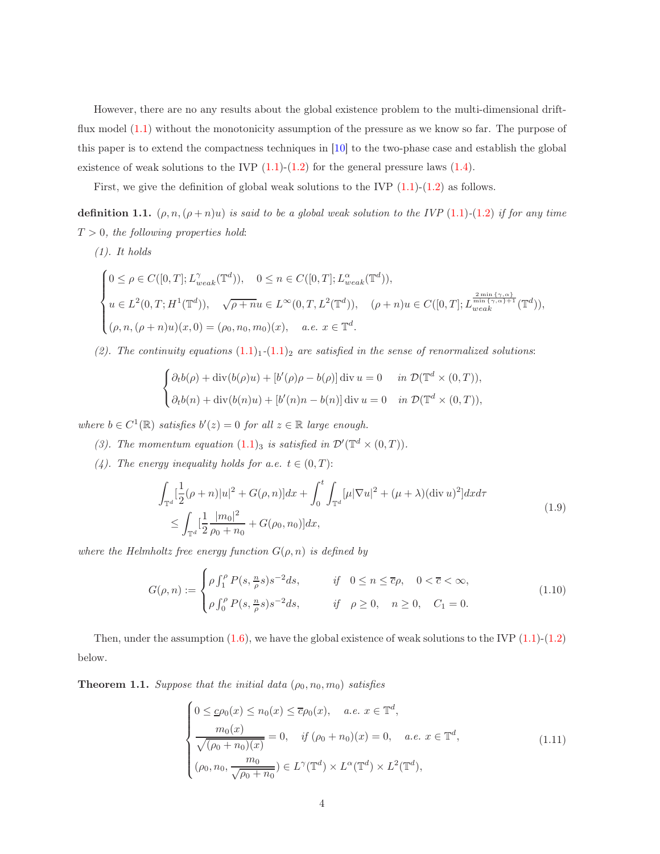However, there are no any results about the global existence problem to the multi-dimensional driftflux model [\(1.1\)](#page-0-0) without the monotonicity assumption of the pressure as we know so far. The purpose of this paper is to extend the compactness techniques in [\[10\]](#page-38-7) to the two-phase case and establish the global existence of weak solutions to the IVP  $(1.1)-(1.2)$  $(1.1)-(1.2)$  for the general pressure laws  $(1.4)$ .

First, we give the definition of global weak solutions to the IVP  $(1.1)-(1.2)$  $(1.1)-(1.2)$  $(1.1)-(1.2)$  as follows.

<span id="page-3-0"></span>definition 1.1.  $(\rho, n, (\rho + n)u)$  is said to be a global weak solution to the IVP [\(1](#page-0-1).1)-(1.2) if for any time  $T > 0$ , the following properties hold:

 $(1).$  It holds

$$
\begin{cases} 0 \leq \rho \in C([0,T];L_{weak}^{\gamma}(\mathbb{T}^d)), \quad 0 \leq n \in C([0,T];L_{weak}^{\alpha}(\mathbb{T}^d)), \\ u \in L^2(0,T;H^1(\mathbb{T}^d)), \quad \sqrt{\rho+n}u \in L^{\infty}(0,T,L^2(\mathbb{T}^d)), \quad (\rho+n)u \in C([0,T];L_{weak}^{\frac{2\min{\{\gamma,\alpha\}}}{\min{\{\gamma,\alpha\}}+1}}(\mathbb{T}^d)), \\ (\rho,n,(\rho+n)u)(x,0)=(\rho_0,n_0,m_0)(x), \quad a.e. \ x \in \mathbb{T}^d. \end{cases}
$$

(2). The continuity equations  $(1.1)_1$  $(1.1)_1$  $(1.1)_1$ - $(1.1)_2$  $(1.1)_2$  are satisfied in the sense of renormalized solutions:

$$
\begin{cases} \partial_t b(\rho) + \operatorname{div}(b(\rho)u) + [b'(\rho)\rho - b(\rho)] \operatorname{div} u = 0 & \text{in } \mathcal{D}(\mathbb{T}^d \times (0,T)), \\ \partial_t b(n) + \operatorname{div}(b(n)u) + [b'(n)n - b(n)] \operatorname{div} u = 0 & \text{in } \mathcal{D}(\mathbb{T}^d \times (0,T)), \end{cases}
$$

where  $b \in C^1(\mathbb{R})$  satisfies  $b'(z) = 0$  for all  $z \in \mathbb{R}$  large enough.

- (3). The momentum equation [\(1](#page-0-0).1)<sub>3</sub> is satisfied in  $\mathcal{D}'(\mathbb{T}^d \times (0,T)).$
- <span id="page-3-4"></span>(4). The energy inequality holds for a.e.  $t \in (0, T)$ :

$$
\int_{\mathbb{T}^d} \left[ \frac{1}{2} (\rho + n) |u|^2 + G(\rho, n) \right] dx + \int_0^t \int_{\mathbb{T}^d} \left[ \mu |\nabla u|^2 + (\mu + \lambda) (\text{div } u)^2 \right] dx d\tau
$$
\n
$$
\leq \int_{\mathbb{T}^d} \left[ \frac{1}{2} \frac{|m_0|^2}{\rho_0 + n_0} + G(\rho_0, n_0) \right] dx,
$$
\n(1.9)

where the Helmholtz free energy function  $G(\rho, n)$  is defined by

<span id="page-3-2"></span>
$$
G(\rho, n) := \begin{cases} \rho \int_1^{\rho} P(s, \frac{n}{\rho}s) s^{-2} ds, & \text{if } 0 \le n \le \overline{c}\rho, \quad 0 < \overline{c} < \infty, \\ \rho \int_0^{\rho} P(s, \frac{n}{\rho}s) s^{-2} ds, & \text{if } \rho \ge 0, \quad n \ge 0, \quad C_1 = 0. \end{cases}
$$
(1.10)

Then, under the assumption  $(1.6)$  $(1.6)$ , we have the global existence of weak solutions to the IVP  $(1.1)$ - $(1.2)$ below.

<span id="page-3-3"></span>**Theorem 1.1.** Suppose that the initial data  $(\rho_0, n_0, m_0)$  satisfies

<span id="page-3-1"></span>
$$
\begin{cases}\n0 \leq \underline{c}\rho_0(x) \leq n_0(x) \leq \overline{c}\rho_0(x), & a.e. \ x \in \mathbb{T}^d, \\
\frac{m_0(x)}{\sqrt{(\rho_0 + n_0)(x)}} = 0, & if \ (\rho_0 + n_0)(x) = 0, \quad a.e. \ x \in \mathbb{T}^d, \\
(\rho_0, n_0, \frac{m_0}{\sqrt{\rho_0 + n_0}}) \in L^{\gamma}(\mathbb{T}^d) \times L^{\alpha}(\mathbb{T}^d) \times L^2(\mathbb{T}^d),\n\end{cases}
$$
\n(1.11)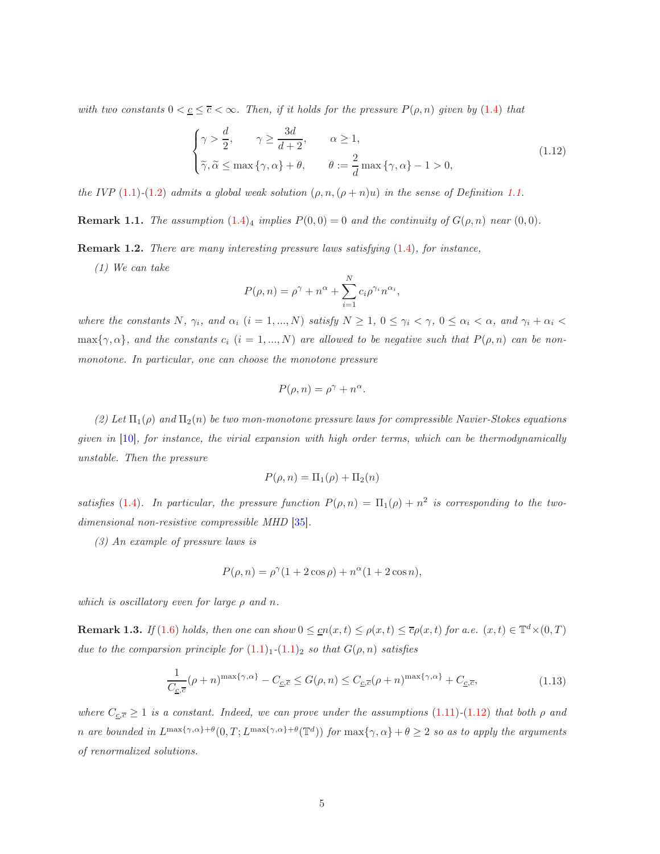with two constants  $0 < \underline{c} \leq \overline{c} < \infty$ . Then, if it holds for the pressure  $P(\rho, n)$  given by [\(1](#page-1-1).4) that

<span id="page-4-0"></span>
$$
\begin{cases}\n\gamma > \frac{d}{2}, \qquad \gamma \ge \frac{3d}{d+2}, \qquad \alpha \ge 1, \\
\widetilde{\gamma}, \widetilde{\alpha} \le \max\{\gamma, \alpha\} + \theta, \qquad \theta := \frac{2}{d} \max\{\gamma, \alpha\} - 1 > 0,\n\end{cases} \tag{1.12}
$$

the IVP (1.[1\)](#page-0-0)-(1.[2\)](#page-0-1) admits a global weak solution  $(\rho, n, (\rho + n)u)$  in the sense of Definition [1.1.](#page-3-0)

**Remark 1.1.** The assumption  $(1.4)_4$  $(1.4)_4$  $(1.4)_4$  implies  $P(0,0) = 0$  and the continuity of  $G(\rho,n)$  near  $(0,0)$ .

Remark 1.2. There are many interesting pressure laws satisfying (1.[4\)](#page-1-1), for instance,

(1) We can take

$$
P(\rho, n) = \rho^{\gamma} + n^{\alpha} + \sum_{i=1}^{N} c_i \rho^{\gamma_i} n^{\alpha_i},
$$

where the constants N,  $\gamma_i$ , and  $\alpha_i$  (i = 1, ..., N) satisfy  $N \ge 1$ ,  $0 \le \gamma_i < \gamma$ ,  $0 \le \alpha_i < \alpha$ , and  $\gamma_i + \alpha_i <$  $\max\{\gamma,\alpha\}$ , and the constants  $c_i$   $(i = 1,..., N)$  are allowed to be negative such that  $P(\rho,n)$  can be nonmonotone. In particular, one can choose the monotone pressure

$$
P(\rho, n) = \rho^{\gamma} + n^{\alpha}.
$$

(2) Let  $\Pi_1(\rho)$  and  $\Pi_2(n)$  be two mon-monotone pressure laws for compressible Navier-Stokes equations given in [\[10\]](#page-38-7), for instance, the virial expansion with high order terms, which can be thermodynamically unstable. Then the pressure

$$
P(\rho, n) = \Pi_1(\rho) + \Pi_2(n)
$$

satisfies [\(1.4\)](#page-1-1). In particular, the pressure function  $P(\rho, n) = \Pi_1(\rho) + n^2$  is corresponding to the twodimensional non-resistive compressible MHD [\[35\]](#page-40-4).

(3) An example of pressure laws is

$$
P(\rho, n) = \rho^{\gamma} (1 + 2\cos \rho) + n^{\alpha} (1 + 2\cos n),
$$

which is oscillatory even for large  $\rho$  and n.

**Remark 1.3.** If (1.[6\)](#page-1-0) holds, then one can show  $0 \leq cn(x,t) \leq \rho(x,t) \leq \overline{c}\rho(x,t)$  for a.e.  $(x,t) \in \mathbb{T}^d \times (0,T)$ due to the comparsion principle for  $(1.1)_1$  $(1.1)_1$  $(1.1)_1$ - $(1.1)_2$  $(1.1)_2$  so that  $G(\rho, n)$  satisfies

$$
\frac{1}{C_{\underline{c},\overline{c}}}(\rho+n)^{\max\{\gamma,\alpha\}} - C_{\underline{c},\overline{c}} \le G(\rho,n) \le C_{\underline{c},\overline{c}}(\rho+n)^{\max\{\gamma,\alpha\}} + C_{\underline{c},\overline{c}},\tag{1.13}
$$

<span id="page-4-1"></span>where  $C_{\underline{c},\overline{c}} \ge 1$  is a constant. Indeed, we can prove under the assumptions (1.[11\)](#page-3-1)-(1.[12\)](#page-4-0) that both  $\rho$  and n are bounded in  $L^{\max{\{\gamma,\alpha\}}+\theta}(0,T;L^{\max{\{\gamma,\alpha\}}+\theta}(\mathbb{T}^d))$  for  $\max{\{\gamma,\alpha\}}+\theta \geq 2$  so as to apply the arguments of renormalized solutions.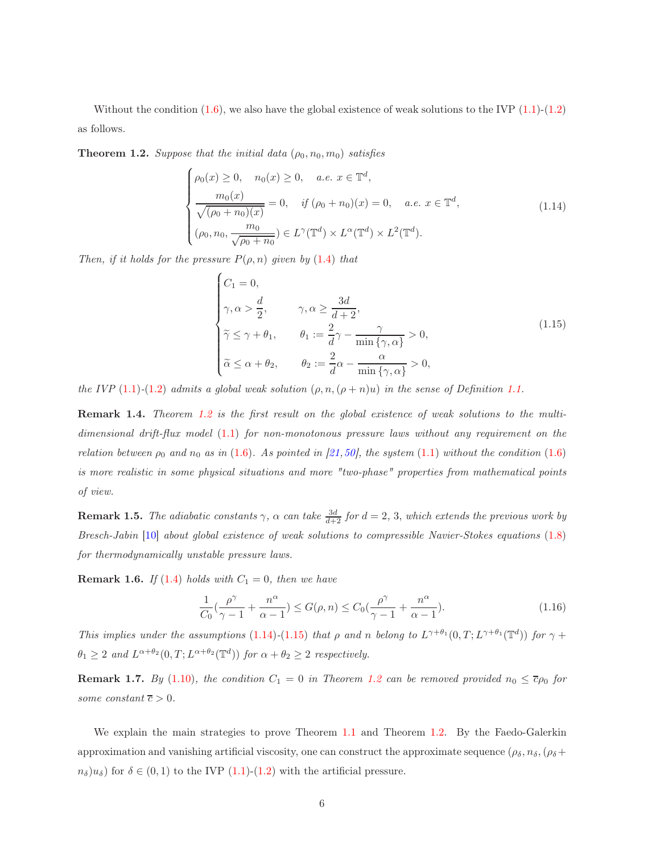Without the condition  $(1.6)$  $(1.6)$ , we also have the global existence of weak solutions to the IVP  $(1.1)$ - $(1.2)$ as follows.

<span id="page-5-0"></span>**Theorem 1.2.** Suppose that the initial data  $(\rho_0, n_0, m_0)$  satisfies

<span id="page-5-1"></span>
$$
\begin{cases}\n\rho_0(x) \ge 0, & n_0(x) \ge 0, \quad a.e. \ x \in \mathbb{T}^d, \\
\frac{m_0(x)}{\sqrt{(\rho_0 + n_0)(x)}} = 0, & \text{if } (\rho_0 + n_0)(x) = 0, \quad a.e. \ x \in \mathbb{T}^d, \\
(\rho_0, n_0, \frac{m_0}{\sqrt{\rho_0 + n_0}}) \in L^{\gamma}(\mathbb{T}^d) \times L^{\alpha}(\mathbb{T}^d) \times L^2(\mathbb{T}^d).\n\end{cases}
$$
\n(1.14)

Then, if it holds for the pressure  $P(\rho, n)$  given by (1.[4\)](#page-1-1) that

<span id="page-5-2"></span>
$$
\begin{cases}\nC_1 = 0, \\
\gamma, \alpha > \frac{d}{2}, \qquad \gamma, \alpha \ge \frac{3d}{d+2}, \\
\widetilde{\gamma} \le \gamma + \theta_1, \qquad \theta_1 := \frac{2}{d}\gamma - \frac{\gamma}{\min{\{\gamma, \alpha\}}} > 0, \\
\widetilde{\alpha} \le \alpha + \theta_2, \qquad \theta_2 := \frac{2}{d}\alpha - \frac{\alpha}{\min{\{\gamma, \alpha\}}} > 0,\n\end{cases}
$$
\n(1.15)

the IVP (1.[1\)](#page-0-0)-(1.[2\)](#page-0-1) admits a global weak solution  $(\rho, n, (\rho + n)u)$  in the sense of Definition [1.1.](#page-3-0)

Remark 1.4. Theorem [1.2](#page-5-0) is the first result on the global existence of weak solutions to the multidimensional drift-flux model  $(1.1)$  $(1.1)$  for non-monotonous pressure laws without any requirement on the relation between  $\rho_0$  and  $n_0$  as in [\(1](#page-1-0).6). As pointed in [\[21,](#page-39-4)[50\]](#page-41-2), the system (1.[1\)](#page-0-0) without the condition (1.[6\)](#page-1-0) is more realistic in some physical situations and more "two-phase" properties from mathematical points of view.

**Remark 1.5.** The adiabatic constants  $\gamma$ ,  $\alpha$  can take  $\frac{3d}{d+2}$  for  $d = 2, 3$ , which extends the previous work by Bresch-Jabin [\[10\]](#page-38-7) about global existence of weak solutions to compressible Navier-Stokes equations (1.[8\)](#page-2-1) for thermodynamically unstable pressure laws.

**Remark 1.6.** If [\(1](#page-1-1).4) holds with  $C_1 = 0$ , then we have

$$
\frac{1}{C_0} \left( \frac{\rho^{\gamma}}{\gamma - 1} + \frac{n^{\alpha}}{\alpha - 1} \right) \le G(\rho, n) \le C_0 \left( \frac{\rho^{\gamma}}{\gamma - 1} + \frac{n^{\alpha}}{\alpha - 1} \right). \tag{1.16}
$$

This implies under the assumptions (1.[14\)](#page-5-1)-(1.[15\)](#page-5-2) that  $\rho$  and n belong to  $L^{\gamma+\theta_1}(0,T;L^{\gamma+\theta_1}(\mathbb{T}^d))$  for  $\gamma$  +  $\theta_1 \geq 2$  and  $L^{\alpha+\theta_2}(0,T;L^{\alpha+\theta_2}(\mathbb{T}^d))$  for  $\alpha+\theta_2 \geq 2$  respectively.

**Remark 1.7.** By (1.[10\)](#page-3-2), the condition  $C_1 = 0$  in Theorem [1.2](#page-5-0) can be removed provided  $n_0 \le \overline{c}\rho_0$  for some constant  $\overline{c} > 0$ .

We explain the main strategies to prove Theorem [1.1](#page-3-3) and Theorem [1.2.](#page-5-0) By the Faedo-Galerkin approximation and vanishing artificial viscosity, one can construct the approximate sequence ( $\rho_{\delta}, n_{\delta}, (\rho_{\delta} +$  $n_{\delta}$ u<sub>s</sub>) for  $\delta \in (0,1)$  $\delta \in (0,1)$  to the IVP  $(1.1)-(1.2)$  $(1.1)-(1.2)$  with the artificial pressure.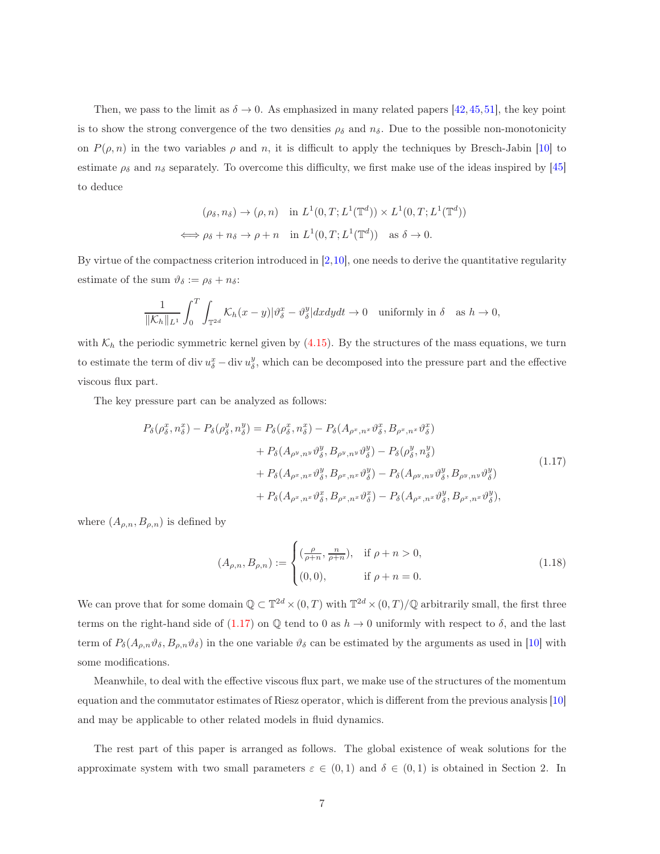Then, we pass to the limit as  $\delta \to 0$ . As emphasized in many related papers [\[42,](#page-40-1)[45,](#page-40-2)[51\]](#page-41-3), the key point is to show the strong convergence of the two densities  $\rho_{\delta}$  and  $n_{\delta}$ . Due to the possible non-monotonicity on  $P(\rho, n)$  in the two variables  $\rho$  and n, it is difficult to apply the techniques by Bresch-Jabin [\[10\]](#page-38-7) to estimate  $\rho_{\delta}$  and  $n_{\delta}$  separately. To overcome this difficulty, we first make use of the ideas inspired by [\[45\]](#page-40-2) to deduce

$$
(\rho_{\delta}, n_{\delta}) \to (\rho, n) \quad \text{in } L^1(0, T; L^1(\mathbb{T}^d)) \times L^1(0, T; L^1(\mathbb{T}^d))
$$
  

$$
\iff \rho_{\delta} + n_{\delta} \to \rho + n \quad \text{in } L^1(0, T; L^1(\mathbb{T}^d)) \quad \text{as } \delta \to 0.
$$

By virtue of the compactness criterion introduced in  $[2,10]$  $[2,10]$ , one needs to derive the quantitative regularity estimate of the sum  $\vartheta_{\delta} := \rho_{\delta} + n_{\delta}$ :

$$
\frac{1}{\|\mathcal{K}_h\|_{L^1}} \int_0^T \int_{\mathbb{T}^{2d}} \mathcal{K}_h(x-y) |\vartheta^x_{\delta} - \vartheta^y_{\delta}| dx dy dt \to 0 \text{ uniformly in } \delta \quad \text{as } h \to 0,
$$

with  $K_h$  the periodic symmetric kernel given by (4.[15\)](#page-20-0). By the structures of the mass equations, we turn to estimate the term of div  $u_{\delta}^x$  – div  $u_{\delta}^y$ , which can be decomposed into the pressure part and the effective viscous flux part.

<span id="page-6-0"></span>The key pressure part can be analyzed as follows:

$$
P_{\delta}(\rho_{\delta}^{x}, n_{\delta}^{x}) - P_{\delta}(\rho_{\delta}^{y}, n_{\delta}^{y}) = P_{\delta}(\rho_{\delta}^{x}, n_{\delta}^{x}) - P_{\delta}(A_{\rho^{x}, n^{x}} \vartheta_{\delta}^{x}, B_{\rho^{x}, n^{x}} \vartheta_{\delta}^{x})
$$
  
+ 
$$
P_{\delta}(A_{\rho^{y}, n^{y}} \vartheta_{\delta}^{y}, B_{\rho^{y}, n^{y}} \vartheta_{\delta}^{y}) - P_{\delta}(\rho_{\delta}^{y}, n_{\delta}^{y})
$$
  
+ 
$$
P_{\delta}(A_{\rho^{x}, n^{x}} \vartheta_{\delta}^{y}, B_{\rho^{x}, n^{x}} \vartheta_{\delta}^{y}) - P_{\delta}(A_{\rho^{y}, n^{y}} \vartheta_{\delta}^{y}, B_{\rho^{y}, n^{y}} \vartheta_{\delta}^{y})
$$
  
+ 
$$
P_{\delta}(A_{\rho^{x}, n^{x}} \vartheta_{\delta}^{x}, B_{\rho^{x}, n^{x}} \vartheta_{\delta}^{x}) - P_{\delta}(A_{\rho^{x}, n^{x}} \vartheta_{\delta}^{y}, B_{\rho^{x}, n^{x}} \vartheta_{\delta}^{y}),
$$
  
(1.17)

where  $(A_{\rho,n}, B_{\rho,n})$  is defined by

<span id="page-6-1"></span>
$$
(A_{\rho,n}, B_{\rho,n}) := \begin{cases} (\frac{\rho}{\rho+n}, \frac{n}{\rho+n}), & \text{if } \rho+n>0, \\ (0,0), & \text{if } \rho+n=0. \end{cases}
$$
 (1.18)

We can prove that for some domain  $\mathbb{Q} \subset \mathbb{T}^{2d} \times (0,T)$  with  $\mathbb{T}^{2d} \times (0,T)/\mathbb{Q}$  arbitrarily small, the first three terms on the right-hand side of [\(1.17\)](#page-6-0) on  $\mathbb Q$  tend to 0 as  $h \to 0$  uniformly with respect to  $\delta$ , and the last term of  $P_\delta(A_{\rho,n}\vartheta_\delta, B_{\rho,n}\vartheta_\delta)$  in the one variable  $\vartheta_\delta$  can be estimated by the arguments as used in [\[10\]](#page-38-7) with some modifications.

Meanwhile, to deal with the effective viscous flux part, we make use of the structures of the momentum equation and the commutator estimates of Riesz operator, which is different from the previous analysis [\[10\]](#page-38-7) and may be applicable to other related models in fluid dynamics.

The rest part of this paper is arranged as follows. The global existence of weak solutions for the approximate system with two small parameters  $\varepsilon \in (0,1)$  and  $\delta \in (0,1)$  is obtained in Section 2. In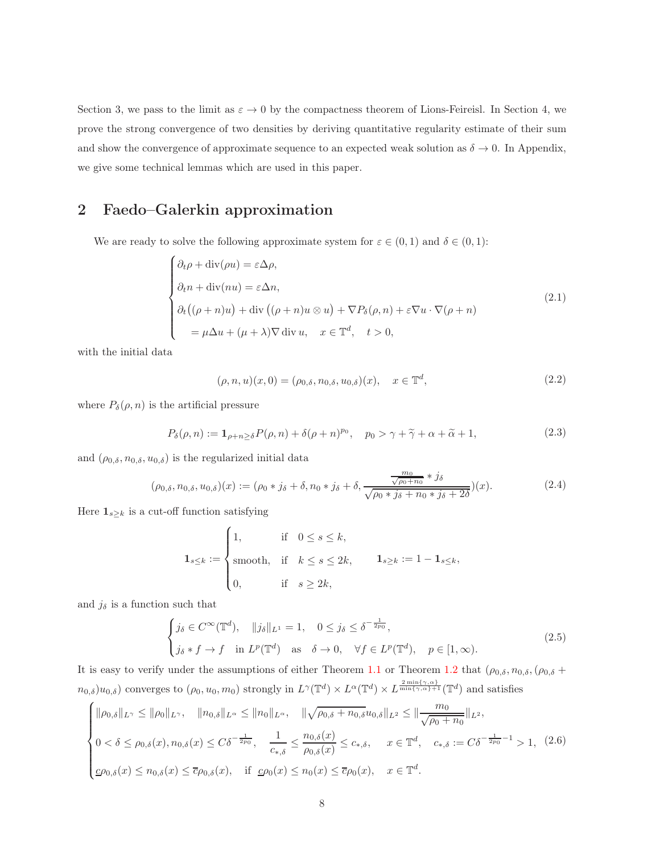Section 3, we pass to the limit as  $\varepsilon \to 0$  by the compactness theorem of Lions-Feireisl. In Section 4, we prove the strong convergence of two densities by deriving quantitative regularity estimate of their sum and show the convergence of approximate sequence to an expected weak solution as  $\delta \to 0$ . In Appendix, we give some technical lemmas which are used in this paper.

# 2 Faedo–Galerkin approximation

We are ready to solve the following approximate system for  $\varepsilon \in (0,1)$  and  $\delta \in (0,1)$ :

<span id="page-7-0"></span>
$$
\begin{cases}\n\partial_t \rho + \text{div}(\rho u) = \varepsilon \Delta \rho, \\
\partial_t n + \text{div}(nu) = \varepsilon \Delta n, \\
\partial_t ((\rho + n)u) + \text{div}((\rho + n)u \otimes u) + \nabla P_\delta(\rho, n) + \varepsilon \nabla u \cdot \nabla (\rho + n) \\
= \mu \Delta u + (\mu + \lambda) \nabla \text{div} \, u, \quad x \in \mathbb{T}^d, \quad t > 0,\n\end{cases}
$$
\n(2.1)

<span id="page-7-3"></span>with the initial data

$$
(\rho, n, u)(x, 0) = (\rho_{0, \delta}, n_{0, \delta}, u_{0, \delta})(x), \quad x \in \mathbb{T}^d,
$$
\n(2.2)

<span id="page-7-2"></span>where  $P_{\delta}(\rho, n)$  is the artificial pressure

$$
P_{\delta}(\rho, n) := \mathbf{1}_{\rho + n \ge \delta} P(\rho, n) + \delta(\rho + n)^{p_0}, \quad p_0 > \gamma + \tilde{\gamma} + \alpha + \tilde{\alpha} + 1,
$$
\n(2.3)

<span id="page-7-4"></span>and  $(\rho_{0,\delta}, n_{0,\delta}, u_{0,\delta})$  is the regularized initial data

$$
(\rho_{0,\delta}, n_{0,\delta}, u_{0,\delta})(x) := (\rho_0 * j_\delta + \delta, n_0 * j_\delta + \delta, \frac{\frac{m_0}{\sqrt{\rho_0 + n_0}} * j_\delta}{\sqrt{\rho_0 * j_\delta + n_0 * j_\delta + 2\delta}})(x).
$$
 (2.4)

Here  $\mathbf{1}_{s\geq k}$  is a cut-off function satisfying

$$
\mathbf{1}_{s\leq k}:=\begin{cases} 1, & \text{if} \quad 0\leq s\leq k, \\ \text{smooth}, & \text{if} \quad k\leq s\leq 2k, \\ 0, & \text{if} \quad s\geq 2k, \end{cases} \qquad \mathbf{1}_{s\geq k}:=1-\mathbf{1}_{s\leq k},
$$

and  $j_{\delta}$  is a function such that

<span id="page-7-5"></span>
$$
\begin{cases}\nj_{\delta} \in C^{\infty}(\mathbb{T}^d), & ||j_{\delta}||_{L^1} = 1, \quad 0 \le j_{\delta} \le \delta^{-\frac{1}{2p_0}}, \\
j_{\delta} * f \to f & \text{in } L^p(\mathbb{T}^d) \quad \text{as} \quad \delta \to 0, \quad \forall f \in L^p(\mathbb{T}^d), \quad p \in [1, \infty).\n\end{cases} (2.5)
$$

It is easy to verify under the assumptions of either Theorem [1.1](#page-3-3) or Theorem [1.2](#page-5-0) that  $(\rho_{0,\delta}, n_{0,\delta}, (\rho_{0,\delta} +$  $n_{0,\delta} | u_{0,\delta}$  converges to  $(\rho_0, u_0, m_0)$  strongly in  $L^{\gamma}(\mathbb{T}^d) \times L^{\alpha}(\mathbb{T}^d) \times L^{\frac{2 \min\{\gamma,\alpha\}}{\min\{\gamma,\alpha\}+1}}(\mathbb{T}^d)$  and satisfies

<span id="page-7-1"></span>
$$
\begin{cases} \|\rho_{0,\delta}\|_{L^{\gamma}} \le \|\rho_{0}\|_{L^{\gamma}}, \quad \|n_{0,\delta}\|_{L^{\alpha}} \le \|n_{0}\|_{L^{\alpha}}, \quad \|\sqrt{\rho_{0,\delta}+n_{0,\delta}}u_{0,\delta}\|_{L^{2}} \le \|\frac{m_{0}}{\sqrt{\rho_{0}+n_{0}}}\|_{L^{2}},\\ 0 < \delta \le \rho_{0,\delta}(x), n_{0,\delta}(x) \le C\delta^{-\frac{1}{2p_{0}}}, \quad \frac{1}{c_{*,\delta}} \le \frac{n_{0,\delta}(x)}{\rho_{0,\delta}(x)} \le c_{*,\delta}, \quad x \in \mathbb{T}^{d}, \quad c_{*,\delta} := C\delta^{-\frac{1}{2p_{0}}-1} > 1, \tag{2.6} \\ \mathcal{L}\rho_{0,\delta}(x) \le n_{0,\delta}(x) \le \overline{c}\rho_{0,\delta}(x), \quad \text{if } \mathcal{L}\rho_{0}(x) \le n_{0}(x) \le \overline{c}\rho_{0}(x), \quad x \in \mathbb{T}^{d}. \end{cases}
$$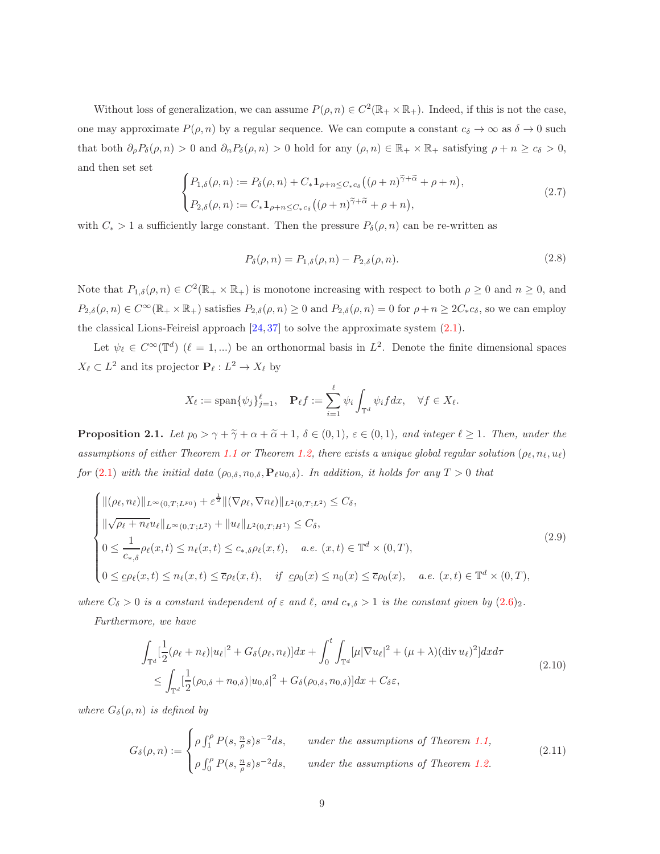Without loss of generalization, we can assume  $P(\rho, n) \in C^2(\mathbb{R}_+ \times \mathbb{R}_+)$ . Indeed, if this is not the case, one may approximate  $P(\rho, n)$  by a regular sequence. We can compute a constant  $c_{\delta} \to \infty$  as  $\delta \to 0$  such that both  $\partial_{\rho}P_{\delta}(\rho, n) > 0$  and  $\partial_{n}P_{\delta}(\rho, n) > 0$  hold for any  $(\rho, n) \in \mathbb{R}_{+} \times \mathbb{R}_{+}$  satisfying  $\rho + n \geq c_{\delta} > 0$ , and then set set

<span id="page-8-4"></span>
$$
\begin{cases} P_{1,\delta}(\rho,n) := P_{\delta}(\rho,n) + C_* \mathbf{1}_{\rho+n \leq C_* c_{\delta}} \big( (\rho+n)^{\widetilde{\gamma}+\widetilde{\alpha}} + \rho+n \big), \\ P_{2,\delta}(\rho,n) := C_* \mathbf{1}_{\rho+n \leq C_* c_{\delta}} \big( (\rho+n)^{\widetilde{\gamma}+\widetilde{\alpha}} + \rho+n \big), \end{cases} \tag{2.7}
$$

<span id="page-8-5"></span>with  $C_* > 1$  a sufficiently large constant. Then the pressure  $P_\delta(\rho, n)$  can be re-written as

$$
P_{\delta}(\rho, n) = P_{1,\delta}(\rho, n) - P_{2,\delta}(\rho, n). \tag{2.8}
$$

Note that  $P_{1,\delta}(\rho,n) \in C^2(\mathbb{R}_+ \times \mathbb{R}_+)$  is monotone increasing with respect to both  $\rho \geq 0$  and  $n \geq 0$ , and  $P_{2,\delta}(\rho,n) \in C^{\infty}(\mathbb{R}_+ \times \mathbb{R}_+)$  satisfies  $P_{2,\delta}(\rho,n) \geq 0$  and  $P_{2,\delta}(\rho,n) = 0$  for  $\rho+n \geq 2C_*c_{\delta}$ , so we can employ the classical Lions-Feireisl approach [\[24,](#page-39-9) [37\]](#page-40-6) to solve the approximate system [\(2.1\)](#page-7-0).

Let  $\psi_{\ell} \in C^{\infty}(\mathbb{T}^d)$   $(\ell = 1,...)$  be an orthonormal basis in  $L^2$ . Denote the finite dimensional spaces  $X_{\ell} \subset L^2$  and its projector  $\mathbf{P}_{\ell}: L^2 \to X_{\ell}$  by

$$
X_{\ell} := \text{span}\{\psi_j\}_{j=1}^{\ell}, \quad \mathbf{P}_{\ell}f := \sum_{i=1}^{\ell} \psi_i \int_{\mathbb{T}^d} \psi_i f dx, \quad \forall f \in X_{\ell}.
$$

<span id="page-8-2"></span>**Proposition 2.1.** Let  $p_0 > \gamma + \tilde{\gamma} + \alpha + \tilde{\alpha} + 1$ ,  $\delta \in (0,1)$ ,  $\varepsilon \in (0,1)$ , and integer  $\ell \geq 1$ . Then, under the assumptions of either Theorem [1.1](#page-3-3) or Theorem [1.2,](#page-5-0) there exists a unique global regular solution ( $\rho_\ell, n_\ell, u_\ell$ ) for (2.[1\)](#page-7-0) with the initial data  $(\rho_{0,\delta}, n_{0,\delta}, \mathbf{P}_{\ell}u_{0,\delta})$ . In addition, it holds for any  $T > 0$  that

<span id="page-8-0"></span>
$$
\begin{cases}\n\|(\rho_{\ell}, n_{\ell})\|_{L^{\infty}(0,T;L^{p_0})} + \varepsilon^{\frac{1}{2}} \|(\nabla \rho_{\ell}, \nabla n_{\ell})\|_{L^{2}(0,T;L^{2})} \leq C_{\delta}, \\
\|\sqrt{\rho_{\ell} + n_{\ell}} u_{\ell}\|_{L^{\infty}(0,T;L^{2})} + \|u_{\ell}\|_{L^{2}(0,T;H^{1})} \leq C_{\delta}, \\
0 \leq \frac{1}{c_{*,\delta}} \rho_{\ell}(x,t) \leq n_{\ell}(x,t) \leq c_{*,\delta} \rho_{\ell}(x,t), \quad a.e. \ (x,t) \in \mathbb{T}^{d} \times (0,T), \\
0 \leq \underline{c} \rho_{\ell}(x,t) \leq n_{\ell}(x,t) \leq \overline{c} \rho_{\ell}(x,t), \quad \text{if } \underline{c} \rho_{0}(x) \leq n_{0}(x) \leq \overline{c} \rho_{0}(x), \quad a.e. \ (x,t) \in \mathbb{T}^{d} \times (0,T),\n\end{cases}
$$
\n(2.9)

where  $C_{\delta} > 0$  is a constant independent of  $\varepsilon$  and  $\ell$ , and  $c_{*,\delta} > 1$  is the constant given by  $(2.6)_2$  $(2.6)_2$  $(2.6)_2$ .

<span id="page-8-1"></span>Furthermore, we have

$$
\int_{\mathbb{T}^d} \left[ \frac{1}{2} (\rho_\ell + n_\ell) |u_\ell|^2 + G_\delta(\rho_\ell, n_\ell) \right] dx + \int_0^t \int_{\mathbb{T}^d} [\mu | \nabla u_\ell|^2 + (\mu + \lambda) (\text{div } u_\ell)^2] dx d\tau
$$
\n
$$
\leq \int_{\mathbb{T}^d} \left[ \frac{1}{2} (\rho_{0,\delta} + n_{0,\delta}) |u_{0,\delta}|^2 + G_\delta(\rho_{0,\delta}, n_{0,\delta}) \right] dx + C_\delta \varepsilon,
$$
\n(2.10)

where  $G_{\delta}(\rho, n)$  is defined by

<span id="page-8-3"></span>
$$
G_{\delta}(\rho, n) := \begin{cases} \rho \int_1^{\rho} P(s, \frac{n}{\rho}s) s^{-2} ds, & \text{under the assumptions of Theorem 1.1,} \\ \rho \int_0^{\rho} P(s, \frac{n}{\rho}s) s^{-2} ds, & \text{under the assumptions of Theorem 1.2.} \end{cases}
$$
(2.11)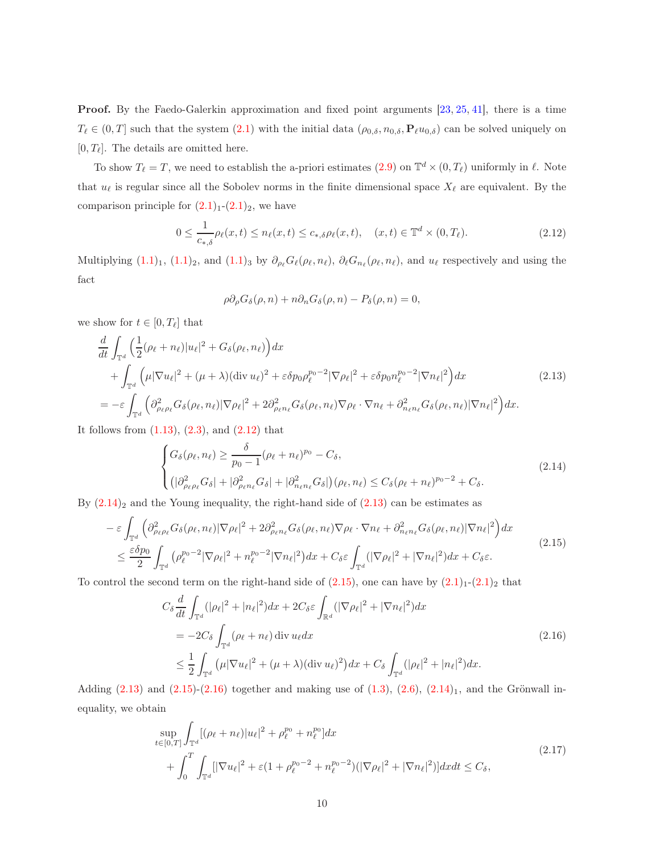Proof. By the Faedo-Galerkin approximation and fixed point arguments [\[23,](#page-39-8) [25,](#page-39-12) [41\]](#page-40-11), there is a time  $T_{\ell} \in (0,T]$  such that the system  $(2.1)$  $(2.1)$  with the initial data  $(\rho_{0,\delta}, n_{0,\delta}, \mathbf{P}_{\ell}u_{0,\delta})$  can be solved uniquely on  $[0, T_{\ell}]$ . The details are omitted here.

To show  $T_{\ell} = T$ , we need to establish the a-priori estimates  $(2.9)$  on  $\mathbb{T}^d \times (0, T_{\ell})$  uniformly in  $\ell$ . Note that  $u_{\ell}$  is regular since all the Sobolev norms in the finite dimensional space  $X_{\ell}$  are equivalent. By the comparison principle for  $(2.1)<sub>1</sub>-(2.1)<sub>2</sub>$  $(2.1)<sub>1</sub>-(2.1)<sub>2</sub>$  $(2.1)<sub>1</sub>-(2.1)<sub>2</sub>$ , we have

$$
0 \le \frac{1}{c_{*,\delta}} \rho_{\ell}(x,t) \le n_{\ell}(x,t) \le c_{*,\delta} \rho_{\ell}(x,t), \quad (x,t) \in \mathbb{T}^d \times (0,T_{\ell}).
$$
\n(2.12)

<span id="page-9-0"></span>Multiplying  $(1.1)_1$  $(1.1)_1$  $(1.1)_1$  $(1.1)_1$ ,  $(1.1)_2$ , and  $(1.1)_3$  by  $\partial_{\rho_\ell} G_\ell(\rho_\ell, n_\ell)$ ,  $\partial_\ell G_{n_\ell}(\rho_\ell, n_\ell)$ , and  $u_\ell$  respectively and using the fact

$$
\rho \partial_{\rho} G_{\delta}(\rho, n) + n \partial_{n} G_{\delta}(\rho, n) - P_{\delta}(\rho, n) = 0,
$$

we show for  $t \in [0, T_\ell]$  that

<span id="page-9-2"></span>
$$
\frac{d}{dt} \int_{\mathbb{T}^d} \left( \frac{1}{2} (\rho_\ell + n_\ell) |u_\ell|^2 + G_\delta(\rho_\ell, n_\ell) \right) dx \n+ \int_{\mathbb{T}^d} \left( \mu |\nabla u_\ell|^2 + (\mu + \lambda) (\operatorname{div} u_\ell)^2 + \varepsilon \delta p_0 \rho_\ell^{p_0 - 2} |\nabla \rho_\ell|^2 + \varepsilon \delta p_0 n_\ell^{p_0 - 2} |\nabla n_\ell|^2 \right) dx
$$
\n
$$
= -\varepsilon \int_{\mathbb{T}^d} \left( \partial_{\rho_\ell \rho_\ell}^2 G_\delta(\rho_\ell, n_\ell) |\nabla \rho_\ell|^2 + 2 \partial_{\rho_\ell n_\ell}^2 G_\delta(\rho_\ell, n_\ell) |\nabla \rho_\ell \cdot \nabla n_\ell + \partial_{n_\ell n_\ell}^2 G_\delta(\rho_\ell, n_\ell) |\nabla n_\ell|^2 \right) dx.
$$
\n(2.13)

It follows from  $(1.13)$  $(1.13)$ ,  $(2.3)$  $(2.3)$ , and  $(2.12)$  $(2.12)$  that

<span id="page-9-1"></span>
$$
\begin{cases}\nG_{\delta}(\rho_{\ell}, n_{\ell}) \geq \frac{\delta}{p_0 - 1} (\rho_{\ell} + n_{\ell})^{p_0} - C_{\delta}, \\
(\vert \partial_{\rho_{\ell} \rho_{\ell}}^2 G_{\delta} \vert + \vert \partial_{\rho_{\ell} n_{\ell}}^2 G_{\delta} \vert + \vert \partial_{n_{\ell} n_{\ell}}^2 G_{\delta} \vert)(\rho_{\ell}, n_{\ell}) \leq C_{\delta} (\rho_{\ell} + n_{\ell})^{p_0 - 2} + C_{\delta}.\n\end{cases}
$$
\n(2.14)

By  $(2.14)_2$  $(2.14)_2$  $(2.14)_2$  and the Young inequality, the right-hand side of  $(2.13)$  can be estimates as

<span id="page-9-3"></span>
$$
-\varepsilon \int_{\mathbb{T}^d} \left( \partial^2_{\rho_\ell \rho_\ell} G_\delta(\rho_\ell, n_\ell) |\nabla \rho_\ell|^2 + 2 \partial^2_{\rho_\ell n_\ell} G_\delta(\rho_\ell, n_\ell) \nabla \rho_\ell \cdot \nabla n_\ell + \partial^2_{n_\ell n_\ell} G_\delta(\rho_\ell, n_\ell) |\nabla n_\ell|^2 \right) dx
$$
  

$$
\leq \frac{\varepsilon \delta p_0}{2} \int_{\mathbb{T}^d} \left( \rho_\ell^{p_0 - 2} |\nabla \rho_\ell|^2 + n_\ell^{p_0 - 2} |\nabla n_\ell|^2 \right) dx + C_\delta \varepsilon \int_{\mathbb{T}^d} (|\nabla \rho_\ell|^2 + |\nabla n_\ell|^2) dx + C_\delta \varepsilon.
$$
 (2.15)

<span id="page-9-4"></span>To control the second term on the right-hand side of  $(2.15)$  $(2.15)$ , one can have by  $(2.1)<sub>1</sub>-(2.1)<sub>2</sub>$  $(2.1)<sub>1</sub>-(2.1)<sub>2</sub>$  $(2.1)<sub>1</sub>-(2.1)<sub>2</sub>$  $(2.1)<sub>1</sub>-(2.1)<sub>2</sub>$  that

$$
C_{\delta} \frac{d}{dt} \int_{\mathbb{T}^d} (|\rho_{\ell}|^2 + |n_{\ell}|^2) dx + 2C_{\delta} \varepsilon \int_{\mathbb{R}^d} (|\nabla \rho_{\ell}|^2 + |\nabla n_{\ell}|^2) dx
$$
  
\n
$$
= -2C_{\delta} \int_{\mathbb{T}^d} (\rho_{\ell} + n_{\ell}) \operatorname{div} u_{\ell} dx
$$
  
\n
$$
\leq \frac{1}{2} \int_{\mathbb{T}^d} (\mu |\nabla u_{\ell}|^2 + (\mu + \lambda) (\operatorname{div} u_{\ell})^2) dx + C_{\delta} \int_{\mathbb{T}^d} (|\rho_{\ell}|^2 + |n_{\ell}|^2) dx.
$$
\n(2.16)

<span id="page-9-5"></span>Adding  $(2.13)$  $(2.13)$  and  $(2.15)-(2.16)$  $(2.15)-(2.16)$  together and making use of  $(1.3)$ ,  $(2.6)$  $(2.6)$ ,  $(2.14)_1$  $(2.14)_1$  $(2.14)_1$ , and the Grönwall inequality, we obtain

$$
\sup_{t \in [0,T]} \int_{\mathbb{T}^d} [(\rho_\ell + n_\ell)|u_\ell|^2 + \rho_\ell^{p_0} + n_\ell^{p_0}] dx + \int_0^T \int_{\mathbb{T}^d} [|\nabla u_\ell|^2 + \varepsilon (1 + \rho_\ell^{p_0 - 2} + n_\ell^{p_0 - 2}) (|\nabla \rho_\ell|^2 + |\nabla n_\ell|^2)] dx dt \le C_\delta,
$$
\n(2.17)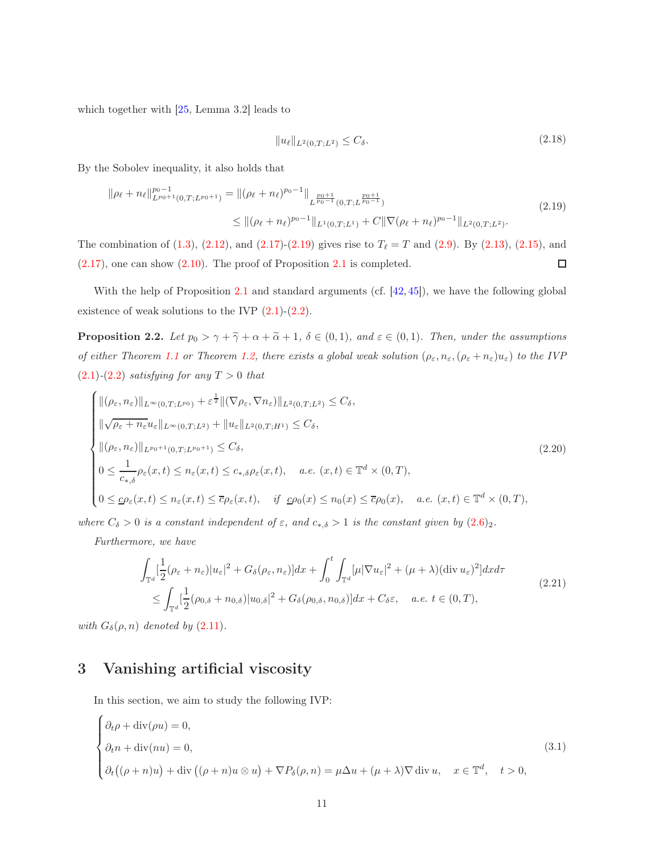which together with [\[25,](#page-39-12) Lemma 3.2] leads to

$$
||u_{\ell}||_{L^{2}(0,T;L^{2})} \leq C_{\delta}.
$$
\n(2.18)

<span id="page-10-0"></span>By the Sobolev inequality, it also holds that

$$
\|\rho_{\ell} + n_{\ell}\|_{L^{p_0+1}(0,T;L^{p_0+1})}^{p_0-1} = \|(\rho_{\ell} + n_{\ell})^{p_0-1}\|_{L^{\frac{p_0+1}{p_0-1}}(0,T;L^{\frac{p_0+1}{p_0-1}})} \leq \|(\rho_{\ell} + n_{\ell})^{p_0-1}\|_{L^1(0,T;L^1)} + C\|\nabla(\rho_{\ell} + n_{\ell})^{p_0-1}\|_{L^2(0,T;L^2)}.
$$
\n(2.19)

The combination of  $(1.3)$ ,  $(2.12)$ , and  $(2.17)-(2.19)$  $(2.17)-(2.19)$  gives rise to  $T_{\ell}=T$  and  $(2.9)$  $(2.9)$ . By  $(2.13)$  $(2.13)$ ,  $(2.15)$ , and (2.[17\)](#page-9-5), one can show (2.[10\)](#page-8-1). The proof of Proposition [2.1](#page-8-2) is completed.  $\Box$ 

With the help of Proposition [2.1](#page-8-2) and standard arguments (cf.  $[42, 45]$  $[42, 45]$ ), we have the following global existence of weak solutions to the IVP  $(2.1)-(2.2)$  $(2.1)-(2.2)$  $(2.1)-(2.2)$  $(2.1)-(2.2)$  $(2.1)-(2.2)$ .

<span id="page-10-3"></span>**Proposition 2.2.** Let  $p_0 > \gamma + \tilde{\gamma} + \alpha + \tilde{\alpha} + 1$ ,  $\delta \in (0,1)$ , and  $\varepsilon \in (0,1)$ . Then, under the assumptions of either Theorem [1.1](#page-3-3) or Theorem [1.2,](#page-5-0) there exists a global weak solution  $(\rho_{\varepsilon}, n_{\varepsilon}, (\rho_{\varepsilon} + n_{\varepsilon})u_{\varepsilon})$  to the IVP  $(2.1)-(2.2)$  $(2.1)-(2.2)$  $(2.1)-(2.2)$  $(2.1)-(2.2)$  satisfying for any  $T > 0$  that

<span id="page-10-1"></span>
$$
\begin{cases}\n\|(\rho_{\varepsilon}, n_{\varepsilon})\|_{L^{\infty}(0,T;L^{p_{0}})} + \varepsilon^{\frac{1}{2}} \|(\nabla \rho_{\varepsilon}, \nabla n_{\varepsilon})\|_{L^{2}(0,T;L^{2})} \leq C_{\delta}, \\
\|\sqrt{\rho_{\varepsilon} + n_{\varepsilon}} u_{\varepsilon}\|_{L^{\infty}(0,T;L^{2})} + \|u_{\varepsilon}\|_{L^{2}(0,T;H^{1})} \leq C_{\delta}, \\
\|(\rho_{\varepsilon}, n_{\varepsilon})\|_{L^{p_{0}+1}(0,T;L^{p_{0}+1})} \leq C_{\delta}, \\
0 \leq \frac{1}{c_{*,\delta}} \rho_{\varepsilon}(x,t) \leq n_{\varepsilon}(x,t) \leq c_{*,\delta} \rho_{\varepsilon}(x,t), \quad a.e. \ (x,t) \in \mathbb{T}^{d} \times (0,T), \\
0 \leq \underline{c} \rho_{\varepsilon}(x,t) \leq n_{\varepsilon}(x,t) \leq \overline{c} \rho_{\varepsilon}(x,t), \quad \text{if } \underline{c} \rho_{0}(x) \leq n_{0}(x) \leq \overline{c} \rho_{0}(x), \quad a.e. \ (x,t) \in \mathbb{T}^{d} \times (0,T),\n\end{cases}
$$
\n(2.20)

where  $C_{\delta} > 0$  is a constant independent of  $\varepsilon$ , and  $c_{*,\delta} > 1$  is the constant given by  $(2.6)_2$  $(2.6)_2$  $(2.6)_2$ .

<span id="page-10-4"></span>Furthermore, we have

$$
\int_{\mathbb{T}^d} \left[ \frac{1}{2} (\rho_{\varepsilon} + n_{\varepsilon}) |u_{\varepsilon}|^2 + G_{\delta}(\rho_{\varepsilon}, n_{\varepsilon}) \right] dx + \int_0^t \int_{\mathbb{T}^d} [\mu |\nabla u_{\varepsilon}|^2 + (\mu + \lambda) (\text{div } u_{\varepsilon})^2] dx d\tau
$$
\n
$$
\leq \int_{\mathbb{T}^d} \left[ \frac{1}{2} (\rho_{0,\delta} + n_{0,\delta}) |u_{0,\delta}|^2 + G_{\delta}(\rho_{0,\delta}, n_{0,\delta}) \right] dx + C_{\delta} \varepsilon, \quad a.e. \ t \in (0, T),
$$
\n(2.21)

with  $G_{\delta}(\rho, n)$  denoted by  $(2.11)$  $(2.11)$ .

## 3 Vanishing artificial viscosity

In this section, we aim to study the following IVP:

<span id="page-10-2"></span>
$$
\begin{cases}\n\partial_t \rho + \text{div}(\rho u) = 0, \\
\partial_t n + \text{div}(nu) = 0, \\
\partial_t ((\rho + n)u) + \text{div}((\rho + n)u \otimes u) + \nabla P_\delta(\rho, n) = \mu \Delta u + (\mu + \lambda) \nabla \text{div} u, \quad x \in \mathbb{T}^d, \quad t > 0,\n\end{cases}
$$
\n(3.1)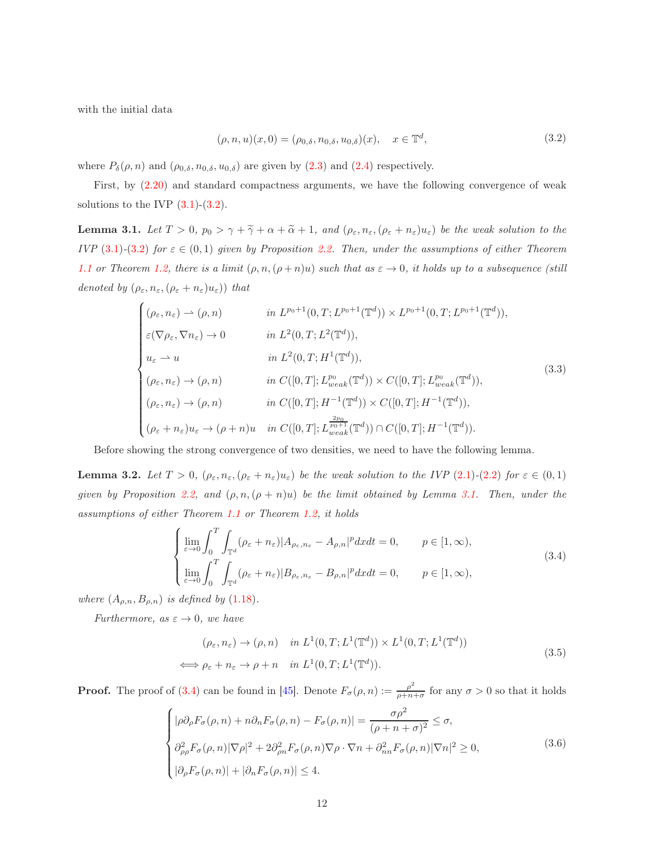<span id="page-11-0"></span>with the initial data

$$
(\rho, n, u)(x, 0) = (\rho_{0, \delta}, n_{0, \delta}, u_{0, \delta})(x), \quad x \in \mathbb{T}^d,
$$
\n(3.2)

where  $P_{\delta}(\rho, n)$  and  $(\rho_{0,\delta}, n_{0,\delta}, u_{0,\delta})$  are given by  $(2.3)$  $(2.3)$  and  $(2.4)$  $(2.4)$  respectively.

First, by [\(2.20\)](#page-10-1) and standard compactness arguments, we have the following convergence of weak solutions to the IVP  $(3.1)-(3.2)$  $(3.1)-(3.2)$  $(3.1)-(3.2)$  $(3.1)-(3.2)$  $(3.1)-(3.2)$ .

<span id="page-11-1"></span>**Lemma 3.1.** Let  $T > 0$ ,  $p_0 > \gamma + \tilde{\gamma} + \alpha + \tilde{\alpha} + 1$ , and  $(\rho_{\varepsilon}, n_{\varepsilon}, (\rho_{\varepsilon} + n_{\varepsilon})u_{\varepsilon})$  be the weak solution to the IVP [\(3](#page-11-0).1)-(3.2) for  $\varepsilon \in (0,1)$  given by Proposition [2.2.](#page-10-3) Then, under the assumptions of either Theorem [1.1](#page-3-3) or Theorem [1.2,](#page-5-0) there is a limit  $(\rho, n, (\rho+n)u)$  such that as  $\varepsilon \to 0$ , it holds up to a subsequence (still denoted by  $(\rho_{\varepsilon}, n_{\varepsilon}, (\rho_{\varepsilon} + n_{\varepsilon})u_{\varepsilon})$ ) that

<span id="page-11-4"></span>
$$
\begin{cases}\n(\rho_{\varepsilon}, n_{\varepsilon}) \to (\rho, n) & \text{in } L^{p_0+1}(0, T; L^{p_0+1}(\mathbb{T}^d)) \times L^{p_0+1}(0, T; L^{p_0+1}(\mathbb{T}^d)), \\
\varepsilon(\nabla \rho_{\varepsilon}, \nabla n_{\varepsilon}) \to 0 & \text{in } L^2(0, T; L^2(\mathbb{T}^d)), \\
u_{\varepsilon} \to u & \text{in } L^2(0, T; H^1(\mathbb{T}^d)), \\
(\rho_{\varepsilon}, n_{\varepsilon}) \to (\rho, n) & \text{in } C([0, T]; L^{p_0}_{weak}(\mathbb{T}^d)) \times C([0, T]; L^{p_0}_{weak}(\mathbb{T}^d)), \\
(\rho_{\varepsilon}, n_{\varepsilon}) \to (\rho, n) & \text{in } C([0, T]; H^{-1}(\mathbb{T}^d)) \times C([0, T]; H^{-1}(\mathbb{T}^d)), \\
(\rho_{\varepsilon} + n_{\varepsilon})u_{\varepsilon} \to (\rho + n)u & \text{in } C([0, T]; L^{p_0+1}_{weak}(\mathbb{T}^d)) \cap C([0, T]; H^{-1}(\mathbb{T}^d)).\n\end{cases}
$$
\n(3.3)

Before showing the strong convergence of two densities, we need to have the following lemma.

<span id="page-11-6"></span>**Lemma 3.2.** Let  $T > 0$ ,  $(\rho_{\varepsilon}, n_{\varepsilon}, (\rho_{\varepsilon} + n_{\varepsilon})u_{\varepsilon})$  be the weak solution to the IVP [\(2](#page-7-3).1)-(2.2) for  $\varepsilon \in (0,1)$ given by Proposition [2.2,](#page-10-3) and  $(\rho, n, (\rho + n)u)$  be the limit obtained by Lemma [3.1.](#page-11-1) Then, under the assumptions of either Theorem [1.1](#page-3-3) or Theorem [1.2,](#page-5-0) it holds

<span id="page-11-2"></span>
$$
\begin{cases}\n\lim_{\varepsilon \to 0} \int_0^T \int_{\mathbb{T}^d} (\rho_{\varepsilon} + n_{\varepsilon}) |A_{\rho_{\varepsilon}, n_{\varepsilon}} - A_{\rho, n}|^p dx dt = 0, & p \in [1, \infty), \\
\lim_{\varepsilon \to 0} \int_0^T \int_{\mathbb{T}^d} (\rho_{\varepsilon} + n_{\varepsilon}) |B_{\rho_{\varepsilon}, n_{\varepsilon}} - B_{\rho, n}|^p dx dt = 0, & p \in [1, \infty),\n\end{cases}
$$
\n(3.4)

where  $(A_{\rho,n}, B_{\rho,n})$  is defined by  $(1.18)$  $(1.18)$ .

<span id="page-11-5"></span>Furthermore, as  $\varepsilon \to 0$ , we have

$$
(\rho_{\varepsilon}, n_{\varepsilon}) \to (\rho, n) \quad \text{in } L^{1}(0, T; L^{1}(\mathbb{T}^{d})) \times L^{1}(0, T; L^{1}(\mathbb{T}^{d}))
$$
  

$$
\iff \rho_{\varepsilon} + n_{\varepsilon} \to \rho + n \quad \text{in } L^{1}(0, T; L^{1}(\mathbb{T}^{d})).
$$
 (3.5)

**Proof.** The proof of [\(3.4\)](#page-11-2) can be found in [\[45\]](#page-40-2). Denote  $F_{\sigma}(\rho, n) := \frac{\rho^2}{\rho + n^2}$  $\frac{\rho}{\rho+n+\sigma}$  for any  $\sigma > 0$  so that it holds

<span id="page-11-3"></span>
$$
\begin{cases}\n|\rho \partial_{\rho} F_{\sigma}(\rho, n) + n \partial_{n} F_{\sigma}(\rho, n) - F_{\sigma}(\rho, n)| = \frac{\sigma \rho^{2}}{(\rho + n + \sigma)^{2}} \leq \sigma, \\
\partial_{\rho \rho}^{2} F_{\sigma}(\rho, n) |\nabla \rho|^{2} + 2 \partial_{\rho n}^{2} F_{\sigma}(\rho, n) \nabla \rho \cdot \nabla n + \partial_{nn}^{2} F_{\sigma}(\rho, n) |\nabla n|^{2} \geq 0, \\
|\partial_{\rho} F_{\sigma}(\rho, n)| + |\partial_{n} F_{\sigma}(\rho, n)| \leq 4.\n\end{cases}
$$
\n(3.6)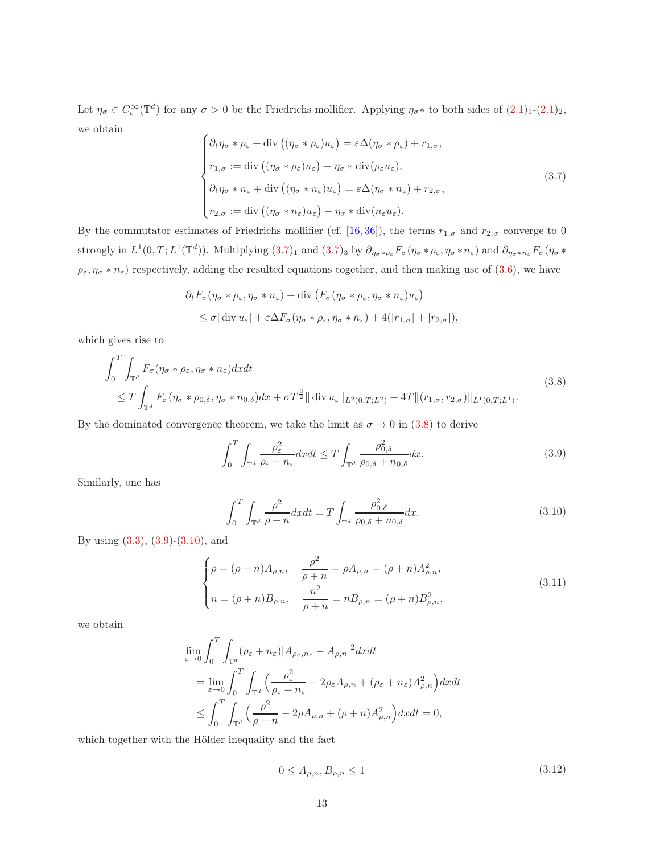Let  $\eta_{\sigma} \in C_c^{\infty}(\mathbb{T}^d)$  for any  $\sigma > 0$  be the Friedrichs mollifier. Applying  $\eta_{\sigma} *$  to both sides of  $(2.1)_1$  $(2.1)_1$ - $(2.1)_2$ , we obtain  $\lambda$ 

<span id="page-12-0"></span>
$$
\begin{cases}\n\partial_t \eta_{\sigma} * \rho_{\varepsilon} + \text{div}\left((\eta_{\sigma} * \rho_{\varepsilon})u_{\varepsilon}\right) = \varepsilon \Delta(\eta_{\sigma} * \rho_{\varepsilon}) + r_{1,\sigma}, \\
r_{1,\sigma} := \text{div}\left((\eta_{\sigma} * \rho_{\varepsilon})u_{\varepsilon}\right) - \eta_{\sigma} * \text{div}(\rho_{\varepsilon}u_{\varepsilon}), \\
\partial_t \eta_{\sigma} * n_{\varepsilon} + \text{div}\left((\eta_{\sigma} * n_{\varepsilon})u_{\varepsilon}\right) = \varepsilon \Delta(\eta_{\sigma} * n_{\varepsilon}) + r_{2,\sigma}, \\
r_{2,\sigma} := \text{div}\left((\eta_{\sigma} * n_{\varepsilon})u_{\varepsilon}\right) - \eta_{\sigma} * \text{div}(n_{\varepsilon}u_{\varepsilon}).\n\end{cases} \tag{3.7}
$$

By the commutator estimates of Friedrichs mollifier (cf. [\[16,](#page-38-10) [36\]](#page-40-12)), the terms  $r_{1,\sigma}$  and  $r_{2,\sigma}$  converge to 0 strongly in  $L^1(0,T;L^1(\mathbb{T}^d))$ . Multiplying  $(3.7)_1$  $(3.7)_1$  $(3.7)_1$  and  $(3.7)_3$  $(3.7)_3$  by  $\partial_{\eta_\sigma*\rho_\varepsilon}F_\sigma(\eta_\sigma*\rho_\varepsilon,\eta_\sigma*\rho_\varepsilon)$  and  $\partial_{\eta_\sigma*\rho_\varepsilon}F_\sigma(\eta_\sigma*\rho_\varepsilon)$  $\rho_{\varepsilon}, \eta_{\sigma} * n_{\varepsilon}$ ) respectively, adding the resulted equations together, and then making use of [\(3.6\)](#page-11-3), we have

$$
\partial_t F_{\sigma}(\eta_{\sigma} * \rho_{\varepsilon}, \eta_{\sigma} * n_{\varepsilon}) + \text{div} \left( F_{\sigma}(\eta_{\sigma} * \rho_{\varepsilon}, \eta_{\sigma} * n_{\varepsilon}) u_{\varepsilon} \right)
$$
  

$$
\leq \sigma |\text{ div } u_{\varepsilon}| + \varepsilon \Delta F_{\sigma}(\eta_{\sigma} * \rho_{\varepsilon}, \eta_{\sigma} * n_{\varepsilon}) + 4(|r_{1,\sigma}| + |r_{2,\sigma}|),
$$

which gives rise to

<span id="page-12-1"></span>
$$
\int_{0}^{T} \int_{\mathbb{T}^{d}} F_{\sigma}(\eta_{\sigma} * \rho_{\varepsilon}, \eta_{\sigma} * n_{\varepsilon}) dx dt
$$
\n
$$
\leq T \int_{\mathbb{T}^{d}} F_{\sigma}(\eta_{\sigma} * \rho_{0,\delta}, \eta_{\sigma} * n_{0,\delta}) dx + \sigma T^{\frac{3}{2}} || \operatorname{div} u_{\varepsilon} ||_{L^{2}(0,T;L^{2})} + 4T || (r_{1,\sigma}, r_{2,\sigma}) ||_{L^{1}(0,T;L^{1})}. \tag{3.8}
$$

<span id="page-12-2"></span>By the dominated convergence theorem, we take the limit as  $\sigma \to 0$  in [\(3.8\)](#page-12-1) to derive

$$
\int_0^T \int_{\mathbb{T}^d} \frac{\rho_\varepsilon^2}{\rho_\varepsilon + n_\varepsilon} dx dt \le T \int_{\mathbb{T}^d} \frac{\rho_{0,\delta}^2}{\rho_{0,\delta} + n_{0,\delta}} dx.
$$
 (3.9)

<span id="page-12-3"></span>Similarly, one has

$$
\int_0^T \int_{\mathbb{T}^d} \frac{\rho^2}{\rho + n} dx dt = T \int_{\mathbb{T}^d} \frac{\rho_{0,\delta}^2}{\rho_{0,\delta} + n_{0,\delta}} dx.
$$
 (3.10)

By using [\(3.3\)](#page-11-4), [\(3](#page-12-2).9)-(3.[10\)](#page-12-3), and

<span id="page-12-4"></span>
$$
\begin{cases}\n\rho = (\rho + n)A_{\rho,n}, & \frac{\rho^2}{\rho + n} = \rho A_{\rho,n} = (\rho + n)A_{\rho,n}^2, \\
n = (\rho + n)B_{\rho,n}, & \frac{n^2}{\rho + n} = nB_{\rho,n} = (\rho + n)B_{\rho,n}^2,\n\end{cases}
$$
\n(3.11)

we obtain

$$
\lim_{\varepsilon \to 0} \int_0^T \int_{\mathbb{T}^d} (\rho_{\varepsilon} + n_{\varepsilon}) |A_{\rho_{\varepsilon}, n_{\varepsilon}} - A_{\rho, n}|^2 dx dt
$$
\n
$$
= \lim_{\varepsilon \to 0} \int_0^T \int_{\mathbb{T}^d} \left( \frac{\rho_{\varepsilon}^2}{\rho_{\varepsilon} + n_{\varepsilon}} - 2\rho_{\varepsilon} A_{\rho, n} + (\rho_{\varepsilon} + n_{\varepsilon}) A_{\rho, n}^2 \right) dx dt
$$
\n
$$
\leq \int_0^T \int_{\mathbb{T}^d} \left( \frac{\rho^2}{\rho + n} - 2\rho A_{\rho, n} + (\rho + n) A_{\rho, n}^2 \right) dx dt = 0,
$$

<span id="page-12-5"></span>which together with the Hölder inequality and the fact

$$
0 \le A_{\rho,n}, B_{\rho,n} \le 1 \tag{3.12}
$$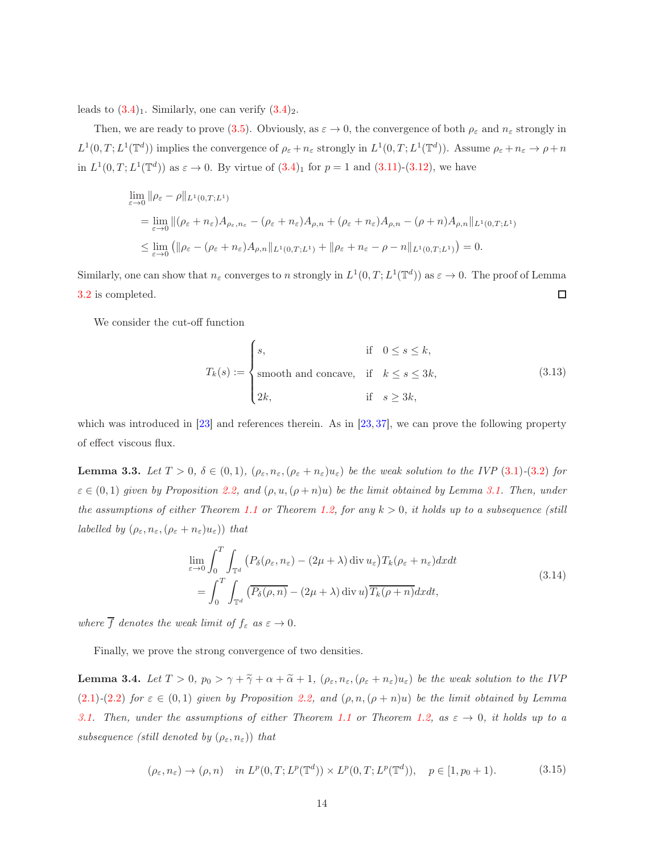leads to  $(3.4)_1$  $(3.4)_1$  $(3.4)_1$ . Similarly, one can verify  $(3.4)_2$  $(3.4)_2$ .

Then, we are ready to prove (3.[5\)](#page-11-5). Obviously, as  $\varepsilon \to 0$ , the convergence of both  $\rho_{\varepsilon}$  and  $n_{\varepsilon}$  strongly in  $L^1(0,T;L^1(\mathbb{T}^d))$  implies the convergence of  $\rho_{\varepsilon} + n_{\varepsilon}$  strongly in  $L^1(0,T;L^1(\mathbb{T}^d))$ . Assume  $\rho_{\varepsilon} + n_{\varepsilon} \to \rho + n_{\varepsilon}$ in  $L^1(0,T; L^1(\mathbb{T}^d))$  as  $\varepsilon \to 0$ . By virtue of  $(3.4)_1$  $(3.4)_1$  for  $p = 1$  and  $(3.11)-(3.12)$  $(3.11)-(3.12)$  $(3.11)-(3.12)$  $(3.11)-(3.12)$ , we have

$$
\lim_{\varepsilon \to 0} \|\rho_{\varepsilon} - \rho\|_{L^{1}(0,T;L^{1})}
$$
\n
$$
= \lim_{\varepsilon \to 0} \|(\rho_{\varepsilon} + n_{\varepsilon})A_{\rho_{\varepsilon},n_{\varepsilon}} - (\rho_{\varepsilon} + n_{\varepsilon})A_{\rho,n} + (\rho_{\varepsilon} + n_{\varepsilon})A_{\rho,n} - (\rho + n)A_{\rho,n}\|_{L^{1}(0,T;L^{1})}
$$
\n
$$
\leq \lim_{\varepsilon \to 0} \left( \|\rho_{\varepsilon} - (\rho_{\varepsilon} + n_{\varepsilon})A_{\rho,n}\|_{L^{1}(0,T;L^{1})} + \|\rho_{\varepsilon} + n_{\varepsilon} - \rho - n\|_{L^{1}(0,T;L^{1})} \right) = 0.
$$

Similarly, one can show that  $n_{\varepsilon}$  converges to n strongly in  $L^1(0,T;L^1(\mathbb{T}^d))$  as  $\varepsilon \to 0$ . The proof of Lemma  $\Box$ [3.2](#page-11-6) is completed.

We consider the cut-off function

<span id="page-13-0"></span>
$$
T_k(s) := \begin{cases} s, & \text{if } 0 \le s \le k, \\ \text{smooth and concave, if } k \le s \le 3k, \\ 2k, & \text{if } s \ge 3k, \end{cases} \tag{3.13}
$$

which was introduced in [\[23\]](#page-39-8) and references therein. As in [\[23,](#page-39-8) [37\]](#page-40-6), we can prove the following property of effect viscous flux.

**Lemma 3.3.** Let  $T > 0$ ,  $\delta \in (0, 1)$  $\delta \in (0, 1)$ ,  $(\rho_{\varepsilon}, n_{\varepsilon}, (\rho_{\varepsilon} + n_{\varepsilon})u_{\varepsilon})$  be the weak solution to the IVP (3.1)-(3.[2\)](#page-11-0) for  $\varepsilon \in (0,1)$  given by Proposition [2.2,](#page-10-3) and  $(\rho, u, (\rho + n)u)$  be the limit obtained by Lemma [3.1.](#page-11-1) Then, under the assumptions of either Theorem [1.1](#page-3-3) or Theorem [1.2,](#page-5-0) for any  $k > 0$ , it holds up to a subsequence (still *labelled by*  $(\rho_{\varepsilon}, n_{\varepsilon}, (\rho_{\varepsilon} + n_{\varepsilon})u_{\varepsilon})$ *)* that

$$
\lim_{\varepsilon \to 0} \int_0^T \int_{\mathbb{T}^d} \left( P_\delta(\rho_\varepsilon, n_\varepsilon) - (2\mu + \lambda) \operatorname{div} u_\varepsilon \right) T_k(\rho_\varepsilon + n_\varepsilon) dx dt
$$
\n
$$
= \int_0^T \int_{\mathbb{T}^d} \left( \overline{P_\delta(\rho, n)} - (2\mu + \lambda) \operatorname{div} u \right) \overline{T_k(\rho + n)} dx dt,
$$
\n(3.14)

<span id="page-13-1"></span>where  $\overline{f}$  denotes the weak limit of  $f_{\varepsilon}$  as  $\varepsilon \to 0$ .

Finally, we prove the strong convergence of two densities.

<span id="page-13-3"></span>**Lemma 3.4.** Let  $T > 0$ ,  $p_0 > \gamma + \tilde{\gamma} + \alpha + \tilde{\alpha} + 1$ ,  $(\rho_{\varepsilon}, n_{\varepsilon}, (\rho_{\varepsilon} + n_{\varepsilon})u_{\varepsilon})$  be the weak solution to the IVP (2.[1\)](#page-7-0)-(2.[2\)](#page-7-3) for  $\varepsilon \in (0,1)$  given by Proposition [2.2,](#page-10-3) and  $(\rho, n, (\rho + n)u)$  be the limit obtained by Lemma [3.1.](#page-11-1) Then, under the assumptions of either Theorem [1.1](#page-3-3) or Theorem [1.2,](#page-5-0) as  $\varepsilon \to 0$ , it holds up to a subsequence (still denoted by  $(\rho_{\varepsilon}, n_{\varepsilon})$ ) that

<span id="page-13-2"></span>
$$
(\rho_{\varepsilon}, n_{\varepsilon}) \to (\rho, n) \quad \text{in } L^p(0, T; L^p(\mathbb{T}^d)) \times L^p(0, T; L^p(\mathbb{T}^d)), \quad p \in [1, p_0 + 1). \tag{3.15}
$$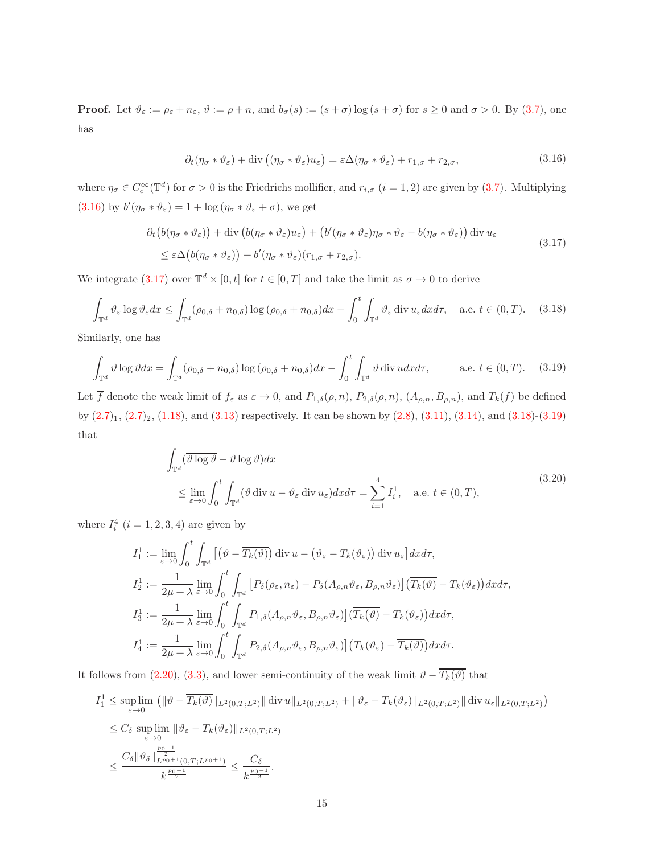**Proof.** Let  $\vartheta_{\varepsilon} := \rho_{\varepsilon} + n_{\varepsilon}, \vartheta := \rho + n$ , and  $b_{\sigma}(s) := (s + \sigma) \log(s + \sigma)$  for  $s \ge 0$  and  $\sigma > 0$ . By (3.[7\)](#page-12-0), one has

$$
\partial_t (\eta_\sigma * \vartheta_\varepsilon) + \text{div} \left( (\eta_\sigma * \vartheta_\varepsilon) u_\varepsilon \right) = \varepsilon \Delta (\eta_\sigma * \vartheta_\varepsilon) + r_{1,\sigma} + r_{2,\sigma}, \tag{3.16}
$$

<span id="page-14-0"></span>where  $\eta_{\sigma} \in C_c^{\infty}(\mathbb{T}^d)$  for  $\sigma > 0$  is the Friedrichs mollifier, and  $r_{i,\sigma}$   $(i = 1, 2)$  are given by  $(3.7)$  $(3.7)$ . Multiplying (3.[16\)](#page-14-0) by  $b'(\eta_{\sigma} * \vartheta_{\varepsilon}) = 1 + \log(\eta_{\sigma} * \vartheta_{\varepsilon} + \sigma)$ , we get

$$
\partial_t \left( b(\eta_\sigma * \vartheta_\varepsilon) \right) + \text{div} \left( b(\eta_\sigma * \vartheta_\varepsilon) u_\varepsilon \right) + \left( b'(\eta_\sigma * \vartheta_\varepsilon) \eta_\sigma * \vartheta_\varepsilon - b(\eta_\sigma * \vartheta_\varepsilon) \right) \text{div } u_\varepsilon
$$
\n
$$
\leq \varepsilon \Delta \left( b(\eta_\sigma * \vartheta_\varepsilon) \right) + b'(\eta_\sigma * \vartheta_\varepsilon) (r_{1,\sigma} + r_{2,\sigma}). \tag{3.17}
$$

<span id="page-14-1"></span>We integrate (3.[17\)](#page-14-1) over  $\mathbb{T}^d \times [0, t]$  for  $t \in [0, T]$  and take the limit as  $\sigma \to 0$  to derive

<span id="page-14-2"></span>
$$
\int_{\mathbb{T}^d} \vartheta_{\varepsilon} \log \vartheta_{\varepsilon} dx \le \int_{\mathbb{T}^d} (\rho_{0,\delta} + n_{0,\delta}) \log (\rho_{0,\delta} + n_{0,\delta}) dx - \int_0^t \int_{\mathbb{T}^d} \vartheta_{\varepsilon} \operatorname{div} u_{\varepsilon} dx d\tau, \quad \text{a.e. } t \in (0, T). \tag{3.18}
$$

Similarly, one has

<span id="page-14-3"></span>
$$
\int_{\mathbb{T}^d} \vartheta \log \vartheta dx = \int_{\mathbb{T}^d} (\rho_{0,\delta} + n_{0,\delta}) \log (\rho_{0,\delta} + n_{0,\delta}) dx - \int_0^t \int_{\mathbb{T}^d} \vartheta \operatorname{div} u dx d\tau, \qquad \text{a.e. } t \in (0, T). \tag{3.19}
$$

Let  $\overline{f}$  denote the weak limit of  $f_{\varepsilon}$  as  $\varepsilon \to 0$ , and  $P_{1,\delta}(\rho,n)$ ,  $P_{2,\delta}(\rho,n)$ ,  $(A_{\rho,n},B_{\rho,n})$ , and  $T_k(f)$  be defined by  $(2.7)_1$  $(2.7)_1$  $(2.7)_1$ ,  $(2.7)_2$ ,  $(1.18)$  $(1.18)$ , and  $(3.13)$  $(3.13)$  respectively. It can be shown by  $(2.8)$ ,  $(3.11)$ ,  $(3.14)$ , and  $(3.18)-(3.19)$  $(3.18)-(3.19)$ that

$$
\int_{\mathbb{T}^d} (\overline{\vartheta \log \vartheta} - \vartheta \log \vartheta) dx
$$
\n
$$
\leq \lim_{\varepsilon \to 0} \int_0^t \int_{\mathbb{T}^d} (\vartheta \operatorname{div} u - \vartheta_{\varepsilon} \operatorname{div} u_{\varepsilon}) dx d\tau = \sum_{i=1}^4 I_i^1, \quad \text{a.e. } t \in (0, T),
$$
\n(3.20)

<span id="page-14-4"></span>where  $I_i^4$   $(i = 1, 2, 3, 4)$  are given by

$$
I_1^1 := \lim_{\varepsilon \to 0} \int_0^t \int_{\mathbb{T}^d} \left[ \left( \vartheta - \overline{T_k(\vartheta)} \right) \operatorname{div} u - \left( \vartheta_{\varepsilon} - T_k(\vartheta_{\varepsilon}) \right) \operatorname{div} u_{\varepsilon} \right] dx d\tau,
$$
  
\n
$$
I_2^1 := \frac{1}{2\mu + \lambda} \lim_{\varepsilon \to 0} \int_0^t \int_{\mathbb{T}^d} \left[ P_\delta(\rho_{\varepsilon}, n_{\varepsilon}) - P_\delta(A_{\rho,n} \vartheta_{\varepsilon}, B_{\rho,n} \vartheta_{\varepsilon}) \right] \left( \overline{T_k(\vartheta)} - T_k(\vartheta_{\varepsilon}) \right) dx d\tau,
$$
  
\n
$$
I_3^1 := \frac{1}{2\mu + \lambda} \lim_{\varepsilon \to 0} \int_0^t \int_{\mathbb{T}^d} P_{1,\delta}(A_{\rho,n} \vartheta_{\varepsilon}, B_{\rho,n} \vartheta_{\varepsilon}) \left[ \overline{T_k(\vartheta)} - T_k(\vartheta_{\varepsilon}) \right] dx d\tau,
$$
  
\n
$$
I_4^1 := \frac{1}{2\mu + \lambda} \lim_{\varepsilon \to 0} \int_0^t \int_{\mathbb{T}^d} P_{2,\delta}(A_{\rho,n} \vartheta_{\varepsilon}, B_{\rho,n} \vartheta_{\varepsilon}) \left[ \overline{T_k(\vartheta_{\varepsilon})} - \overline{T_k(\vartheta)} \right] dx d\tau.
$$

It follows from [\(2.20\)](#page-10-1), [\(3.3\)](#page-11-4), and lower semi-continuity of the weak limit  $\vartheta - \overline{T_k(\vartheta)}$  that

$$
I_1^1 \leq \sup_{\varepsilon \to 0} \lim_{\varepsilon \to 0} \left( \|\vartheta - \overline{T_k(\vartheta)}\|_{L^2(0,T;L^2)} \|\operatorname{div} u\|_{L^2(0,T;L^2)} + \|\vartheta_{\varepsilon} - T_k(\vartheta_{\varepsilon})\|_{L^2(0,T;L^2)} \|\operatorname{div} u_{\varepsilon}\|_{L^2(0,T;L^2)} \right)
$$
  

$$
\leq C_\delta \sup_{\varepsilon \to 0} \lim_{\varepsilon \to 0} \|\vartheta_{\varepsilon} - T_k(\vartheta_{\varepsilon})\|_{L^2(0,T;L^2)}
$$
  

$$
\leq \frac{C_\delta \|\vartheta_\delta\|_{L^{p_0+1}(0,T;L^{p_0+1})}^{\frac{p_0+1}{2}}}{k^{\frac{p_0-1}{2}}} \leq \frac{C_\delta}{k^{\frac{p_0-1}{2}}}.
$$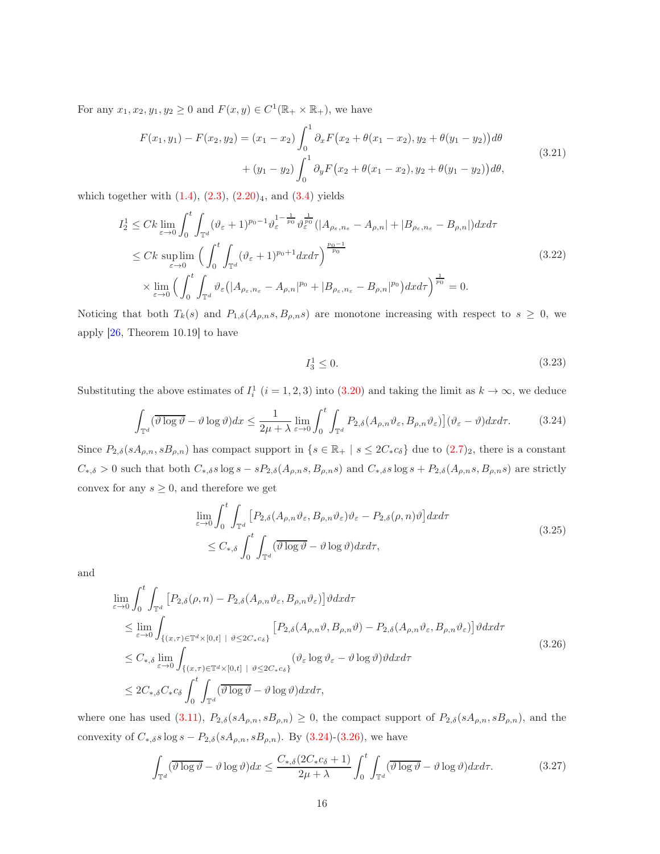<span id="page-15-3"></span>For any  $x_1, x_2, y_1, y_2 \ge 0$  and  $F(x, y) \in C^1(\mathbb{R}_+ \times \mathbb{R}_+)$ , we have

$$
F(x_1, y_1) - F(x_2, y_2) = (x_1 - x_2) \int_0^1 \partial_x F(x_2 + \theta(x_1 - x_2), y_2 + \theta(y_1 - y_2)) d\theta
$$
  
+ 
$$
(y_1 - y_2) \int_0^1 \partial_y F(x_2 + \theta(x_1 - x_2), y_2 + \theta(y_1 - y_2)) d\theta,
$$
 (3.21)

which together with  $(1.4)$  $(1.4)$ ,  $(2.3)$  $(2.3)$ ,  $(2.20)_4$  $(2.20)_4$  $(2.20)_4$ , and  $(3.4)$  yields

$$
I_2^1 \leq Ck \lim_{\varepsilon \to 0} \int_0^t \int_{\mathbb{T}^d} (\vartheta_{\varepsilon} + 1)^{p_0 - 1} \vartheta_{\varepsilon}^{1 - \frac{1}{p_0}} \vartheta_{\varepsilon}^{\frac{1}{p_0}} (|A_{\rho_{\varepsilon}, n_{\varepsilon}} - A_{\rho, n}| + |B_{\rho_{\varepsilon}, n_{\varepsilon}} - B_{\rho, n}|) dx d\tau
$$
  

$$
\leq Ck \sup_{\varepsilon \to 0} \lim_{\varepsilon \to 0} \Big( \int_0^t \int_{\mathbb{T}^d} (\vartheta_{\varepsilon} + 1)^{p_0 + 1} dx d\tau \Big)^{\frac{p_0 - 1}{p_0}} \times \lim_{\varepsilon \to 0} \Big( \int_0^t \int_{\mathbb{T}^d} \vartheta_{\varepsilon} (|A_{\rho_{\varepsilon}, n_{\varepsilon}} - A_{\rho, n}|^{p_0} + |B_{\rho_{\varepsilon}, n_{\varepsilon}} - B_{\rho, n}|^{p_0} \Big) dx d\tau \Big)^{\frac{1}{p_0}} = 0.
$$
 (3.22)

Noticing that both  $T_k(s)$  and  $P_{1,\delta}(A_{\rho,n}s, B_{\rho,n}s)$  are monotone increasing with respect to  $s \geq 0$ , we apply [\[26,](#page-39-13) Theorem 10.19] to have

$$
I_3^1 \le 0. \tag{3.23}
$$

<span id="page-15-0"></span>Substituting the above estimates of  $I_i^1$   $(i = 1, 2, 3)$  into  $(3.20)$  and taking the limit as  $k \to \infty$ , we deduce

$$
\int_{\mathbb{T}^d} (\overline{\vartheta \log \vartheta} - \vartheta \log \vartheta) dx \le \frac{1}{2\mu + \lambda} \lim_{\varepsilon \to 0} \int_0^t \int_{\mathbb{T}^d} P_{2,\delta}(A_{\rho,n} \vartheta_{\varepsilon}, B_{\rho,n} \vartheta_{\varepsilon}) \, d\vartheta \, d\tau. \tag{3.24}
$$

Since  $P_{2,\delta}(sA_{\rho,n}, sB_{\rho,n})$  has compact support in  $\{s \in \mathbb{R}_+ \mid s \leq 2C_* c_{\delta}\}\$  due to  $(2.7)_2$  $(2.7)_2$ , there is a constant  $C_{*,\delta} > 0$  such that both  $C_{*,\delta} s \log s - s P_{2,\delta}(A_{\rho,n}s, B_{\rho,n}s)$  and  $C_{*,\delta} s \log s + P_{2,\delta}(A_{\rho,n}s, B_{\rho,n}s)$  are strictly convex for any  $s \geq 0$ , and therefore we get

$$
\lim_{\varepsilon \to 0} \int_0^t \int_{\mathbb{T}^d} \left[ P_{2,\delta} (A_{\rho,n} \vartheta_{\varepsilon}, B_{\rho,n} \vartheta_{\varepsilon}) \vartheta_{\varepsilon} - P_{2,\delta}(\rho, n) \vartheta \right] dx d\tau
$$
\n
$$
\leq C_{*,\delta} \int_0^t \int_{\mathbb{T}^d} (\overline{\vartheta \log \vartheta} - \vartheta \log \vartheta) dx d\tau,
$$
\n(3.25)

and

<span id="page-15-1"></span>
$$
\lim_{\varepsilon \to 0} \int_{0}^{t} \int_{\mathbb{T}^{d}} \left[ P_{2,\delta}(\rho, n) - P_{2,\delta}(A_{\rho,n} \vartheta_{\varepsilon}, B_{\rho,n} \vartheta_{\varepsilon}) \right] \vartheta dx d\tau
$$
\n
$$
\leq \lim_{\varepsilon \to 0} \int_{\{(x,\tau) \in \mathbb{T}^{d} \times [0,t] \mid \vartheta \leq 2C_{\ast} c_{\delta}\}} \left[ P_{2,\delta}(A_{\rho,n} \vartheta, B_{\rho,n} \vartheta) - P_{2,\delta}(A_{\rho,n} \vartheta_{\varepsilon}, B_{\rho,n} \vartheta_{\varepsilon}) \right] \vartheta dx d\tau
$$
\n
$$
\leq C_{*,\delta} \lim_{\varepsilon \to 0} \int_{\{(x,\tau) \in \mathbb{T}^{d} \times [0,t] \mid \vartheta \leq 2C_{\ast} c_{\delta}\}} (\vartheta_{\varepsilon} \log \vartheta_{\varepsilon} - \vartheta \log \vartheta) \vartheta dx d\tau
$$
\n
$$
\leq 2C_{*,\delta} C_{*} c_{\delta} \int_{0}^{t} \int_{\mathbb{T}^{d}} (\vartheta \log \vartheta - \vartheta \log \vartheta) dx d\tau,
$$
\n(3.26)

<span id="page-15-2"></span>where one has used [\(3.11\)](#page-12-4),  $P_{2,\delta}(sA_{\rho,n}, sB_{\rho,n}) \geq 0$ , the compact support of  $P_{2,\delta}(sA_{\rho,n}, sB_{\rho,n})$ , and the convexity of  $C_{*,\delta} s \log s - P_{2,\delta}(sA_{\rho,n}, sB_{\rho,n})$ . By [\(3.24\)](#page-15-0)-[\(3.26\)](#page-15-1), we have

$$
\int_{\mathbb{T}^d} (\overline{\vartheta \log \vartheta} - \vartheta \log \vartheta) dx \le \frac{C_{*,\delta} (2C_* c_{\delta} + 1)}{2\mu + \lambda} \int_0^t \int_{\mathbb{T}^d} (\overline{\vartheta \log \vartheta} - \vartheta \log \vartheta) dx d\tau.
$$
 (3.27)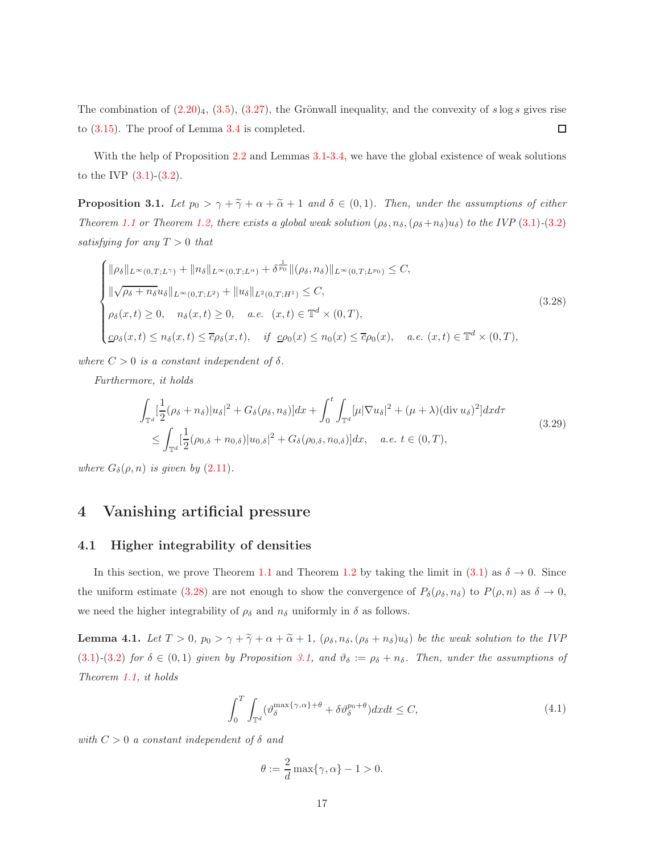The combination of  $(2.20)_4$  $(2.20)_4$  $(2.20)_4$ ,  $(3.5)$  $(3.5)$ ,  $(3.27)$ , the Grönwall inequality, and the convexity of s log s gives rise to (3.[15\)](#page-13-2). The proof of Lemma [3.4](#page-13-3) is completed. □

With the help of Proposition [2.2](#page-10-3) and Lemmas [3.1](#page-11-1)[-3.4,](#page-13-3) we have the global existence of weak solutions to the IVP  $(3.1)-(3.2)$  $(3.1)-(3.2)$ .

<span id="page-16-1"></span>**Proposition 3.1.** Let  $p_0 > \gamma + \tilde{\gamma} + \alpha + \tilde{\alpha} + 1$  and  $\delta \in (0,1)$ . Then, under the assumptions of either Theorem [1.1](#page-3-3) or Theorem [1.2,](#page-5-0) there exists a global weak solution  $(\rho_{\delta}, n_{\delta}, (\rho_{\delta}+n_{\delta})u_{\delta})$  to the IVP (3.[1\)](#page-10-2)-(3.[2\)](#page-11-0) satisfying for any  $T > 0$  that

<span id="page-16-0"></span>
$$
\begin{cases}\n\|\rho_{\delta}\|_{L^{\infty}(0,T;L^{\gamma})} + \|n_{\delta}\|_{L^{\infty}(0,T;L^{\alpha})} + \delta^{\frac{1}{p_0}}\|(\rho_{\delta},n_{\delta})\|_{L^{\infty}(0,T;L^{p_0})} \leq C, \\
\|\sqrt{\rho_{\delta} + n_{\delta}}u_{\delta}\|_{L^{\infty}(0,T;L^{2})} + \|u_{\delta}\|_{L^{2}(0,T;H^{1})} \leq C, \\
\rho_{\delta}(x,t) \geq 0, \quad n_{\delta}(x,t) \geq 0, \quad a.e. \ (x,t) \in \mathbb{T}^{d} \times (0,T), \\
\underline{c}\rho_{\delta}(x,t) \leq n_{\delta}(x,t) \leq \overline{c}\rho_{\delta}(x,t), \quad \text{if } \underline{c}\rho_{0}(x) \leq n_{0}(x) \leq \overline{c}\rho_{0}(x), \quad a.e. \ (x,t) \in \mathbb{T}^{d} \times (0,T),\n\end{cases}
$$
\n(3.28)

where  $C > 0$  is a constant independent of  $\delta$ .

<span id="page-16-4"></span>Furthermore, it holds

$$
\int_{\mathbb{T}^d} \left[ \frac{1}{2} (\rho_{\delta} + n_{\delta}) |u_{\delta}|^2 + G_{\delta}(\rho_{\delta}, n_{\delta}) \right] dx + \int_0^t \int_{\mathbb{T}^d} [\mu |\nabla u_{\delta}|^2 + (\mu + \lambda) (\text{div } u_{\delta})^2] dx d\tau
$$
\n
$$
\leq \int_{\mathbb{T}^d} \left[ \frac{1}{2} (\rho_{0,\delta} + n_{0,\delta}) |u_{0,\delta}|^2 + G_{\delta}(\rho_{0,\delta}, n_{0,\delta}) \right] dx, \quad a.e. \ t \in (0, T),
$$
\n(3.29)

where  $G_{\delta}(\rho, n)$  is given by  $(2.11)$  $(2.11)$ .

## 4 Vanishing artificial pressure

#### 4.1 Higher integrability of densities

In this section, we prove Theorem [1.1](#page-3-3) and Theorem [1.2](#page-5-0) by taking the limit in  $(3.1)$  $(3.1)$  as  $\delta \rightarrow 0$ . Since the uniform estimate (3.[28\)](#page-16-0) are not enough to show the convergence of  $P_{\delta}(\rho_{\delta}, n_{\delta})$  to  $P(\rho, n)$  as  $\delta \to 0$ , we need the higher integrability of  $\rho_{\delta}$  and  $n_{\delta}$  uniformly in  $\delta$  as follows.

<span id="page-16-3"></span>**Lemma 4.1.** Let  $T > 0$ ,  $p_0 > \gamma + \tilde{\gamma} + \alpha + \tilde{\alpha} + 1$ ,  $(\rho_{\delta}, n_{\delta}, (\rho_{\delta} + n_{\delta})u_{\delta})$  be the weak solution to the IVP (3.[1\)](#page-10-2)-(3.[2\)](#page-11-0) for  $\delta \in (0,1)$  given by Proposition [3.1,](#page-16-1) and  $\vartheta_{\delta} := \rho_{\delta} + n_{\delta}$ . Then, under the assumptions of Theorem [1.1,](#page-3-3) it holds

$$
\int_{0}^{T} \int_{\mathbb{T}^{d}} (\vartheta_{\delta}^{\max\{\gamma,\alpha\}+\theta} + \delta \vartheta_{\delta}^{p_{0}+\theta}) dx dt \le C,
$$
\n(4.1)

<span id="page-16-2"></span>with  $C > 0$  a constant independent of  $\delta$  and

$$
\theta:=\frac{2}{d}\max\{\gamma,\alpha\}-1>0.
$$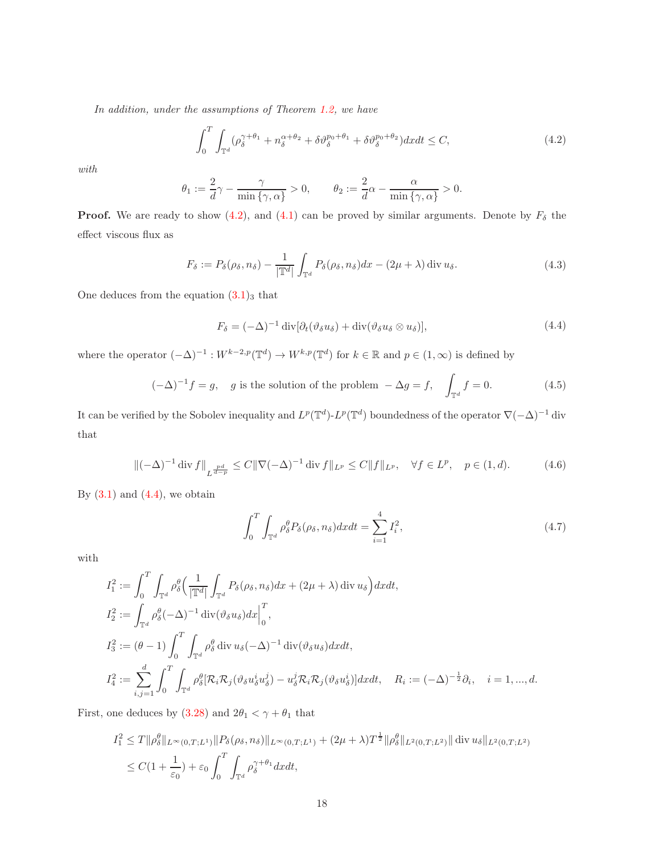<span id="page-17-0"></span>In addition, under the assumptions of Theorem [1.2,](#page-5-0) we have

$$
\int_0^T \int_{\mathbb{T}^d} (\rho_\delta^{\gamma+\theta_1} + n_\delta^{\alpha+\theta_2} + \delta \vartheta_\delta^{p_0+\theta_1} + \delta \vartheta_\delta^{p_0+\theta_2}) dx dt \le C,
$$
\n(4.2)

with

$$
\theta_1:=\frac{2}{d}\gamma-\frac{\gamma}{\min{\{\gamma,\alpha\}}}>0,\qquad \theta_2:=\frac{2}{d}\alpha-\frac{\alpha}{\min{\{\gamma,\alpha\}}>0.
$$

**Proof.** We are ready to show [\(4.2\)](#page-17-0), and [\(4.1\)](#page-16-2) can be proved by similar arguments. Denote by  $F_\delta$  the effect viscous flux as

$$
F_{\delta} := P_{\delta}(\rho_{\delta}, n_{\delta}) - \frac{1}{|\mathbb{T}^d|} \int_{\mathbb{T}^d} P_{\delta}(\rho_{\delta}, n_{\delta}) dx - (2\mu + \lambda) \operatorname{div} u_{\delta}.
$$
 (4.3)

<span id="page-17-4"></span><span id="page-17-1"></span>One deduces from the equation  $(3.1)_3$  $(3.1)_3$  that

$$
F_{\delta} = (-\Delta)^{-1} \operatorname{div} [\partial_t (\vartheta_{\delta} u_{\delta}) + \operatorname{div} (\vartheta_{\delta} u_{\delta} \otimes u_{\delta})], \tag{4.4}
$$

where the operator  $(-\Delta)^{-1}: W^{k-2,p}(\mathbb{T}^d) \to W^{k,p}(\mathbb{T}^d)$  for  $k \in \mathbb{R}$  and  $p \in (1,\infty)$  is defined by

$$
(-\Delta)^{-1}f = g, \quad g \text{ is the solution of the problem } -\Delta g = f, \quad \int_{\mathbb{T}^d} f = 0. \tag{4.5}
$$

It can be verified by the Sobolev inequality and  $L^p(\mathbb{T}^d)$ - $L^p(\mathbb{T}^d)$  boundedness of the operator  $\nabla(-\Delta)^{-1}$  div that

$$
\|(-\Delta)^{-1} \operatorname{div} f\|_{L^{\frac{pd}{d-p}}} \le C \|\nabla (-\Delta)^{-1} \operatorname{div} f\|_{L^p} \le C \|f\|_{L^p}, \quad \forall f \in L^p, \quad p \in (1, d). \tag{4.6}
$$

<span id="page-17-3"></span><span id="page-17-2"></span>By  $(3.1)$  and  $(4.4)$ , we obtain

$$
\int_0^T \int_{\mathbb{T}^d} \rho_\delta^\theta P_\delta(\rho_\delta, n_\delta) dx dt = \sum_{i=1}^4 I_i^2,\tag{4.7}
$$

with

$$
I_1^2 := \int_0^T \int_{\mathbb{T}^d} \rho_\delta^\theta \Big( \frac{1}{|\mathbb{T}^d|} \int_{\mathbb{T}^d} P_\delta(\rho_\delta, n_\delta) dx + (2\mu + \lambda) \operatorname{div} u_\delta \Big) dx dt,
$$
  
\n
$$
I_2^2 := \int_{\mathbb{T}^d} \rho_\delta^\theta (-\Delta)^{-1} \operatorname{div}(\vartheta_\delta u_\delta) dx \Big|_0^T,
$$
  
\n
$$
I_3^2 := (\theta - 1) \int_0^T \int_{\mathbb{T}^d} \rho_\delta^\theta \operatorname{div} u_\delta (-\Delta)^{-1} \operatorname{div}(\vartheta_\delta u_\delta) dx dt,
$$
  
\n
$$
I_4^2 := \sum_{i,j=1}^d \int_0^T \int_{\mathbb{T}^d} \rho_\delta^\theta [\mathcal{R}_i \mathcal{R}_j(\vartheta_\delta u_\delta^i u_\delta^j) - u_\delta^j \mathcal{R}_i \mathcal{R}_j(\vartheta_\delta u_\delta^i)] dx dt, \quad R_i := (-\Delta)^{-\frac{1}{2}} \partial_i, \quad i = 1, ..., d.
$$

First, one deduces by (3.[28\)](#page-16-0) and  $2\theta_1<\gamma+\theta_1$  that

$$
I_1^2 \le T \|\rho_\delta^\theta\|_{L^\infty(0,T;L^1)} \|P_\delta(\rho_\delta, n_\delta)\|_{L^\infty(0,T;L^1)} + (2\mu + \lambda)T^{\frac{1}{2}} \|\rho_\delta^\theta\|_{L^2(0,T;L^2)} \|\operatorname{div} u_\delta\|_{L^2(0,T;L^2)}
$$
  

$$
\le C(1 + \frac{1}{\varepsilon_0}) + \varepsilon_0 \int_0^T \int_{\mathbb{T}^d} \rho_\delta^{\gamma+\theta_1} dx dt,
$$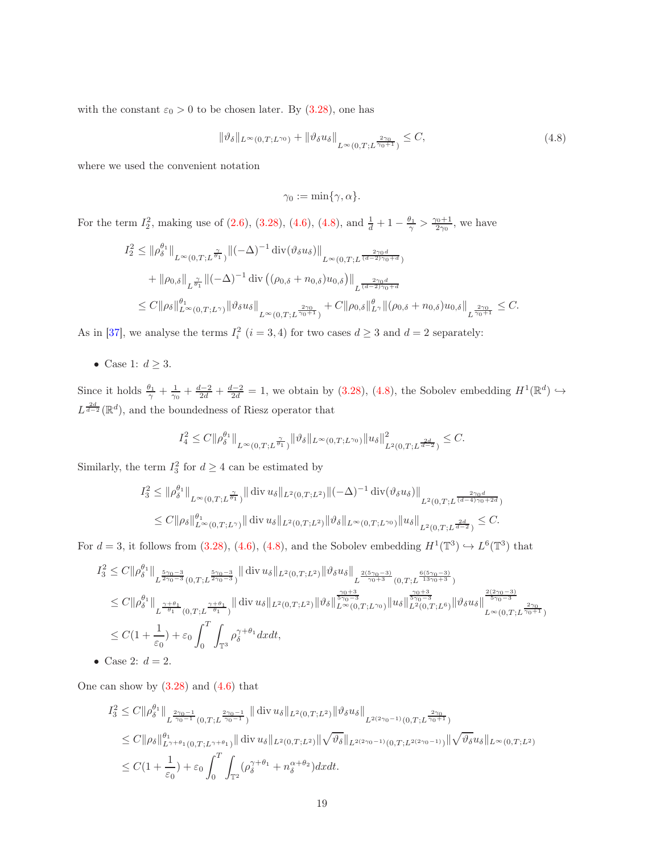<span id="page-18-0"></span>with the constant  $\varepsilon_0 > 0$  to be chosen later. By (3.[28\)](#page-16-0), one has

$$
\|\vartheta_{\delta}\|_{L^{\infty}(0,T;L^{\gamma_0})} + \|\vartheta_{\delta}u_{\delta}\|_{L^{\infty}(0,T;L^{\frac{2\gamma_0}{\gamma_0+1}})} \leq C,
$$
\n(4.8)

where we used the convenient notation

$$
\gamma_0:=\min\{\gamma,\alpha\}.
$$

For the term  $I_2^2$ , making use of (2.[6\)](#page-7-1), (3.[28\)](#page-16-0), [\(4.6\)](#page-17-2), [\(4.8\)](#page-18-0), and  $\frac{1}{d} + 1 - \frac{\theta_1}{\gamma} > \frac{\gamma_0 + 1}{2\gamma_0}$ , we have

$$
I_2^2 \leq \|\rho_\delta^{\theta_1}\|_{L^\infty(0,T;L^{\frac{\gamma}{\theta_1}})} \|(-\Delta)^{-1} \operatorname{div}(\vartheta_\delta u_\delta)\|_{L^\infty(0,T;L^{\frac{2\gamma_0 d}{(d-2)\gamma_0+d}})}
$$
  
+  $\|\rho_{0,\delta}\|_{L^{\frac{\gamma}{\theta_1}}}\|(-\Delta)^{-1} \operatorname{div}((\rho_{0,\delta}+n_{0,\delta})u_{0,\delta})\|_{L^{\frac{2\gamma_0 d}{(d-2)\gamma_0+d}}}$   
 $\leq C \|\rho_\delta\|_{L^\infty(0,T;L^\gamma)}^{\theta_1} \|\vartheta_\delta u_\delta\|_{L^\infty(0,T;L^{\frac{2\gamma_0}{\gamma_0+1}})} + C \|\rho_{0,\delta}\|_{L^\gamma}^{\theta} \|(\rho_{0,\delta}+n_{0,\delta})u_{0,\delta}\|_{L^{\frac{2\gamma_0}{\gamma_0+1}}} \leq C.$ 

As in [\[37\]](#page-40-6), we analyse the terms  $I_i^2$   $(i = 3, 4)$  for two cases  $d \geq 3$  and  $d = 2$  separately:

• Case 1:  $d \geq 3$ .

Since it holds  $\frac{\theta_1}{\gamma} + \frac{1}{\gamma_0} + \frac{d-2}{2d} + \frac{d-2}{2d} = 1$ , we obtain by (3.[28\)](#page-16-0), [\(4.8\)](#page-18-0), the Sobolev embedding  $H^1(\mathbb{R}^d) \hookrightarrow$  $L^{\frac{2d}{d-2}}(\mathbb{R}^d)$ , and the boundedness of Riesz operator that

$$
I_4^2 \leq C \|\rho^{\theta_1}_\delta\|_{L^\infty(0,T;L^{\frac{\gamma}{\theta_1}})} \|\vartheta_\delta\|_{L^\infty(0,T;L^{\gamma_0})} \|u_\delta\|_{L^2(0,T;L^{\frac{2d}{d-2}})}^2 \leq C.
$$

Similarly, the term  $I_3^2$  for  $d \geq 4$  can be estimated by

$$
I_3^2 \le \|\rho_\delta^{\theta_1}\|_{L^\infty(0,T;L^{\frac{\gamma}{\theta_1}})} \|\operatorname{div} u_\delta\|_{L^2(0,T;L^2)} \|(-\Delta)^{-1} \operatorname{div}(\vartheta_\delta u_\delta)\|_{L^2(0,T;L^{\frac{2\gamma_0 d}{(d-4)\gamma_0+2d}})}
$$
  

$$
\le C \|\rho_\delta\|_{L^\infty(0,T;L^\gamma)}^{\theta_1} \|\operatorname{div} u_\delta\|_{L^2(0,T;L^2)} \|\vartheta_\delta\|_{L^\infty(0,T;L^{\gamma_0})} \|u_\delta\|_{L^2(0,T;L^{\frac{2d}{d-2}})} \le C.
$$

For  $d = 3$ , it follows from [\(3.28\)](#page-16-0), [\(4.6\)](#page-17-2), [\(4.8\)](#page-18-0), and the Sobolev embedding  $H^1(\mathbb{T}^3) \hookrightarrow L^6(\mathbb{T}^3)$  that

$$
I_3^2 \leq C \|\rho_{\delta}^{\theta_1}\|_{L^{\frac{5\gamma_0-3}{2\gamma_0-3}}(0,T;L^{\frac{5\gamma_0-3}{2\gamma_0-3}})} \|\operatorname{div} u_{\delta}\|_{L^2(0,T;L^2)} \|\vartheta_{\delta}u_{\delta}\|_{L^{\frac{2(5\gamma_0-3)}{\gamma_0+3}}(0,T;L^{\frac{6(5\gamma_0-3)}{13\gamma_0+3}})} \n\leq C \|\rho_{\delta}^{\theta_1}\|_{L^{\frac{\gamma+\theta_1}{\theta_1}}(0,T;L^{\frac{\gamma+\theta_1}{\theta_1}})} \|\operatorname{div} u_{\delta}\|_{L^2(0,T;L^2)} \|\vartheta_{\delta}\|_{L^{\infty}(0,T;L^{\gamma_0})}^{\frac{\gamma_0+3}{5\gamma_0-3}} \|u_{\delta}\|_{L^2(0,T;L^6)}^{\frac{\gamma_0+3}{5\gamma_0-3}} \|u_{\delta}\|_{L^2(0,T;L^6)}^{\frac{\gamma_0+3}{5\gamma_0-3}} \|u_{\delta}\|_{L^{\infty}(0,T;L^6)}^{\frac{2(2\gamma_0-3)}{5\gamma_0-3}} \n\leq C(1+\frac{1}{\varepsilon_0}) + \varepsilon_0 \int_0^T \int_{\mathbb{T}^3} \rho_{\delta}^{\gamma+\theta_1} dxdt,
$$
\n• Case 2:  $d=2$ .

One can show by  $(3.28)$  and  $(4.6)$  that

$$
I_{3}^{2} \leq C \|\rho^{\theta_{1}}_{\delta}\|_{L^{\frac{2\gamma_{0}-1}{\gamma_{0}-1}}(0,T;L^{\frac{2\gamma_{0}-1}{\gamma_{0}-1}})}^{\frac{2\gamma_{0}-1}{\gamma_{0}-1}} \|\operatorname{div} u_{\delta}\|_{L^{2}(0,T;L^{2})} \|\vartheta_{\delta}u_{\delta}\|_{L^{2(2\gamma_{0}-1)}(0,T;L^{\frac{2\gamma_{0}}{\gamma_{0}+1}})}
$$
  
\n
$$
\leq C \|\rho_{\delta}\|_{L^{\gamma+\theta_{1}}(0,T;L^{\gamma+\theta_{1}})}^{\theta_{1}} \|\operatorname{div} u_{\delta}\|_{L^{2}(0,T;L^{2})} \|\sqrt{\vartheta_{\delta}}\|_{L^{2(2\gamma_{0}-1)}(0,T;L^{2(2\gamma_{0}-1)})} \|\sqrt{\vartheta_{\delta}}u_{\delta}\|_{L^{\infty}(0,T;L^{2})}
$$
  
\n
$$
\leq C(1+\frac{1}{\varepsilon_{0}}) + \varepsilon_{0} \int_{0}^{T} \int_{\mathbb{T}^{2}} (\rho_{\delta}^{\gamma+\theta_{1}} + n_{\delta}^{\alpha+\theta_{2}}) dxdt.
$$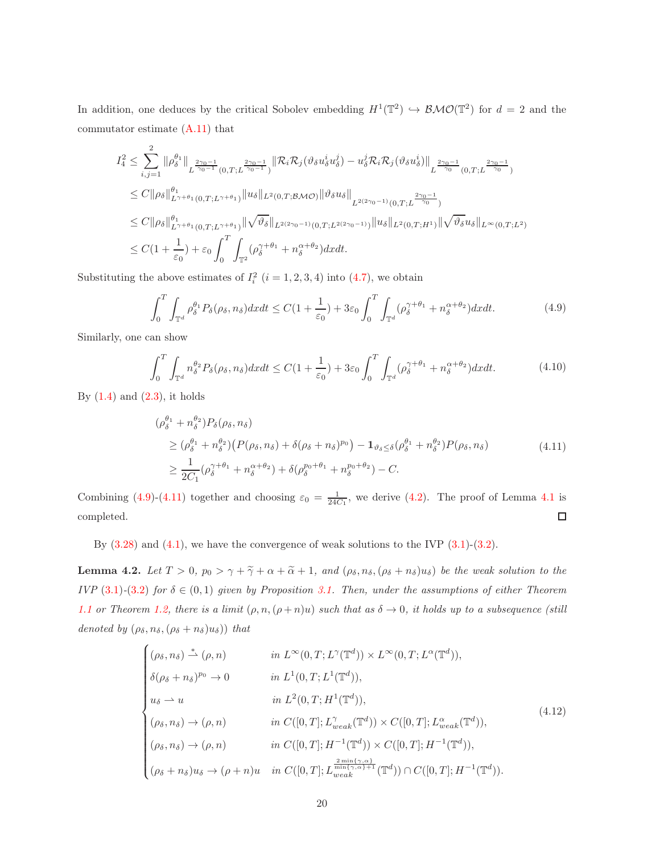In addition, one deduces by the critical Sobolev embedding  $H^1(\mathbb{T}^2) \hookrightarrow \mathcal{BMO}(\mathbb{T}^2)$  for  $d = 2$  and the commutator estimate [\(A.11\)](#page-37-4) that

$$
I_4^2 \leq \sum_{i,j=1}^2 \|\rho_\delta^{\theta_1}\|_{L^{\frac{2\gamma_0-1}{\gamma_0-1}}(0,T;L^{\frac{2\gamma_0-1}{\gamma_0-1}})} \|\mathcal{R}_i \mathcal{R}_j(\vartheta_\delta u_\delta^i u_\delta^j) - u_\delta^j \mathcal{R}_i \mathcal{R}_j(\vartheta_\delta u_\delta^i) \|_{L^{\frac{2\gamma_0-1}{\gamma_0}}(0,T;L^{\frac{2\gamma_0-1}{\gamma_0}})} \leq C \|\rho_\delta\|_{L^{\gamma+\theta_1}(0,T;L^{\gamma+\theta_1})}^{\theta_1} \|u_\delta\|_{L^2(0,T; \mathcal{BMO})} \|\vartheta_\delta u_\delta\|_{L^{2(2\gamma_0-1)}(0,T;L^{\frac{2\gamma_0-1}{\gamma_0}})} \leq C \|\rho_\delta\|_{L^{\gamma+\theta_1}(0,T;L^{\gamma+\theta_1})}^{\theta_1} \|\sqrt{\vartheta_\delta}\|_{L^{2(2\gamma_0-1)}(0,T;L^{2(2\gamma_0-1)})} \|u_\delta\|_{L^2(0,T;H^1)} \|\sqrt{\vartheta_\delta} u_\delta\|_{L^\infty(0,T;L^2)} \leq C(1+\frac{1}{\varepsilon_0}) + \varepsilon_0 \int_0^T \int_{\mathbb{T}^2} (\rho_\delta^{\gamma+\theta_1} + n_\delta^{\alpha+\theta_2}) dx dt.
$$

<span id="page-19-0"></span>Substituting the above estimates of  $I_i^2$   $(i = 1, 2, 3, 4)$  into  $(4.7)$ , we obtain

$$
\int_0^T \int_{\mathbb{T}^d} \rho_\delta^{\theta_1} P_\delta(\rho_\delta, n_\delta) dx dt \le C(1 + \frac{1}{\varepsilon_0}) + 3\varepsilon_0 \int_0^T \int_{\mathbb{T}^d} (\rho_\delta^{\gamma + \theta_1} + n_\delta^{\alpha + \theta_2}) dx dt.
$$
 (4.9)

Similarly, one can show

$$
\int_0^T \int_{\mathbb{T}^d} n_\delta^{\theta_2} P_\delta(\rho_\delta, n_\delta) dx dt \le C(1 + \frac{1}{\varepsilon_0}) + 3\varepsilon_0 \int_0^T \int_{\mathbb{T}^d} (\rho_\delta^{\gamma + \theta_1} + n_\delta^{\alpha + \theta_2}) dx dt.
$$
 (4.10)

<span id="page-19-1"></span>By  $(1.4)$  and  $(2.3)$ , it holds

$$
\begin{split}\n(\rho_{\delta}^{\theta_{1}} + n_{\delta}^{\theta_{2}}) P_{\delta}(\rho_{\delta}, n_{\delta}) \\
&\geq (\rho_{\delta}^{\theta_{1}} + n_{\delta}^{\theta_{2}}) \left( P(\rho_{\delta}, n_{\delta}) + \delta(\rho_{\delta} + n_{\delta})^{p_{0}} \right) - \mathbf{1}_{\vartheta_{\delta} \leq \delta} (\rho_{\delta}^{\theta_{1}} + n_{\delta}^{\theta_{2}}) P(\rho_{\delta}, n_{\delta}) \\
&\geq \frac{1}{2C_{1}} (\rho_{\delta}^{\gamma + \theta_{1}} + n_{\delta}^{\alpha + \theta_{2}}) + \delta(\rho_{\delta}^{p_{0} + \theta_{1}} + n_{\delta}^{p_{0} + \theta_{2}}) - C.\n\end{split} \tag{4.11}
$$

Combining [\(4.9\)](#page-19-0)-[\(4.11\)](#page-19-1) together and choosing  $\varepsilon_0 = \frac{1}{24C_1}$ , we derive [\(4](#page-17-0).2). The proof of Lemma [4.1](#page-16-3) is completed.  $\Box$ 

By  $(3.28)$  $(3.28)$  and  $(4.1)$ , we have the convergence of weak solutions to the IVP  $(3.1)-(3.2)$ .

<span id="page-19-2"></span>**Lemma 4.2.** Let  $T > 0$ ,  $p_0 > \gamma + \tilde{\gamma} + \alpha + \tilde{\alpha} + 1$ , and  $(\rho_{\delta}, n_{\delta}, (\rho_{\delta} + n_{\delta})u_{\delta})$  be the weak solution to the IVP (3.[1\)](#page-10-2)-[\(3](#page-11-0).2) for  $\delta \in (0,1)$  given by Proposition [3.1.](#page-16-1) Then, under the assumptions of either Theorem [1.1](#page-3-3) or Theorem [1.2,](#page-5-0) there is a limit  $(\rho, n, (\rho + n)u)$  such that as  $\delta \to 0$ , it holds up to a subsequence (still denoted by  $(\rho_{\delta}, n_{\delta}, (\rho_{\delta} + n_{\delta})u_{\delta})$  that

<span id="page-19-3"></span>
$$
\begin{cases}\n(\rho_{\delta}, n_{\delta}) \stackrel{*}{\rightharpoonup} (\rho, n) & \text{in } L^{\infty}(0, T; L^{\gamma}(\mathbb{T}^{d})) \times L^{\infty}(0, T; L^{\alpha}(\mathbb{T}^{d})), \\
\delta(\rho_{\delta} + n_{\delta})^{p_{0}} \to 0 & \text{in } L^{1}(0, T; L^{1}(\mathbb{T}^{d})), \\
u_{\delta} \rightharpoonup u & \text{in } L^{2}(0, T; H^{1}(\mathbb{T}^{d})), \\
(\rho_{\delta}, n_{\delta}) \to (\rho, n) & \text{in } C([0, T]; L^{\gamma}_{weak}(\mathbb{T}^{d})) \times C([0, T]; L^{\alpha}_{weak}(\mathbb{T}^{d})), \\
(\rho_{\delta}, n_{\delta}) \to (\rho, n) & \text{in } C([0, T]; H^{-1}(\mathbb{T}^{d})) \times C([0, T]; H^{-1}(\mathbb{T}^{d})), \\
(\rho_{\delta} + n_{\delta})u_{\delta} \to (\rho + n)u & \text{in } C([0, T]; L^{\frac{2\min\{\gamma, \alpha\}}{\min\{\gamma, \alpha\}+1}}(\mathbb{T}^{d})) \cap C([0, T]; H^{-1}(\mathbb{T}^{d})).\n\end{cases}
$$
\n
$$
(4.12)
$$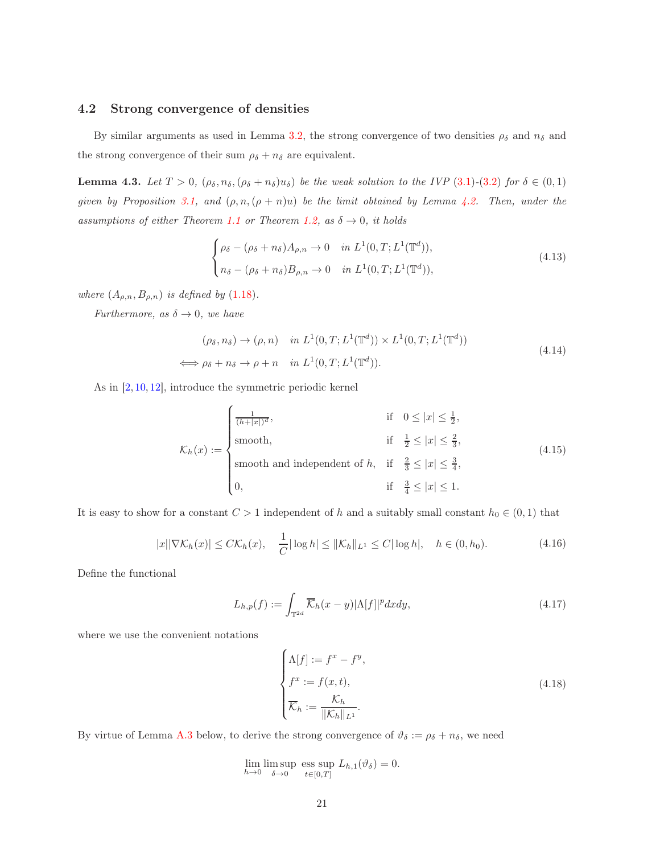#### 4.2 Strong convergence of densities

By similar arguments as used in Lemma [3.2,](#page-11-6) the strong convergence of two densities  $\rho_{\delta}$  and  $n_{\delta}$  and the strong convergence of their sum  $\rho_{\delta} + n_{\delta}$  are equivalent.

**Lemma 4.3.** Let  $T > 0$ ,  $(\rho_{\delta}, n_{\delta}, (\rho_{\delta} + n_{\delta})u_{\delta})$  be the weak solution to the IVP [\(3](#page-11-0).1)-(3.2) for  $\delta \in (0,1)$ given by Proposition [3.1,](#page-16-1) and  $(\rho, n, (\rho + n)u)$  be the limit obtained by Lemma [4.2.](#page-19-2) Then, under the assumptions of either Theorem [1.1](#page-3-3) or Theorem [1.2,](#page-5-0) as  $\delta \rightarrow 0$ , it holds

<span id="page-20-4"></span>
$$
\begin{cases}\n\rho_{\delta} - (\rho_{\delta} + n_{\delta})A_{\rho,n} \to 0 & \text{in } L^{1}(0, T; L^{1}(\mathbb{T}^{d})), \\
n_{\delta} - (\rho_{\delta} + n_{\delta})B_{\rho,n} \to 0 & \text{in } L^{1}(0, T; L^{1}(\mathbb{T}^{d})),\n\end{cases}
$$
\n(4.13)

where  $(A_{\rho,n}, B_{\rho,n})$  is defined by (1.[18\)](#page-6-1).

<span id="page-20-5"></span>Furthermore, as  $\delta \to 0$ , we have

$$
(\rho_{\delta}, n_{\delta}) \to (\rho, n) \quad in \ L^{1}(0, T; L^{1}(\mathbb{T}^{d})) \times L^{1}(0, T; L^{1}(\mathbb{T}^{d}))
$$
  

$$
\iff \rho_{\delta} + n_{\delta} \to \rho + n \quad in \ L^{1}(0, T; L^{1}(\mathbb{T}^{d})).
$$
 (4.14)

As in [\[2,](#page-37-3) [10,](#page-38-7) [12\]](#page-38-1), introduce the symmetric periodic kernel  $\overline{\phantom{a}}$ 

<span id="page-20-0"></span>
$$
\mathcal{K}_h(x) := \begin{cases}\n\frac{1}{(h+|x|)^d}, & \text{if } 0 \le |x| \le \frac{1}{2}, \\
\text{smooth}, & \text{if } \frac{1}{2} \le |x| \le \frac{2}{3}, \\
\text{smooth and independent of } h, & \text{if } \frac{2}{3} \le |x| \le \frac{3}{4}, \\
0, & \text{if } \frac{3}{4} \le |x| \le 1.\n\end{cases}
$$
\n(4.15)

<span id="page-20-3"></span>It is easy to show for a constant  $C > 1$  independent of h and a suitably small constant  $h_0 \in (0,1)$  that

$$
|x||\nabla \mathcal{K}_h(x)| \le C\mathcal{K}_h(x), \quad \frac{1}{C}|\log h| \le ||\mathcal{K}_h||_{L^1} \le C|\log h|, \quad h \in (0, h_0).
$$
 (4.16)

<span id="page-20-1"></span>Define the functional

$$
L_{h,p}(f) := \int_{\mathbb{T}^{2d}} \overline{\mathcal{K}}_h(x-y) |\Lambda[f]|^p dx dy,
$$
\n(4.17)

where we use the convenient notations

<span id="page-20-2"></span>
$$
\begin{cases}\n\Lambda[f] := f^x - f^y, \\
f^x := f(x, t), \\
\overline{\mathcal{K}}_h := \frac{\mathcal{K}_h}{\|\mathcal{K}_h\|_{L^1}}.\n\end{cases}
$$
\n(4.18)

By virtue of Lemma [A.3](#page-35-0) below, to derive the strong convergence of  $\vartheta_{\delta} := \rho_{\delta} + n_{\delta}$ , we need

 $\lim_{h\to 0} \limsup_{\delta \to 0}$  $\delta \rightarrow 0$ ess sup  $t \in [0,T]$  $L_{h,1}(\vartheta_\delta)=0.$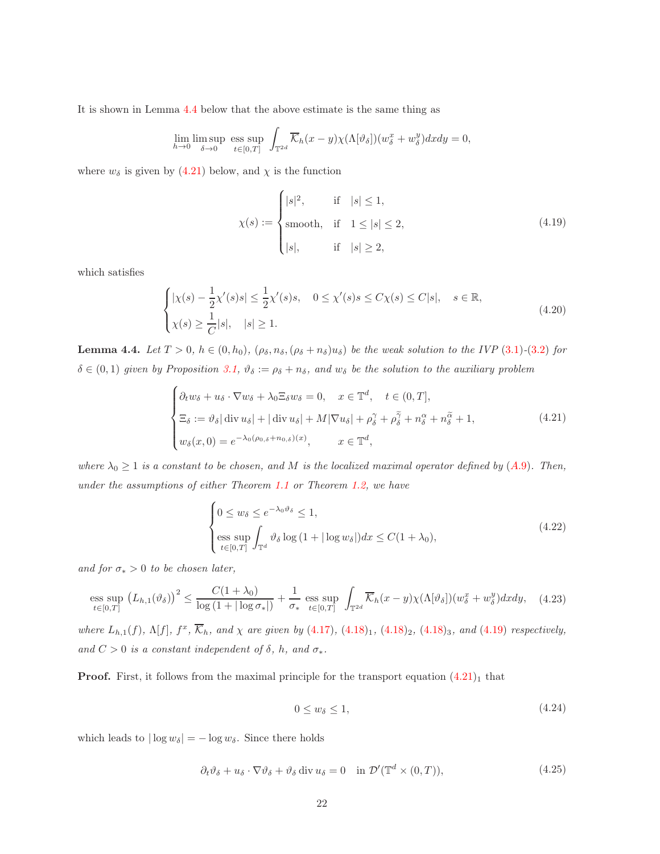It is shown in Lemma [4.4](#page-21-0) below that the above estimate is the same thing as

$$
\lim_{h \to 0} \limsup_{\delta \to 0} \text{ess sup}_{t \in [0,T]} \int_{\mathbb{T}^{2d}} \overline{\mathcal{K}}_h(x-y) \chi(\Lambda[\vartheta_\delta]) (w_\delta^x + w_\delta^y) dx dy = 0,
$$

<span id="page-21-2"></span>where  $w_{\delta}$  is given by [\(4.21\)](#page-21-1) below, and  $\chi$  is the function

$$
\chi(s) := \begin{cases} |s|^2, & \text{if } |s| \le 1, \\ \text{smooth}, & \text{if } 1 \le |s| \le 2, \\ |s|, & \text{if } |s| \ge 2, \end{cases} \tag{4.19}
$$

which satisfies

<span id="page-21-4"></span>
$$
\begin{cases} |\chi(s) - \frac{1}{2}\chi'(s)s| \le \frac{1}{2}\chi'(s)s, & 0 \le \chi'(s)s \le C\chi(s) \le C|s|, & s \in \mathbb{R}, \\ \chi(s) \ge \frac{1}{C}|s|, & |s| \ge 1. \end{cases}
$$
(4.20)

<span id="page-21-0"></span>**Lemma 4.4.** Let  $T > 0$ ,  $h \in (0, h_0)$ ,  $(\rho_{\delta}, n_{\delta}, (\rho_{\delta} + n_{\delta})u_{\delta})$  be the weak solution to the IVP (3.[1\)](#page-10-2)-(3.[2\)](#page-11-0) for  $\delta \in (0,1)$  given by Proposition [3.1,](#page-16-1)  $\vartheta_{\delta} := \rho_{\delta} + n_{\delta}$ , and  $w_{\delta}$  be the solution to the auxiliary problem

<span id="page-21-1"></span>
$$
\begin{cases} \partial_t w_{\delta} + u_{\delta} \cdot \nabla w_{\delta} + \lambda_0 \Xi_{\delta} w_{\delta} = 0, \quad x \in \mathbb{T}^d, \quad t \in (0, T], \\ \Xi_{\delta} := \vartheta_{\delta} |\operatorname{div} u_{\delta}| + |\operatorname{div} u_{\delta}| + M |\nabla u_{\delta}| + \rho_{\delta}^{\gamma} + \rho_{\delta}^{\gamma} + n_{\delta}^{\alpha} + n_{\delta}^{\alpha} + 1, \\ w_{\delta}(x, 0) = e^{-\lambda_0(\rho_{0, \delta} + n_{0, \delta})(x)}, \qquad x \in \mathbb{T}^d, \end{cases}
$$
(4.21)

where  $\lambda_0 \geq 1$  is a constant to be chosen, and M is the localized maximal operator defined by ([A.](#page-36-0)9). Then, under the assumptions of either Theorem [1.1](#page-3-3) or Theorem [1.2,](#page-5-0) we have

<span id="page-21-3"></span>
$$
\begin{cases} 0 \le w_{\delta} \le e^{-\lambda_0 \vartheta_{\delta}} \le 1, \\ \text{ess sup}_{t \in [0,T]} \int_{\mathbb{T}^d} \vartheta_{\delta} \log \left( 1 + |\log w_{\delta}| \right) dx \le C(1 + \lambda_0), \end{cases} \tag{4.22}
$$

and for  $\sigma_* > 0$  to be chosen later,

<span id="page-21-5"></span>
$$
\underset{t\in[0,T]}{\mathrm{ess\ sup}}\left(L_{h,1}(\vartheta_{\delta})\right)^{2} \leq \frac{C(1+\lambda_{0})}{\log\left(1+|\log\sigma_{*}|\right)} + \frac{1}{\sigma_{*}}\underset{t\in[0,T]}{\mathrm{ess\ sup}}\int_{\mathbb{T}^{2d}}\overline{\mathcal{K}}_{h}(x-y)\chi(\Lambda[\vartheta_{\delta}])\left(w_{\delta}^{x}+w_{\delta}^{y}\right)dxdy,\quad(4.23)
$$

where  $L_{h,1}(f)$ ,  $\Lambda[f]$ ,  $f^x$ ,  $\overline{\mathcal{K}}_h$ , and  $\chi$  are given by  $(4.17)$  $(4.17)$ ,  $(4.18)_1$  $(4.18)_1$  $(4.18)_1$ ,  $(4.18)_2$ ,  $(4.18)_3$ , and  $(4.19)$  $(4.19)$  respectively, and  $C > 0$  is a constant independent of  $\delta$ , h, and  $\sigma_*$ .

**Proof.** First, it follows from the maximal principle for the transport equation  $(4.21)$  $(4.21)$ <sub>1</sub> that

$$
0 \le w_{\delta} \le 1,\tag{4.24}
$$

<span id="page-21-6"></span>which leads to  $|\log w_{\delta}| = -\log w_{\delta}$ . Since there holds

$$
\partial_t \vartheta_\delta + u_\delta \cdot \nabla \vartheta_\delta + \vartheta_\delta \operatorname{div} u_\delta = 0 \quad \text{in } \mathcal{D}'(\mathbb{T}^d \times (0,T)), \tag{4.25}
$$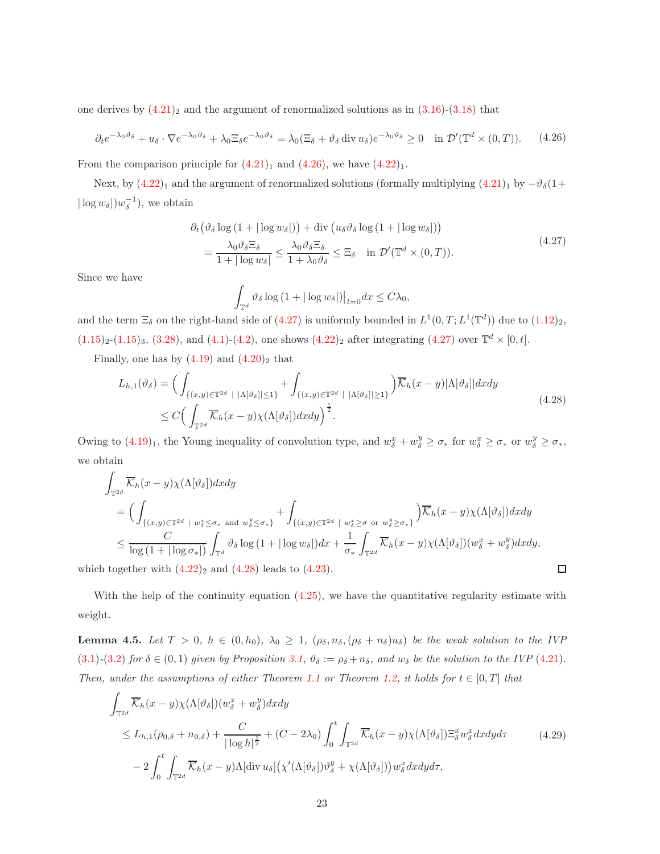one derives by  $(4.21)_2$  $(4.21)_2$  $(4.21)_2$  and the argument of renormalized solutions as in  $(3.16)-(3.18)$  $(3.16)-(3.18)$  $(3.16)-(3.18)$  $(3.16)-(3.18)$  that

<span id="page-22-0"></span>
$$
\partial_t e^{-\lambda_0 \vartheta_\delta} + u_\delta \cdot \nabla e^{-\lambda_0 \vartheta_\delta} + \lambda_0 \Xi_\delta e^{-\lambda_0 \vartheta_\delta} = \lambda_0 (\Xi_\delta + \vartheta_\delta \operatorname{div} u_\delta) e^{-\lambda_0 \vartheta_\delta} \ge 0 \quad \text{in } \mathcal{D}'(\mathbb{T}^d \times (0, T)).\tag{4.26}
$$

From the comparison principle for  $(4.21)_1$  $(4.21)_1$  $(4.21)_1$  and  $(4.26)$  $(4.26)$ , we have  $(4.22)_1$  $(4.22)_1$  $(4.22)_1$ .

Next, by  $(4.22)_1$  $(4.22)_1$  $(4.22)_1$  and the argument of renormalized solutions (formally multiplying  $(4.21)_1$  $(4.21)_1$  $(4.21)_1$  by  $-\vartheta_{\delta}(1+\gamma)$  $|\log w_{\delta}|$ ) $w_{\delta}^{-1}$ ), we obtain

$$
\partial_t \left( \vartheta_\delta \log \left( 1 + |\log w_\delta| \right) \right) + \text{div} \left( u_\delta \vartheta_\delta \log \left( 1 + |\log w_\delta| \right) \right) \n= \frac{\lambda_0 \vartheta_\delta \Xi_\delta}{1 + |\log w_\delta|} \le \frac{\lambda_0 \vartheta_\delta \Xi_\delta}{1 + \lambda_0 \vartheta_\delta} \le \Xi_\delta \quad \text{in } \mathcal{D}'(\mathbb{T}^d \times (0, T)).
$$
\n(4.27)

<span id="page-22-1"></span>Since we have

$$
\int_{\mathbb{T}^d} \vartheta_\delta \log \left( 1 + |\log w_\delta| \right) \big|_{t=0} dx \le C\lambda_0,
$$

and the term  $\Xi_{\delta}$  on the right-hand side of [\(4.27\)](#page-22-1) is uniformly bounded in  $L^1(0,T;L^1(\mathbb{T}^d))$  due to  $(1.12)_2$  $(1.12)_2$  $(1.12)_2$ ,  $(1.15)_2$  $(1.15)_2$  $(1.15)_2$ -(1.15)<sub>3</sub>, (3.[28\)](#page-16-0), and (4.[1\)](#page-16-2)-(4.[2\)](#page-17-0), one shows (4.[22\)](#page-21-3)<sub>2</sub> after integrating [\(4.27\)](#page-22-1) over  $\mathbb{T}^d \times [0, t]$ .

<span id="page-22-2"></span>Finally, one has by  $(4.19)$  and  $(4.20)_2$  $(4.20)_2$  $(4.20)_2$  that

$$
L_{h,1}(\vartheta_{\delta}) = \Big( \int_{\{(x,y)\in\mathbb{T}^{2d} \; | \; |\Lambda[\vartheta_{\delta}]|\leq 1\}} + \int_{\{(x,y)\in\mathbb{T}^{2d} \; | \; |\Lambda[\vartheta_{\delta}]|\geq 1\}} \Big) \overline{\mathcal{K}}_{h}(x-y) |\Lambda[\vartheta_{\delta}]| dxdy
$$
\n
$$
\leq C \Big( \int_{\mathbb{T}^{2d}} \overline{\mathcal{K}}_{h}(x-y) \chi(\Lambda[\vartheta_{\delta}]) dxdy \Big)^{\frac{1}{2}}.
$$
\n
$$
(4.28)
$$

Owing to  $(4.19)_1$  $(4.19)_1$  $(4.19)_1$ , the Young inequality of convolution type, and  $w_{\delta}^x + w_{\delta}^y \geq \sigma_*$  for  $w_{\delta}^x \geq \sigma_*$  or  $w_{\delta}^y \geq \sigma_*$ , we obtain

$$
\int_{\mathbb{T}^{2d}} \overline{\mathcal{K}}_h(x-y) \chi(\Lambda[\vartheta_{\delta}]) dx dy
$$
\n
$$
= \Big( \int_{\{(x,y)\in\mathbb{T}^{2d} \; | \; w_{\delta}^x \leq \sigma_* \; \text{and} \; w_{\delta}^y \leq \sigma_*\}} + \int_{\{(x,y)\in\mathbb{T}^{2d} \; | \; w_{\delta}^x \geq \sigma \; \text{or} \; w_{\delta}^y \geq \sigma_*\}} \Big) \overline{\mathcal{K}}_h(x-y) \chi(\Lambda[\vartheta_{\delta}]) dx dy
$$
\n
$$
\leq \frac{C}{\log(1+|\log \sigma_*|)} \int_{\mathbb{T}^d} \vartheta_{\delta} \log(1+|\log w_{\delta}|) dx + \frac{1}{\sigma_*} \int_{\mathbb{T}^{2d}} \overline{\mathcal{K}}_h(x-y) \chi(\Lambda[\vartheta_{\delta}]) (w_{\delta}^x + w_{\delta}^y) dx dy,
$$

 $\Box$ 

which together with  $(4.22)_2$  $(4.22)_2$  $(4.22)_2$  and  $(4.28)$  leads to  $(4.23)$ .

With the help of the continuity equation  $(4.25)$ , we have the quantitative regularity estimate with weight.

<span id="page-22-4"></span>**Lemma 4.5.** Let  $T > 0$ ,  $h \in (0, h_0)$ ,  $\lambda_0 \geq 1$ ,  $(\rho_{\delta}, n_{\delta}, (\rho_{\delta} + n_{\delta})u_{\delta})$  be the weak solution to the IVP (3.[1\)](#page-10-2)-(3.[2\)](#page-11-0) for  $\delta \in (0,1)$  given by Proposition [3.1,](#page-16-1)  $\vartheta_{\delta} := \rho_{\delta} + n_{\delta}$ , and  $w_{\delta}$  be the solution to the IVP (4.[21\)](#page-21-1). Then, under the assumptions of either Theorem [1.1](#page-3-3) or Theorem [1.2,](#page-5-0) it holds for  $t \in [0, T]$  that

<span id="page-22-3"></span>
$$
\int_{\mathbb{T}^{2d}} \overline{\mathcal{K}}_{h}(x-y)\chi(\Lambda[\vartheta_{\delta}])(w_{\delta}^{x}+w_{\delta}^{y})dxdy
$$
\n
$$
\leq L_{h,1}(\rho_{0,\delta}+n_{0,\delta})+\frac{C}{|\log h|^{\frac{1}{2}}}+(C-2\lambda_{0})\int_{0}^{t}\int_{\mathbb{T}^{2d}} \overline{\mathcal{K}}_{h}(x-y)\chi(\Lambda[\vartheta_{\delta}])\Xi_{\delta}^{x}w_{\delta}^{x}dxdyd\tau
$$
\n
$$
-2\int_{0}^{t}\int_{\mathbb{T}^{2d}} \overline{\mathcal{K}}_{h}(x-y)\Lambda[\text{div }u_{\delta}]\left(\chi'(\Lambda[\vartheta_{\delta}])\vartheta_{\delta}^{y}+\chi(\Lambda[\vartheta_{\delta}])\right)w_{\delta}^{x}dxdyd\tau, \qquad (4.29)
$$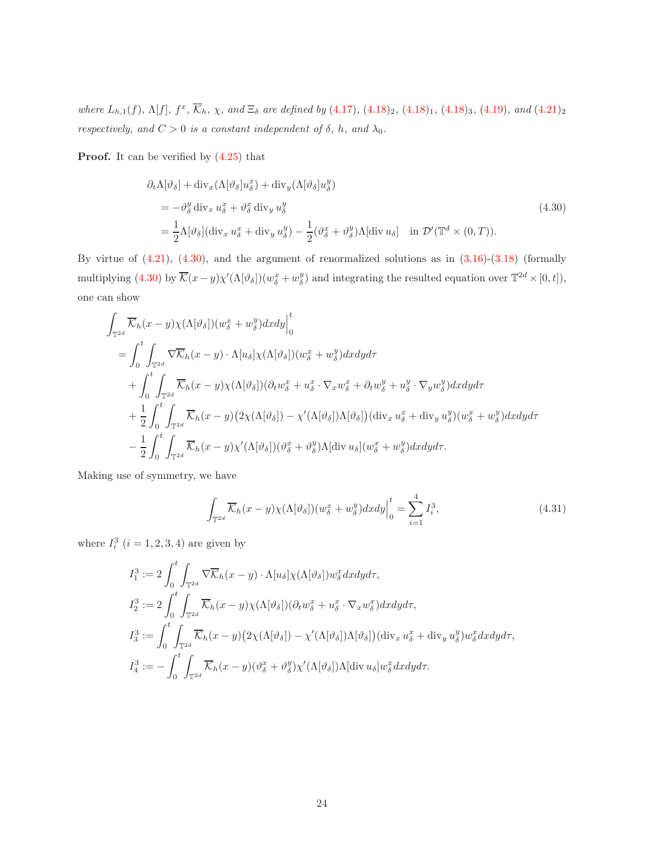where  $L_{h,1}(f)$ ,  $\Lambda[f]$ ,  $f^x$ ,  $\overline{\mathcal{K}}_h$ ,  $\chi$ , and  $\Xi_\delta$  are defined by (4.[17\)](#page-20-1), (4.[18\)](#page-20-2)<sub>2</sub>, (4.18)<sub>1</sub>, (4.18)<sub>3</sub>, (4.[19\)](#page-21-2), and (4.[21\)](#page-21-1)<sub>2</sub> respectively, and  $C > 0$  is a constant independent of  $\delta$ , h, and  $\lambda_0$ .

<span id="page-23-0"></span>Proof. It can be verified by (4.[25\)](#page-21-6) that

$$
\partial_t \Lambda[\vartheta_{\delta}] + \text{div}_x (\Lambda[\vartheta_{\delta}]u_{\delta}^x) + \text{div}_y (\Lambda[\vartheta_{\delta}]u_{\delta}^y)
$$
  
\n
$$
= -\vartheta_{\delta}^y \text{div}_x u_{\delta}^x + \vartheta_{\delta}^x \text{div}_y u_{\delta}^y
$$
  
\n
$$
= \frac{1}{2} \Lambda[\vartheta_{\delta}] (\text{div}_x u_{\delta}^x + \text{div}_y u_{\delta}^y) - \frac{1}{2} (\vartheta_{\delta}^x + \vartheta_{\delta}^y) \Lambda[\text{div } u_{\delta}] \quad \text{in } \mathcal{D}'(\mathbb{T}^d \times (0, T)).
$$
\n(4.30)

By virtue of  $(4.21)$ ,  $(4.30)$ , and the argument of renormalized solutions as in  $(3.16)-(3.18)$  $(3.16)-(3.18)$  $(3.16)-(3.18)$  $(3.16)-(3.18)$  (formally multiplying  $(4.30)$  $(4.30)$  by  $\overline{\mathcal{K}}(x-y)\chi'(\Lambda[\vartheta_{\delta}])(w_{\delta}^x+w_{\delta}^y)$  and integrating the resulted equation over  $\mathbb{T}^{2d}\times[0,t]$ , one can show

$$
\int_{\mathbb{T}^{2d}} \overline{\mathcal{K}}_h(x-y)\chi(\Lambda[\vartheta_{\delta}]) (w_{\delta}^x+w_{\delta}^y) dxdy \Big|_{0}^{t}
$$
\n
$$
= \int_{0}^{t} \int_{\mathbb{T}^{2d}} \nabla \overline{\mathcal{K}}_h(x-y) \cdot \Lambda[u_{\delta}]\chi(\Lambda[\vartheta_{\delta}]) (w_{\delta}^x+w_{\delta}^y) dxdy d\tau
$$
\n
$$
+ \int_{0}^{t} \int_{\mathbb{T}^{2d}} \overline{\mathcal{K}}_h(x-y)\chi(\Lambda[\vartheta_{\delta}]) (\partial_t w_{\delta}^x + u_{\delta}^x \cdot \nabla_x w_{\delta}^x + \partial_t w_{\delta}^y + u_{\delta}^y \cdot \nabla_y w_{\delta}^y) dxdy d\tau
$$
\n
$$
+ \frac{1}{2} \int_{0}^{t} \int_{\mathbb{T}^{2d}} \overline{\mathcal{K}}_h(x-y) \left(2\chi(\Lambda[\vartheta_{\delta}]) - \chi'(\Lambda[\vartheta_{\delta}])\Lambda[\vartheta_{\delta}]\right) (\text{div}_x u_{\delta}^x + \text{div}_y u_{\delta}^y)(w_{\delta}^x + w_{\delta}^y) dxdy d\tau
$$
\n
$$
- \frac{1}{2} \int_{0}^{t} \int_{\mathbb{T}^{2d}} \overline{\mathcal{K}}_h(x-y)\chi'(\Lambda[\vartheta_{\delta}]) (\vartheta_{\delta}^x + \vartheta_{\delta}^y) \Lambda[\text{div } u_{\delta}](w_{\delta}^x + w_{\delta}^y) dxdy d\tau.
$$

<span id="page-23-1"></span>Making use of symmetry, we have

$$
\int_{\mathbb{T}^{2d}} \overline{\mathcal{K}}_h(x-y) \chi(\Lambda[\vartheta_\delta]) (w_\delta^x + w_\delta^y) dx dy \Big|_0^t = \sum_{i=1}^4 I_i^3,
$$
\n(4.31)

where  $I_i^3$   $(i = 1, 2, 3, 4)$  are given by

$$
I_1^3 := 2 \int_0^t \int_{\mathbb{T}^{2d}} \nabla \overline{\mathcal{K}}_h(x - y) \cdot \Lambda[u_\delta] \chi(\Lambda[\vartheta_\delta]) w_\delta^x dx dy d\tau,
$$
  
\n
$$
I_2^3 := 2 \int_0^t \int_{\mathbb{T}^{2d}} \overline{\mathcal{K}}_h(x - y) \chi(\Lambda[\vartheta_\delta]) (\partial_t w_\delta^x + u_\delta^x \cdot \nabla_x w_\delta^x) dx dy d\tau,
$$
  
\n
$$
I_3^3 := \int_0^t \int_{\mathbb{T}^{2d}} \overline{\mathcal{K}}_h(x - y) (2 \chi(\Lambda[\vartheta_\delta]) - \chi'(\Lambda[\vartheta_\delta]) \Lambda[\vartheta_\delta]) (\text{div}_x u_\delta^x + \text{div}_y u_\delta^y) w_\delta^x dx dy d\tau,
$$
  
\n
$$
I_4^3 := - \int_0^t \int_{\mathbb{T}^{2d}} \overline{\mathcal{K}}_h(x - y) (\vartheta_\delta^x + \vartheta_\delta^y) \chi'(\Lambda[\vartheta_\delta]) \Lambda[\text{div } u_\delta] w_\delta^x dx dy d\tau.
$$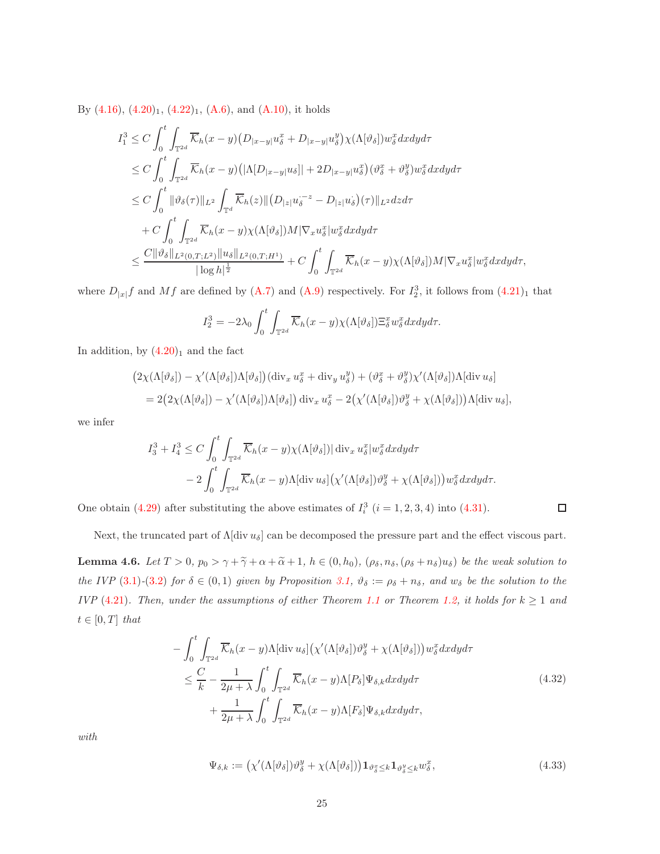By  $(4.16)$ ,  $(4.20)_1$  $(4.20)_1$  $(4.20)_1$ ,  $(4.22)_1$  $(4.22)_1$  $(4.22)_1$ ,  $(A.6)$ , and  $(A.10)$ , it holds

$$
I_1^3 \n\t\leq C \int_0^t \int_{\mathbb{T}^{2d}} \overline{\mathcal{K}}_h(x-y) \left( D_{|x-y|} u_{\delta}^x + D_{|x-y|} u_{\delta}^y \right) \chi(\Lambda[\vartheta_{\delta}]) w_{\delta}^x dx dy d\tau
$$
  
\n
$$
\leq C \int_0^t \int_{\mathbb{T}^{2d}} \overline{\mathcal{K}}_h(x-y) \left( |\Lambda[D_{|x-y|} u_{\delta}]| + 2D_{|x-y|} u_{\delta}^x \right) (\vartheta_{\delta}^x + \vartheta_{\delta}^y) w_{\delta}^x dx dy d\tau
$$
  
\n
$$
\leq C \int_0^t \|\vartheta_{\delta}(\tau)\|_{L^2} \int_{\mathbb{T}^d} \overline{\mathcal{K}}_h(z) \| \left( D_{|z|} u_{\delta}^{-z} - D_{|z|} u_{\delta} \right) (\tau) \|_{L^2} dz d\tau
$$
  
\n
$$
+ C \int_0^t \int_{\mathbb{T}^{2d}} \overline{\mathcal{K}}_h(x-y) \chi(\Lambda[\vartheta_{\delta}]) M |\nabla_x u_{\delta}^x| w_{\delta}^x dx dy d\tau
$$
  
\n
$$
\leq \frac{C \|\vartheta_{\delta}\|_{L^2(0,T;L^2)} \|u_{\delta}\|_{L^2(0,T;H^1)}}{|\log h|^{\frac{1}{2}}} + C \int_0^t \int_{\mathbb{T}^{2d}} \overline{\mathcal{K}}_h(x-y) \chi(\Lambda[\vartheta_{\delta}]) M |\nabla_x u_{\delta}^x| w_{\delta}^x dx dy d\tau,
$$

where  $D_{|x|}f$  and  $Mf$  are defined by [\(A.7\)](#page-36-3) and [\(A.9\)](#page-36-0) respectively. For  $I_2^3$ , it follows from  $(4.21)_1$  $(4.21)_1$  $(4.21)_1$  that

$$
I_2^3 = -2\lambda_0 \int_0^t \int_{\mathbb{T}^{2d}} \overline{\mathcal{K}}_h(x-y) \chi(\Lambda[\vartheta_\delta]) \Xi_\delta^x w_\delta^x dx dy d\tau.
$$

In addition, by  $(4.20)_1$  $(4.20)_1$  $(4.20)_1$  and the fact

$$
(2\chi(\Lambda[\vartheta_{\delta}]) - \chi'(\Lambda[\vartheta_{\delta}])\Lambda[\vartheta_{\delta}])(\operatorname{div}_{x} u_{\delta}^{x} + \operatorname{div}_{y} u_{\delta}^{y}) + (\vartheta_{\delta}^{x} + \vartheta_{\delta}^{y})\chi'(\Lambda[\vartheta_{\delta}])\Lambda[\operatorname{div} u_{\delta}]
$$
  
= 2(2\chi(\Lambda[\vartheta\_{\delta}]) - \chi'(\Lambda[\vartheta\_{\delta}])\Lambda[\vartheta\_{\delta}])\operatorname{div}\_{x} u\_{\delta}^{x} - 2(\chi'(\Lambda[\vartheta\_{\delta}])\vartheta\_{\delta}^{y} + \chi(\Lambda[\vartheta\_{\delta}]))\Lambda[\operatorname{div} u\_{\delta}],

we infer

$$
I_3^3 + I_4^3 \le C \int_0^t \int_{\mathbb{T}^{2d}} \overline{\mathcal{K}}_h(x - y) \chi(\Lambda[\vartheta_\delta]) |\operatorname{div}_x u_\delta^x| w_\delta^x dx dy d\tau
$$
  
-  $2 \int_0^t \int_{\mathbb{T}^{2d}} \overline{\mathcal{K}}_h(x - y) \Lambda[\operatorname{div} u_\delta] \left(\chi'(\Lambda[\vartheta_\delta]) \vartheta_\delta^y + \chi(\Lambda[\vartheta_\delta])\right) w_\delta^x dx dy d\tau.$ 

One obtain [\(4.29\)](#page-22-3) after substituting the above estimates of  $I_i^3$   $(i = 1, 2, 3, 4)$  into [\(4.31\)](#page-23-1).

$$
\Box
$$

Next, the truncated part of  $\Lambda$ [div  $u_{\delta}$ ] can be decomposed the pressure part and the effect viscous part.

<span id="page-24-1"></span>**Lemma 4.6.** Let  $T > 0$ ,  $p_0 > \gamma + \tilde{\gamma} + \alpha + \tilde{\alpha} + 1$ ,  $h \in (0, h_0)$ ,  $(\rho_{\delta}, n_{\delta}, (\rho_{\delta} + n_{\delta})u_{\delta})$  be the weak solution to the IVP [\(3](#page-11-0).1)-(3.2) for  $\delta \in (0,1)$  given by Proposition [3.1,](#page-16-1)  $\vartheta_{\delta} := \rho_{\delta} + n_{\delta}$ , and  $w_{\delta}$  be the solution to the IVP (4.[21\)](#page-21-1). Then, under the assumptions of either Theorem [1.1](#page-3-3) or Theorem [1.2,](#page-5-0) it holds for  $k \ge 1$  and  $t \in [0, T]$  that

$$
-\int_{0}^{t} \int_{\mathbb{T}^{2d}} \overline{\mathcal{K}}_{h}(x-y) \Lambda[\text{div } u_{\delta}] \left(\chi'(\Lambda[\vartheta_{\delta}]) \vartheta_{\delta}^{y} + \chi(\Lambda[\vartheta_{\delta}])\right) w_{\delta}^{x} dxdy d\tau
$$
  

$$
\leq \frac{C}{k} - \frac{1}{2\mu + \lambda} \int_{0}^{t} \int_{\mathbb{T}^{2d}} \overline{\mathcal{K}}_{h}(x-y) \Lambda[P_{\delta}] \Psi_{\delta,k} dxdy d\tau
$$
  

$$
+ \frac{1}{2\mu + \lambda} \int_{0}^{t} \int_{\mathbb{T}^{2d}} \overline{\mathcal{K}}_{h}(x-y) \Lambda[F_{\delta}] \Psi_{\delta,k} dxdy d\tau,
$$
 (4.32)

<span id="page-24-0"></span>with

$$
\Psi_{\delta,k} := \left( \chi'(\Lambda[\vartheta_{\delta}]) \vartheta_{\delta}^y + \chi(\Lambda[\vartheta_{\delta}]) \right) \mathbf{1}_{\vartheta_{\delta}^x \le k} \mathbf{1}_{\vartheta_{\delta}^y \le k} w_{\delta}^x, \tag{4.33}
$$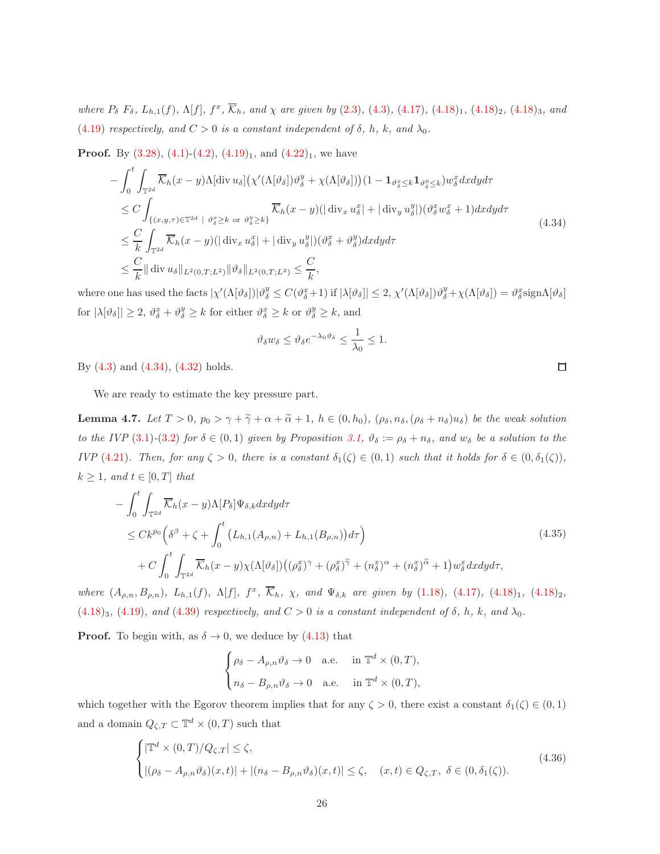where  $P_{\delta}$   $F_{\delta}$ ,  $L_{h,1}(f)$ ,  $\Lambda[f]$ ,  $f^x$ ,  $\overline{\mathcal{K}}_h$ , and  $\chi$  are given by (2.[3\)](#page-7-2), [\(4](#page-17-4).3), (4.[17\)](#page-20-1), (4.[18\)](#page-20-2)<sub>1</sub>, (4.18)<sub>2</sub>, (4.18)<sub>3</sub>, and (4.[19\)](#page-21-2) respectively, and  $C > 0$  is a constant independent of  $\delta$ , h, k, and  $\lambda_0$ .

**Proof.** By  $(3.28)$  $(3.28)$ ,  $(4.1)-(4.2)$  $(4.1)-(4.2)$  $(4.1)-(4.2)$  $(4.1)-(4.2)$ ,  $(4.19)<sub>1</sub>$  $(4.19)<sub>1</sub>$  $(4.19)<sub>1</sub>$ , and  $(4.22)<sub>1</sub>$  $(4.22)<sub>1</sub>$  $(4.22)<sub>1</sub>$ , we have

<span id="page-25-0"></span>
$$
-\int_{0}^{t} \int_{\mathbb{T}^{2d}} \overline{\mathcal{K}}_{h}(x-y) \Lambda[\text{div } u_{\delta}] \left(\chi'(\Lambda[\vartheta_{\delta}])\vartheta_{\delta}^{y} + \chi(\Lambda[\vartheta_{\delta}])\right) (1 - \mathbf{1}_{\vartheta_{\delta}^{x} \leq k} \mathbf{1}_{\vartheta_{\delta}^{y} \leq k}) w_{\delta}^{x} dxdyd\tau
$$
  
\n
$$
\leq C \int_{\{(x,y,\tau) \in \mathbb{T}^{2d} \; | \; \vartheta_{\delta}^{x} \geq k \; \text{or} \; \vartheta_{\delta}^{y} \geq k\}} \overline{\mathcal{K}}_{h}(x-y) (|\; \text{div}_{x} u_{\delta}^{x}| + |\; \text{div}_{y} u_{\delta}^{y}|)(\vartheta_{\delta}^{x} w_{\delta}^{x} + 1) dxdyd\tau
$$
  
\n
$$
\leq \frac{C}{k} \int_{\mathbb{T}^{2d}} \overline{\mathcal{K}}_{h}(x-y) (|\; \text{div}_{x} u_{\delta}^{x}| + |\; \text{div}_{y} u_{\delta}^{y}|)(\vartheta_{\delta}^{x} + \vartheta_{\delta}^{y}) dxdyd\tau
$$
  
\n
$$
\leq \frac{C}{k} ||\; \text{div } u_{\delta}||_{L^{2}(0,T;L^{2})} ||\vartheta_{\delta}||_{L^{2}(0,T;L^{2})} \leq \frac{C}{k},
$$
\n(4.34)

where one has used the facts  $|\chi'(\Lambda[\vartheta_\delta])|\vartheta^y_\delta \leq C(\vartheta^x_\delta+1)$  if  $|\lambda[\vartheta_\delta]| \leq 2$ ,  $\chi'(\Lambda[\vartheta_\delta])\vartheta^y_\delta + \chi(\Lambda[\vartheta_\delta]) = \vartheta^x_\delta$ sign $\Lambda[\vartheta_\delta]$ for  $|\lambda[\vartheta_{\delta}]| \geq 2$ ,  $\vartheta_{\delta}^{x} + \vartheta_{\delta}^{y} \geq k$  for either  $\vartheta_{\delta}^{x} \geq k$  or  $\vartheta_{\delta}^{y} \geq k$ , and

$$
\vartheta_\delta w_\delta \leq \vartheta_\delta e^{-\lambda_0 \vartheta_\delta} \leq \frac{1}{\lambda_0} \leq 1.
$$

By [\(4.3\)](#page-17-4) and [\(4.34\)](#page-25-0), [\(4.32\)](#page-24-0) holds.

We are ready to estimate the key pressure part.

<span id="page-25-3"></span>**Lemma 4.7.** Let  $T > 0$ ,  $p_0 > \gamma + \tilde{\gamma} + \alpha + \tilde{\alpha} + 1$ ,  $h \in (0, h_0)$ ,  $(\rho_{\delta}, n_{\delta}, (\rho_{\delta} + n_{\delta})u_{\delta})$  be the weak solution to the IVP [\(3](#page-11-0).1)-(3.2) for  $\delta \in (0,1)$  given by Proposition [3.1,](#page-16-1)  $\vartheta_{\delta} := \rho_{\delta} + n_{\delta}$ , and  $w_{\delta}$  be a solution to the IVP (4.[21\)](#page-21-1). Then, for any  $\zeta > 0$ , there is a constant  $\delta_1(\zeta) \in (0,1)$  such that it holds for  $\delta \in (0, \delta_1(\zeta))$ ,  $k \geq 1$ , and  $t \in [0, T]$  that

<span id="page-25-2"></span>
$$
-\int_{0}^{t} \int_{\mathbb{T}^{2d}} \overline{\mathcal{K}}_{h}(x-y) \Lambda[P_{\delta}]\Psi_{\delta,k}dxdy d\tau
$$
  
\n
$$
\leq C k^{p_{0}} \left(\delta^{\beta} + \zeta + \int_{0}^{t} \left( L_{h,1}(A_{\rho,n}) + L_{h,1}(B_{\rho,n}) \right) d\tau \right)
$$
  
\n
$$
+ C \int_{0}^{t} \int_{\mathbb{T}^{2d}} \overline{\mathcal{K}}_{h}(x-y) \chi(\Lambda[\vartheta_{\delta}]) \left( (\rho_{\delta}^{x})^{\gamma} + (\rho_{\delta}^{x})^{\tilde{\gamma}} + (n_{\delta}^{x})^{\alpha} + (n_{\delta}^{x})^{\tilde{\alpha}} + 1 \right) w_{\delta}^{x} dxdy d\tau,
$$
\n(4.35)

where  $(A_{\rho,n}, B_{\rho,n})$ ,  $L_{h,1}(f)$ ,  $\Lambda[f]$ ,  $f^x$ ,  $\overline{\mathcal{K}}_h$ ,  $\chi$ , and  $\Psi_{\delta,k}$  are given by (1.[18\)](#page-20-2), (4.[17\)](#page-20-1), (4.18)<sub>1</sub>, (4.18)<sub>2</sub>,  $(4.18)_3$  $(4.18)_3$  $(4.18)_3$ ,  $(4.19)$  $(4.19)$ , and  $(4.39)$  $(4.39)$  respectively, and  $C > 0$  is a constant independent of  $\delta$ , h, k, and  $\lambda_0$ .

**Proof.** To begin with, as  $\delta \rightarrow 0$ , we deduce by [\(4.13\)](#page-20-4) that

$$
\begin{cases} \rho_\delta-A_{\rho,n}\vartheta_\delta\to0 &\text{a.e.} \quad \text{ in } \mathbb{T}^d\times(0,T),\\[2mm] n_\delta-B_{\rho,n}\vartheta_\delta\to0 &\text{a.e.} \quad \text{ in } \mathbb{T}^d\times(0,T), \end{cases}
$$

which together with the Egorov theorem implies that for any  $\zeta > 0$ , there exist a constant  $\delta_1(\zeta) \in (0,1)$ and a domain  $Q_{\zeta,T} \subset \mathbb{T}^d \times (0,T)$  such that

<span id="page-25-1"></span>
$$
\begin{cases} |\mathbb{T}^d \times (0,T)/Q_{\zeta,T}| \leq \zeta, \\ |(\rho_{\delta} - A_{\rho,n} \vartheta_{\delta})(x,t)| + |(n_{\delta} - B_{\rho,n} \vartheta_{\delta})(x,t)| \leq \zeta, \quad (x,t) \in Q_{\zeta,T}, \ \delta \in (0,\delta_1(\zeta)). \end{cases}
$$
(4.36)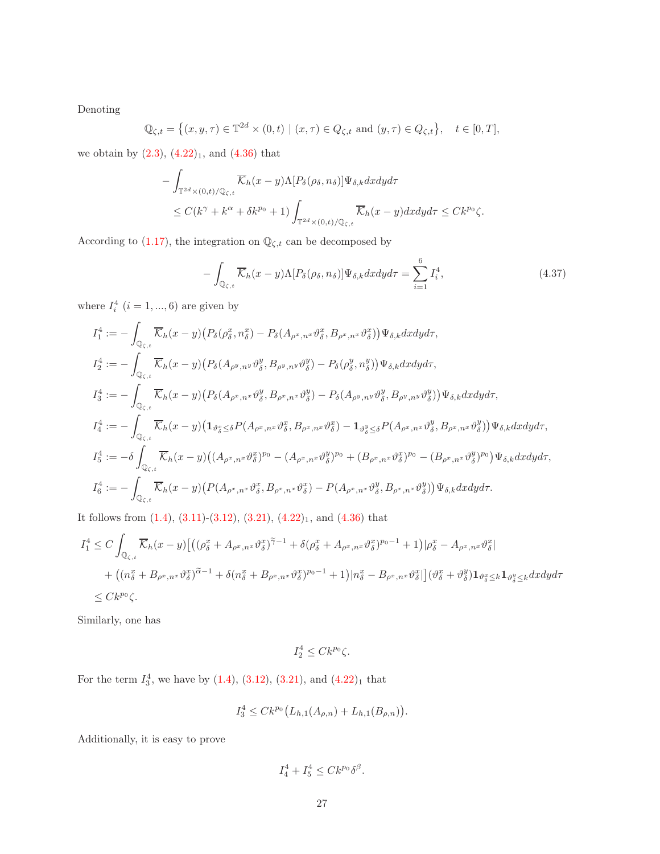Denoting

$$
\mathbb{Q}_{\zeta,t} = \left\{ (x, y, \tau) \in \mathbb{T}^{2d} \times (0, t) \mid (x, \tau) \in Q_{\zeta,t} \text{ and } (y, \tau) \in Q_{\zeta,t} \right\}, \quad t \in [0, T],
$$

we obtain by  $(2.3)$  $(2.3)$ ,  $(4.22)_1$  $(4.22)_1$  $(4.22)_1$ , and  $(4.36)$  that

$$
- \int_{\mathbb{T}^{2d} \times (0,t)/\mathbb{Q}_{\zeta,t}} \overline{\mathcal{K}}_h(x-y) \Lambda[P_\delta(\rho_\delta, n_\delta)] \Psi_{\delta,k} dx dy d\tau
$$
  

$$
\leq C(k^\gamma + k^\alpha + \delta k^{p_0} + 1) \int_{\mathbb{T}^{2d} \times (0,t)/\mathbb{Q}_{\zeta,t}} \overline{\mathcal{K}}_h(x-y) dx dy d\tau \leq C k^{p_0} \zeta.
$$

<span id="page-26-0"></span>According to [\(1.17\)](#page-6-0), the integration on  $\mathbb{Q}_{\zeta,t}$  can be decomposed by

$$
-\int_{\mathbb{Q}_{\zeta,t}} \overline{\mathcal{K}}_h(x-y)\Lambda[P_\delta(\rho_\delta,n_\delta)]\Psi_{\delta,k}dxdyd\tau = \sum_{i=1}^6 I_i^4,\tag{4.37}
$$

where  $I_i^4$   $(i = 1, ..., 6)$  are given by

$$
I_1^4 := -\int_{\mathbb{Q}_{\zeta,t}} \overline{\mathcal{K}}_h(x-y) \left( P_\delta(\rho_\delta^x, n_\delta^x) - P_\delta(A_{\rho^x, n^x} \vartheta_\delta^x, B_{\rho^x, n^x} \vartheta_\delta^x) \right) \Psi_{\delta,k} dx dy d\tau,
$$
  
\n
$$
I_2^4 := -\int_{\mathbb{Q}_{\zeta,t}} \overline{\mathcal{K}}_h(x-y) \left( P_\delta(A_{\rho^y, n^y} \vartheta_\delta^y, B_{\rho^y, n^y} \vartheta_\delta^y) - P_\delta(\rho_\delta^y, n_\delta^y) \right) \Psi_{\delta,k} dx dy d\tau,
$$
  
\n
$$
I_3^4 := -\int_{\mathbb{Q}_{\zeta,t}} \overline{\mathcal{K}}_h(x-y) \left( P_\delta(A_{\rho^x, n^x} \vartheta_\delta^y, B_{\rho^x, n^x} \vartheta_\delta^y) - P_\delta(A_{\rho^y, n^y} \vartheta_\delta^y, B_{\rho^y, n^y} \vartheta_\delta^y) \right) \Psi_{\delta,k} dx dy d\tau,
$$
  
\n
$$
I_4^4 := -\int_{\mathbb{Q}_{\zeta,t}} \overline{\mathcal{K}}_h(x-y) \left( \mathbf{1}_{\vartheta_\delta^x \leq \delta} P(A_{\rho^x, n^x} \vartheta_\delta^x, B_{\rho^x, n^x} \vartheta_\delta^x) - \mathbf{1}_{\vartheta_\delta^y \leq \delta} P(A_{\rho^x, n^x} \vartheta_\delta^y, B_{\rho^x, n^x} \vartheta_\delta^y) \right) \Psi_{\delta,k} dx dy d\tau,
$$
  
\n
$$
I_5^4 := -\delta \int_{\mathbb{Q}_{\zeta,t}} \overline{\mathcal{K}}_h(x-y) \left( (A_{\rho^x, n^x} \vartheta_\delta^x)^{p_0} - (A_{\rho^x, n^x} \vartheta_\delta^y)^{p_0} + (B_{\rho^x, n^x} \vartheta_\delta^x)^{p_0} - (B_{\rho^x, n^x} \vartheta_\delta^y)^{p_0} \right) \Psi_{\delta,k} dx dy d\tau,
$$
  
\n
$$
I_6^4 := -\int_{\mathbb
$$

It follows from  $(1.4)$ ,  $(3.11)-(3.12)$  $(3.11)-(3.12)$ ,  $(3.21)$ ,  $(4.22)_1$  $(4.22)_1$  $(4.22)_1$ , and  $(4.36)$  that

$$
I_1^4 \leq C \int_{\mathbb{Q}_{\zeta,t}} \overline{\mathcal{K}}_h(x-y) \left[ \left( (\rho_\delta^x + A_{\rho^x,n^x} \vartheta_\delta^x)^{\widetilde{\gamma}-1} + \delta(\rho_\delta^x + A_{\rho^x,n^x} \vartheta_\delta^x)^{p_0-1} + 1 \right) |\rho_\delta^x - A_{\rho^x,n^x} \vartheta_\delta^x \right] + \left( (n_\delta^x + B_{\rho^x,n^x} \vartheta_\delta^x)^{\widetilde{\alpha}-1} + \delta(n_\delta^x + B_{\rho^x,n^x} \vartheta_\delta^x)^{p_0-1} + 1 \right) |n_\delta^x - B_{\rho^x,n^x} \vartheta_\delta^x| \left[ (\vartheta_\delta^x + \vartheta_\delta^y) \mathbf{1}_{\vartheta_\delta^x \leq k} \mathbf{1}_{\vartheta_\delta^y \leq k} dx dy d\tau \right] \leq C k^{p_0} \zeta.
$$

Similarly, one has

$$
I_2^4 \leq C k^{p_0} \zeta.
$$

For the term  $I_3^4$ , we have by  $(1.4)$ ,  $(3.12)$  $(3.12)$ ,  $(3.21)$  $(3.21)$ , and  $(4.22)_1$  $(4.22)_1$  $(4.22)_1$  that

$$
I_3^4 \leq C k^{p_0} \big( L_{h,1}(A_{\rho,n}) + L_{h,1}(B_{\rho,n}) \big).
$$

Additionally, it is easy to prove

$$
I_4^4 + I_5^4 \le C k^{p_0} \delta^{\beta}.
$$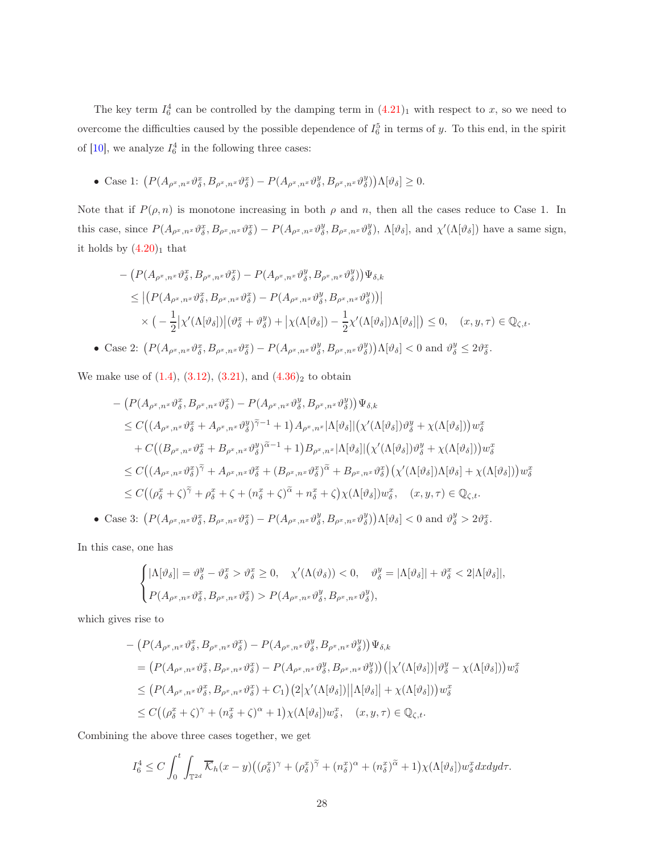The key term  $I_6^4$  can be controlled by the damping term in  $(4.21)_1$  $(4.21)_1$  $(4.21)_1$  with respect to x, so we need to overcome the difficulties caused by the possible dependence of  $I_6^5$  in terms of y. To this end, in the spirit of [\[10\]](#page-38-7), we analyze  $I_6^4$  in the following three cases:

• Case 1:  $\left(P(A_{\rho^x,n^x} \vartheta^x_{\delta}, B_{\rho^x,n^x} \vartheta^x_{\delta}) - P(A_{\rho^x,n^x} \vartheta^y_{\delta}, B_{\rho^x,n^x} \vartheta^y_{\delta})\right) \Lambda[\vartheta_{\delta}] \geq 0.$ 

Note that if  $P(\rho, n)$  is monotone increasing in both  $\rho$  and n, then all the cases reduce to Case 1. In this case, since  $P(A_{\rho^x,n^x} \vartheta^x_{\delta}, B_{\rho^x,n^x} \vartheta^x_{\delta}) - P(A_{\rho^x,n^x} \vartheta^y_{\delta}, B_{\rho^x,n^x} \vartheta^y_{\delta}), \Lambda[\vartheta_{\delta}],$  and  $\chi'(\Lambda[\vartheta_{\delta}])$  have a same sign, it holds by  $(4.20)_1$  $(4.20)_1$  $(4.20)_1$  that

$$
- \left( P(A_{\rho^x, n^x} \vartheta_{\delta}^x, B_{\rho^x, n^x} \vartheta_{\delta}^x) - P(A_{\rho^x, n^x} \vartheta_{\delta}^y, B_{\rho^x, n^x} \vartheta_{\delta}^y) \right) \Psi_{\delta,k}
$$
  
\n
$$
\leq \left| \left( P(A_{\rho^x, n^x} \vartheta_{\delta}^x, B_{\rho^x, n^x} \vartheta_{\delta}^x) - P(A_{\rho^x, n^x} \vartheta_{\delta}^y, B_{\rho^x, n^x} \vartheta_{\delta}^y) \right) \right|
$$
  
\n
$$
\times \left( -\frac{1}{2} \left| \chi'(\Lambda[\vartheta_{\delta}]) \right| (\vartheta_{\delta}^x + \vartheta_{\delta}^y) + \left| \chi(\Lambda[\vartheta_{\delta}]) - \frac{1}{2} \chi'(\Lambda[\vartheta_{\delta}]) \Lambda[\vartheta_{\delta}] \right| \right) \leq 0, \quad (x, y, \tau) \in \mathbb{Q}_{\zeta,t}.
$$
  
\n29.2. 
$$
\left( P(A_{\rho^x, \beta^x, B_{\rho^x, \beta^x}} - \vartheta_{\delta^x, \beta^x}) - P(A_{\rho^x, \beta^y, B_{\rho^x, \beta^y}}) \Lambda[\vartheta_{\delta}] \right) \leq 0, \quad (x, y, \tau) \in \mathbb{Q}_{\zeta,t}.
$$

• Case 2:  $\left(P(A_{\rho^x,n^x} \vartheta^x_{\delta}, B_{\rho^x,n^x} \vartheta^x_{\delta}) - P(A_{\rho^x,n^x} \vartheta^y_{\delta}, B_{\rho^x,n^x} \vartheta^y_{\delta})\right) \Lambda[\vartheta_{\delta}] < 0$  and  $\vartheta^y_{\delta} \leq 2\vartheta^x_{\delta}$ .

We make use of  $(1.4)$ ,  $(3.12)$  $(3.12)$ ,  $(3.21)$ , and  $(4.36)_2$  $(4.36)_2$  $(4.36)_2$  to obtain

$$
- \left( P(A_{\rho^x, n^x} \vartheta_{\delta}^x, B_{\rho^x, n^x} \vartheta_{\delta}^x) - P(A_{\rho^x, n^x} \vartheta_{\delta}^y, B_{\rho^x, n^x} \vartheta_{\delta}^y) \right) \Psi_{\delta,k}
$$
  
\n
$$
\leq C \left( \left( A_{\rho^x, n^x} \vartheta_{\delta}^x + A_{\rho^x, n^x} \vartheta_{\delta}^y \right) \tilde{\gamma}^{-1} + 1 \right) A_{\rho^x, n^x} |\Lambda[\vartheta_{\delta}]| \left( \chi'(\Lambda[\vartheta_{\delta}]) \vartheta_{\delta}^y + \chi(\Lambda[\vartheta_{\delta}]) \right) w_{\delta}^x
$$
  
\n
$$
+ C \left( \left( B_{\rho^x, n^x} \vartheta_{\delta}^x + B_{\rho^x, n^x} \vartheta_{\delta}^y \right) \tilde{\alpha}^{-1} + 1 \right) B_{\rho^x, n^x} |\Lambda[\vartheta_{\delta}]| \left( \chi'(\Lambda[\vartheta_{\delta}]) \vartheta_{\delta}^y + \chi(\Lambda[\vartheta_{\delta}]) \right) w_{\delta}^x
$$
  
\n
$$
\leq C \left( \left( A_{\rho^x, n^x} \vartheta_{\delta}^x \right) \tilde{\gamma} + A_{\rho^x, n^x} \vartheta_{\delta}^x + \left( B_{\rho^x, n^x} \vartheta_{\delta}^x \right) \tilde{\alpha} + B_{\rho^x, n^x} \vartheta_{\delta}^x \right) \left( \chi'(\Lambda[\vartheta_{\delta}]) \Lambda[\vartheta_{\delta}] + \chi(\Lambda[\vartheta_{\delta}]) \right) w_{\delta}^x
$$
  
\n
$$
\leq C \left( \left( \rho_{\delta}^x + \zeta \right) \tilde{\gamma} + \rho_{\delta}^x + \zeta + \left( n_{\delta}^x + \zeta \right) \tilde{\alpha} + n_{\delta}^x + \zeta \right) \chi(\Lambda[\vartheta_{\delta}]) w_{\delta}^x, \quad (x, y, \tau) \in \mathbb{Q}_{\zeta, t}.
$$

• Case 3:  $\left(P(A_{\rho^x,n^x} \vartheta^x_{\delta}, B_{\rho^x,n^x} \vartheta^x_{\delta}) - P(A_{\rho^x,n^x} \vartheta^y_{\delta}, B_{\rho^x,n^x} \vartheta^y_{\delta})\right) \Lambda[\vartheta_{\delta}] < 0$  and  $\vartheta^y_{\delta} > 2\vartheta^x_{\delta}$ .

In this case, one has

$$
\begin{cases} |\Lambda[\vartheta_{\delta}]| = \vartheta_{\delta}^{y} - \vartheta_{\delta}^{x} > \vartheta_{\delta}^{x} \ge 0, \quad \chi'(\Lambda(\vartheta_{\delta})) < 0, \quad \vartheta_{\delta}^{y} = |\Lambda[\vartheta_{\delta}]| + \vartheta_{\delta}^{x} < 2|\Lambda[\vartheta_{\delta}]|, \\ P(A_{\rho^{x}, n^{x}}\vartheta_{\delta}^{x}, B_{\rho^{x}, n^{x}}\vartheta_{\delta}^{x}) > P(A_{\rho^{x}, n^{x}}\vartheta_{\delta}^{y}, B_{\rho^{x}, n^{x}}\vartheta_{\delta}^{y}), \end{cases}
$$

which gives rise to

$$
- \left( P(A_{\rho^x, n^x} \vartheta_{\delta}^x, B_{\rho^x, n^x} \vartheta_{\delta}^x) - P(A_{\rho^x, n^x} \vartheta_{\delta}^y, B_{\rho^x, n^x} \vartheta_{\delta}^y) \right) \Psi_{\delta,k}
$$
  
\n
$$
= \left( P(A_{\rho^x, n^x} \vartheta_{\delta}^x, B_{\rho^x, n^x} \vartheta_{\delta}^x) - P(A_{\rho^x, n^x} \vartheta_{\delta}^y, B_{\rho^x, n^x} \vartheta_{\delta}^y) \right) \left( \left| \chi'(\Lambda[\vartheta_{\delta}]) \right| \vartheta_{\delta}^y - \chi(\Lambda[\vartheta_{\delta}]) \right) w_{\delta}^x
$$
  
\n
$$
\leq \left( P(A_{\rho^x, n^x} \vartheta_{\delta}^x, B_{\rho^x, n^x} \vartheta_{\delta}^x) + C_1 \right) \left( 2 \left| \chi'(\Lambda[\vartheta_{\delta}]) \right| \left| \Lambda[\vartheta_{\delta}] \right| + \chi(\Lambda[\vartheta_{\delta}]) \right) w_{\delta}^x
$$
  
\n
$$
\leq C \left( (\rho_{\delta}^x + \zeta)^{\gamma} + (n_{\delta}^x + \zeta)^{\alpha} + 1 \right) \chi(\Lambda[\vartheta_{\delta}]) w_{\delta}^x, \quad (x, y, \tau) \in \mathbb{Q}_{\zeta, t}.
$$

Combining the above three cases together, we get

$$
I_6^4 \leq C \int_0^t \int_{\mathbb{T}^{2d}} \overline{\mathcal{K}}_h(x-y) \big( (\rho_\delta^x)^{\gamma} + (\rho_\delta^x)^{\widetilde{\gamma}} + (n_\delta^x)^{\alpha} + (n_\delta^x)^{\widetilde{\alpha}} + 1 \big) \chi(\Lambda[\vartheta_\delta]) w_\delta^x dx dy d\tau.
$$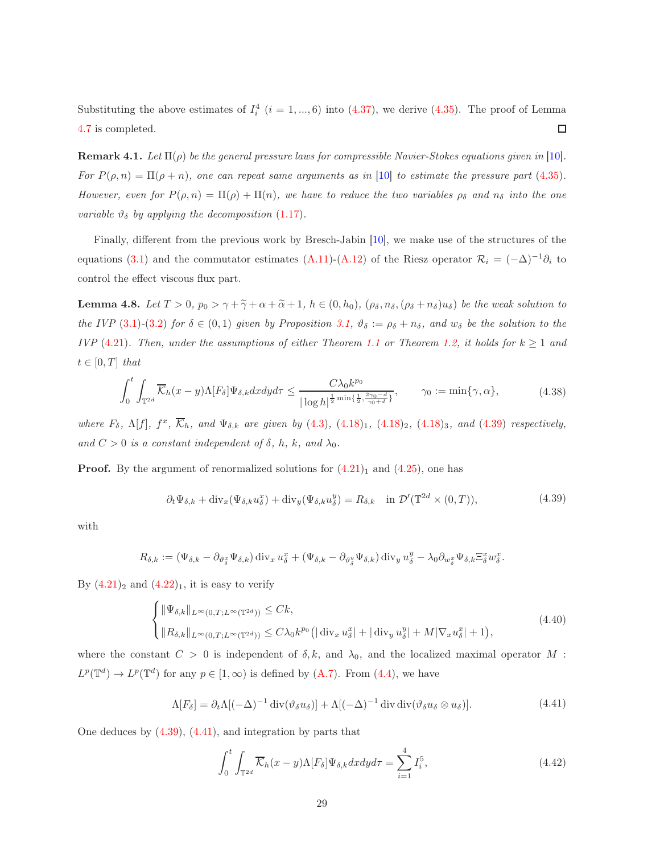Substituting the above estimates of  $I_i^4$   $(i = 1, ..., 6)$  into  $(4.37)$  $(4.37)$ , we derive  $(4.35)$ . The proof of Lemma [4.7](#page-25-3) is completed.  $\Box$ 

**Remark 4.1.** Let  $\Pi(\rho)$  be the general pressure laws for compressible Navier-Stokes equations given in [\[10\]](#page-38-7). For  $P(\rho, n) = \Pi(\rho + n)$ , one can repeat same arguments as in [\[10\]](#page-38-7) to estimate the pressure part (4.[35\)](#page-25-2). However, even for  $P(\rho, n) = \Pi(\rho) + \Pi(n)$ , we have to reduce the two variables  $\rho_{\delta}$  and  $n_{\delta}$  into the one variable  $\vartheta_{\delta}$  by applying the decomposition [\(1.17\)](#page-6-0).

Finally, different from the previous work by Bresch-Jabin [\[10\]](#page-38-7), we make use of the structures of the equations [\(3](#page-10-2).1) and the commutator estimates [\(A.11\)](#page-37-4)-[\(A.12\)](#page-37-5) of the Riesz operator  $\mathcal{R}_i = (-\Delta)^{-1}\partial_i$  to control the effect viscous flux part.

<span id="page-28-5"></span>**Lemma 4.8.** Let  $T > 0$ ,  $p_0 > \gamma + \tilde{\gamma} + \alpha + \tilde{\alpha} + 1$ ,  $h \in (0, h_0)$ ,  $(\rho_{\delta}, n_{\delta}, (\rho_{\delta} + n_{\delta})u_{\delta})$  be the weak solution to the IVP [\(3](#page-11-0).1)-(3.2) for  $\delta \in (0,1)$  given by Proposition [3.1,](#page-16-1)  $\vartheta_{\delta} := \rho_{\delta} + n_{\delta}$ , and  $w_{\delta}$  be the solution to the IVP (4.[21\)](#page-21-1). Then, under the assumptions of either Theorem [1.1](#page-3-3) or Theorem [1.2,](#page-5-0) it holds for  $k \geq 1$  and  $t \in [0, T]$  that

$$
\int_0^t \int_{\mathbb{T}^{2d}} \overline{\mathcal{K}}_h(x-y) \Lambda[F_\delta] \Psi_{\delta,k} dx dy d\tau \le \frac{C \lambda_0 k^{p_0}}{|\log h|^{\frac{1}{2}\min\{\frac{1}{2}, \frac{2\gamma_0 - d}{\gamma_0 + d}\}}}, \qquad \gamma_0 := \min\{\gamma, \alpha\},\tag{4.38}
$$

<span id="page-28-4"></span>where  $F_{\delta}$ ,  $\Lambda[f]$ ,  $f^x$ ,  $\overline{\mathcal{K}}_h$ , and  $\Psi_{\delta,k}$  are given by [\(4](#page-17-4).3), (4.[18\)](#page-20-2)<sub>1</sub>, (4.18)<sub>2</sub>, (4.18)<sub>3</sub>, and (4.[39\)](#page-28-0) respectively, and  $C > 0$  is a constant independent of  $\delta$ , h, k, and  $\lambda_0$ .

<span id="page-28-0"></span>**Proof.** By the argument of renormalized solutions for  $(4.21)<sub>1</sub>$  $(4.21)<sub>1</sub>$  $(4.21)<sub>1</sub>$  and  $(4.25)$  $(4.25)$ , one has

$$
\partial_t \Psi_{\delta,k} + \text{div}_x(\Psi_{\delta,k} u_\delta^x) + \text{div}_y(\Psi_{\delta,k} u_\delta^y) = R_{\delta,k} \quad \text{in } \mathcal{D}'(\mathbb{T}^{2d} \times (0,T)), \tag{4.39}
$$

.

with

$$
R_{\delta,k} := (\Psi_{\delta,k} - \partial_{\vartheta_{\delta}^x} \Psi_{\delta,k}) \operatorname{div}_x u_{\delta}^x + (\Psi_{\delta,k} - \partial_{\vartheta_{\delta}^y} \Psi_{\delta,k}) \operatorname{div}_y u_{\delta}^y - \lambda_0 \partial_{w_{\delta}^x} \Psi_{\delta,k} \Xi_{\delta}^x w_{\delta}^x
$$

By  $(4.21)_2$  $(4.21)_2$  $(4.21)_2$  and  $(4.22)_1$  $(4.22)_1$  $(4.22)_1$ , it is easy to verify

<span id="page-28-2"></span>
$$
\begin{cases} \|\Psi_{\delta,k}\|_{L^{\infty}(0,T;L^{\infty}(\mathbb{T}^{2d}))} \leq Ck, \\ \|\mathcal{R}_{\delta,k}\|_{L^{\infty}(0,T;L^{\infty}(\mathbb{T}^{2d}))} \leq C\lambda_0 k^{p_0} \left( |\operatorname{div}_x u_{\delta}^x| + |\operatorname{div}_y u_{\delta}^y| + M|\nabla_x u_{\delta}^x| + 1 \right), \end{cases} \tag{4.40}
$$

where the constant  $C > 0$  is independent of  $\delta, k$ , and  $\lambda_0$ , and the localized maximal operator M :  $L^p(\mathbb{T}^d) \to L^p(\mathbb{T}^d)$  for any  $p \in [1,\infty)$  is defined by  $(A.7)$ . From  $(4.4)$  $(4.4)$ , we have

$$
\Lambda[F_{\delta}] = \partial_t \Lambda[(-\Delta)^{-1} \operatorname{div}(\vartheta_{\delta} u_{\delta})] + \Lambda[(-\Delta)^{-1} \operatorname{div} \operatorname{div}(\vartheta_{\delta} u_{\delta} \otimes u_{\delta})]. \tag{4.41}
$$

<span id="page-28-3"></span><span id="page-28-1"></span>One deduces by [\(4.39\)](#page-28-0), (4.[41\)](#page-28-1), and integration by parts that

$$
\int_{0}^{t} \int_{\mathbb{T}^{2d}} \overline{\mathcal{K}}_{h}(x-y) \Lambda[F_{\delta}]\Psi_{\delta,k}dxdy d\tau = \sum_{i=1}^{4} I_{i}^{5},
$$
\n(4.42)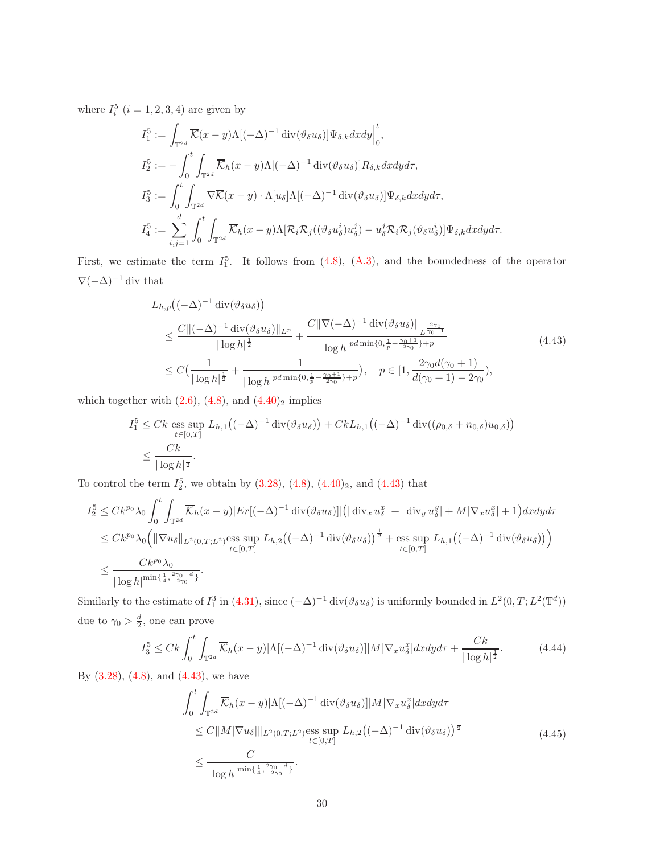where  $I_i^5$   $(i = 1, 2, 3, 4)$  are given by

$$
I_1^5 := \int_{\mathbb{T}^{2d}} \overline{\mathcal{K}}(x - y) \Lambda[(-\Delta)^{-1} \operatorname{div}(\vartheta_{\delta} u_{\delta})] \Psi_{\delta,k} dxdy \Big|_0^t,
$$
  
\n
$$
I_2^5 := -\int_0^t \int_{\mathbb{T}^{2d}} \overline{\mathcal{K}}_h(x - y) \Lambda[(-\Delta)^{-1} \operatorname{div}(\vartheta_{\delta} u_{\delta})] R_{\delta,k} dxdy d\tau,
$$
  
\n
$$
I_3^5 := \int_0^t \int_{\mathbb{T}^{2d}} \nabla \overline{\mathcal{K}}(x - y) \cdot \Lambda[u_{\delta}] \Lambda[(-\Delta)^{-1} \operatorname{div}(\vartheta_{\delta} u_{\delta})] \Psi_{\delta,k} dxdy d\tau,
$$
  
\n
$$
I_4^5 := \sum_{i,j=1}^d \int_0^t \int_{\mathbb{T}^{2d}} \overline{\mathcal{K}}_h(x - y) \Lambda[\mathcal{R}_i \mathcal{R}_j((\vartheta_{\delta} u_{\delta}^i) u_{\delta}^j) - u_{\delta}^j \mathcal{R}_i \mathcal{R}_j(\vartheta_{\delta} u_{\delta}^i)] \Psi_{\delta,k} dxdy d\tau.
$$

First, we estimate the term  $I_1^5$ . It follows from  $(4.8)$ ,  $(A.3)$ , and the boundedness of the operator  $\nabla(-\Delta)^{-1}$ div that

$$
L_{h,p}\left((-\Delta)^{-1} \operatorname{div}(\vartheta_{\delta} u_{\delta})\right)
$$
  
\n
$$
\leq \frac{C\|(-\Delta)^{-1} \operatorname{div}(\vartheta_{\delta} u_{\delta})\|_{L^{p}}}{|\log h|^{\frac{1}{2}}} + \frac{C\|\nabla(-\Delta)^{-1} \operatorname{div}(\vartheta_{\delta} u_{\delta})\|_{L^{\frac{2\gamma_{0}}{\gamma_{0}+1}}}}{|\log h|^{pd\min\{0,\frac{1}{p}-\frac{\gamma_{0}+1}{2\gamma_{0}}\}+p}} \n\leq C\left(\frac{1}{|\log h|^{\frac{1}{2}}} + \frac{1}{|\log h|^{pd\min\{0,\frac{1}{p}-\frac{\gamma_{0}+1}{2\gamma_{0}}\}+p}}\right), \quad p \in [1, \frac{2\gamma_{0}d(\gamma_{0}+1)}{d(\gamma_{0}+1)-2\gamma_{0}}),
$$
\n(4.43)

<span id="page-29-0"></span>which together with  $(2.6)$  $(2.6)$ ,  $(4.8)$ , and  $(4.40)_2$  $(4.40)_2$  $(4.40)_2$  implies

$$
I_1^5 \leq Ck \underset{t \in [0,T]}{\text{ess sup }} L_{h,1} \big( (-\Delta)^{-1} \operatorname{div}(\vartheta_{\delta} u_{\delta}) \big) + Ck L_{h,1} \big( (-\Delta)^{-1} \operatorname{div}((\rho_{0,\delta} + n_{0,\delta}) u_{0,\delta}) \big)
$$
  

$$
\leq \frac{Ck}{|\log h|^{\frac{1}{2}}}.
$$

To control the term  $I_2^5$ , we obtain by  $(3.28)$  $(3.28)$ ,  $(4.8)$ ,  $(4.40)_2$  $(4.40)_2$  $(4.40)_2$ , and  $(4.43)$  that

$$
I_2^5 \leq C k^{p_0} \lambda_0 \int_0^t \int_{\mathbb{T}^{2d}} \overline{\mathcal{K}}_h(x-y) |Er[(-\Delta)^{-1} \operatorname{div}(\vartheta_\delta u_\delta)]| (|\operatorname{div}_x u_\delta^x| + |\operatorname{div}_y u_\delta^y| + M |\nabla_x u_\delta^x| + 1) dx dy d\tau
$$
  
\n
$$
\leq C k^{p_0} \lambda_0 \Big( \|\nabla u_\delta\|_{L^2(0,T;L^2)} \underset{t \in [0,T]}{\text{ess sup}} L_{h,2} \big( (-\Delta)^{-1} \operatorname{div}(\vartheta_\delta u_\delta) \big)^{\frac{1}{2}} + \underset{t \in [0,T]}{\text{ess sup}} L_{h,1} \big( (-\Delta)^{-1} \operatorname{div}(\vartheta_\delta u_\delta) \big) \Big)
$$
  
\n
$$
\leq \frac{C k^{p_0} \lambda_0}{|\log h|^{min\{\frac{1}{4}, \frac{2\gamma_0 - d}{2\gamma_0}\}}}.
$$

Similarly to the estimate of  $I_1^3$  in [\(4.31\)](#page-23-1), since  $(-\Delta)^{-1}$  div $(\vartheta_\delta u_\delta)$  is uniformly bounded in  $L^2(0,T; L^2(\mathbb{T}^d))$ due to  $\gamma_0 > \frac{d}{2}$ , one can prove

$$
I_3^5 \leq Ck \int_0^t \int_{\mathbb{T}^{2d}} \overline{\mathcal{K}}_h(x-y) |\Lambda[(-\Delta)^{-1} \operatorname{div}(\vartheta_\delta u_\delta)]| M |\nabla_x u_\delta^x| dx dy d\tau + \frac{Ck}{|\log h|^{\frac{1}{2}}}.
$$
 (4.44)

<span id="page-29-2"></span><span id="page-29-1"></span>By  $(3.28)$ ,  $(4.8)$ , and  $(4.43)$ , we have

$$
\int_0^t \int_{\mathbb{T}^{2d}} \overline{\mathcal{K}}_h(x-y) |\Lambda[(-\Delta)^{-1} \operatorname{div}(\vartheta_\delta u_\delta)]| M |\nabla_x u_\delta^x| dx dy d\tau
$$
  
\n
$$
\leq C ||M |\nabla u_\delta||_{L^2(0,T;L^2)} \underset{t \in [0,T]}{\text{ess sup}} L_{h,2} ((-\Delta)^{-1} \operatorname{div}(\vartheta_\delta u_\delta))^{\frac{1}{2}}
$$
  
\n
$$
\leq \frac{C}{|\log h|^{\min\{\frac{1}{4}, \frac{2\gamma_0 - d}{2\gamma_0}\}}}.
$$
\n(4.45)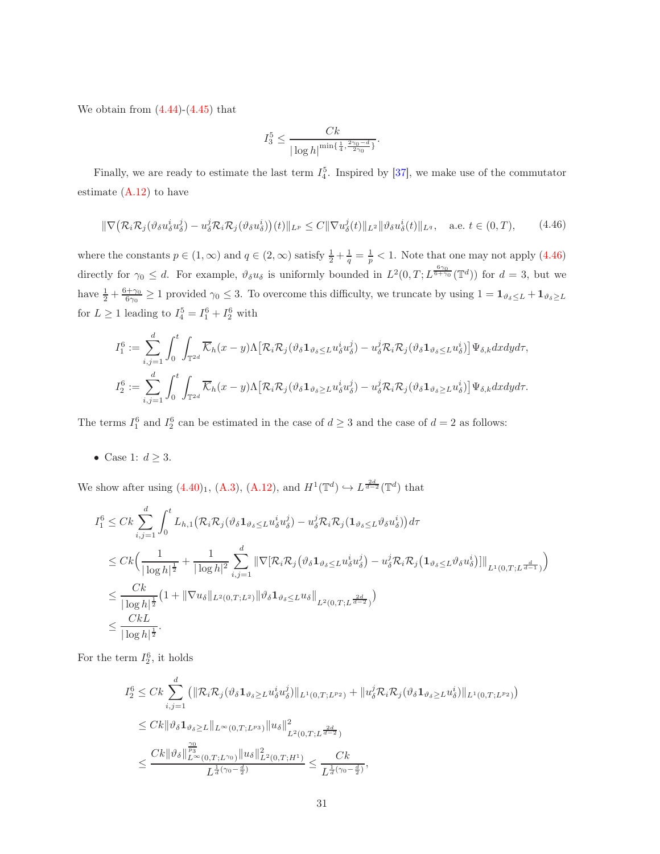We obtain from  $(4.44)-(4.45)$  $(4.44)-(4.45)$  $(4.44)-(4.45)$  $(4.44)-(4.45)$  that

$$
I_3^5 \le \frac{Ck}{|\log h|^{\min\{\frac{1}{4}, \frac{2\gamma_0 - d}{2\gamma_0}\}}}.
$$

Finally, we are ready to estimate the last term  $I_4^5$ . Inspired by [\[37\]](#page-40-6), we make use of the commutator estimate [\(A.12\)](#page-37-5) to have

<span id="page-30-0"></span>
$$
\|\nabla \big(\mathcal{R}_i \mathcal{R}_j (\vartheta_\delta u^i_\delta u^j_\delta) - u^j_\delta \mathcal{R}_i \mathcal{R}_j (\vartheta_\delta u^i_\delta)\big)(t)\|_{L^p} \le C \|\nabla u^j_\delta(t)\|_{L^2} \|\vartheta_\delta u^i_\delta(t)\|_{L^q}, \quad \text{a.e. } t \in (0, T), \tag{4.46}
$$

where the constants  $p \in (1, \infty)$  and  $q \in (2, \infty)$  satisfy  $\frac{1}{2} + \frac{1}{q} = \frac{1}{p} < 1$ . Note that one may not apply  $(4.46)$ directly for  $\gamma_0 \leq d$ . For example,  $\vartheta_{\delta} u_{\delta}$  is uniformly bounded in  $L^2(0,T; L^{\frac{6\gamma_0}{6+\gamma_0}}(\mathbb{T}^d))$  for  $d=3$ , but we have  $\frac{1}{2} + \frac{6+\gamma_0}{6\gamma_0} \ge 1$  provided  $\gamma_0 \le 3$ . To overcome this difficulty, we truncate by using  $1 = \mathbf{1}_{\vartheta_{\delta} \le L} + \mathbf{1}_{\vartheta_{\delta} \ge L}$ for  $L \geq 1$  leading to  $I_4^5 = I_1^6 + I_2^6$  with

$$
I_1^6 := \sum_{i,j=1}^d \int_0^t \int_{\mathbb{T}^{2d}} \overline{\mathcal{K}}_h(x-y) \Lambda \big[ \mathcal{R}_i \mathcal{R}_j(\vartheta_\delta \mathbf{1}_{\vartheta_\delta \leq L} u_\delta^i u_\delta^j) - u_\delta^j \mathcal{R}_i \mathcal{R}_j(\vartheta_\delta \mathbf{1}_{\vartheta_\delta \leq L} u_\delta^i) \big] \Psi_{\delta,k} dx dy d\tau,
$$
  

$$
I_2^6 := \sum_{i,j=1}^d \int_0^t \int_{\mathbb{T}^{2d}} \overline{\mathcal{K}}_h(x-y) \Lambda \big[ \mathcal{R}_i \mathcal{R}_j(\vartheta_\delta \mathbf{1}_{\vartheta_\delta \geq L} u_\delta^i u_\delta^j) - u_\delta^j \mathcal{R}_i \mathcal{R}_j(\vartheta_\delta \mathbf{1}_{\vartheta_\delta \geq L} u_\delta^i) \big] \Psi_{\delta,k} dx dy d\tau.
$$

The terms  $I_1^6$  and  $I_2^6$  can be estimated in the case of  $d \geq 3$  and the case of  $d = 2$  as follows:

• Case 1:  $d \geq 3$ .

We show after using  $(4.40)_1$  $(4.40)_1$  $(4.40)_1$ ,  $(A.3)$ ,  $(A.12)$ , and  $H^1(\mathbb{T}^d) \hookrightarrow L^{\frac{2d}{d-2}}(\mathbb{T}^d)$  that

$$
I_1^6 \n\t\leq Ck \sum_{i,j=1}^d \int_0^t L_{h,1} \big( \mathcal{R}_i \mathcal{R}_j (\vartheta_\delta \mathbf{1}_{\vartheta_\delta \leq L} u_\delta^i u_\delta^j) - u_\delta^j \mathcal{R}_i \mathcal{R}_j (\mathbf{1}_{\vartheta_\delta \leq L} \vartheta_\delta u_\delta^i) \big) d\tau
$$
  
\n
$$
\leq Ck \Big( \frac{1}{|\log h|^{\frac{1}{2}}} + \frac{1}{|\log h|^2} \sum_{i,j=1}^d \|\nabla [\mathcal{R}_i \mathcal{R}_j (\vartheta_\delta \mathbf{1}_{\vartheta_\delta \leq L} u_\delta^i u_\delta^j) - u_\delta^j \mathcal{R}_i \mathcal{R}_j (\mathbf{1}_{\vartheta_\delta \leq L} \vartheta_\delta u_\delta^i) ]\|_{L^1(0,T;L^{\frac{d}{d-1}})} \Big)
$$
  
\n
$$
\leq \frac{Ck}{|\log h|^{\frac{1}{2}}} \big( 1 + \|\nabla u_\delta\|_{L^2(0,T;L^2)} \|\vartheta_\delta \mathbf{1}_{\vartheta_\delta \leq L} u_\delta\|_{L^2(0,T;L^{\frac{2d}{d-2}})} \Big)
$$
  
\n
$$
\leq \frac{CkL}{|\log h|^{\frac{1}{2}}}.
$$

For the term  $I_2^6$ , it holds

$$
I_2^6 \leq Ck \sum_{i,j=1}^d \left( \|\mathcal{R}_i \mathcal{R}_j (\vartheta_\delta \mathbf{1}_{\vartheta_\delta \geq L} u_\delta^i u_\delta^j) \|_{L^1(0,T;L^{p_2})} + \|u_\delta^j \mathcal{R}_i \mathcal{R}_j (\vartheta_\delta \mathbf{1}_{\vartheta_\delta \geq L} u_\delta^i) \|_{L^1(0,T;L^{p_2})} \right)
$$
  
\n
$$
\leq Ck \|\vartheta_\delta \mathbf{1}_{\vartheta_\delta \geq L} \|_{L^\infty(0,T;L^{p_3})} \|u_\delta\|_{L^2(0,T;L^{\frac{2d}{d-2}})}^2
$$
  
\n
$$
\leq \frac{Ck \|\vartheta_\delta\|_{L^\infty(0,T;L^{\gamma_0})}^{\frac{\gamma_0}{p_3}} \|u_\delta\|_{L^2(0,T;H^1)}^2}{L^{\frac{1}{d}(\gamma_0 - \frac{d}{2})}} \leq \frac{Ck}{L^{\frac{1}{d}(\gamma_0 - \frac{d}{2})}},
$$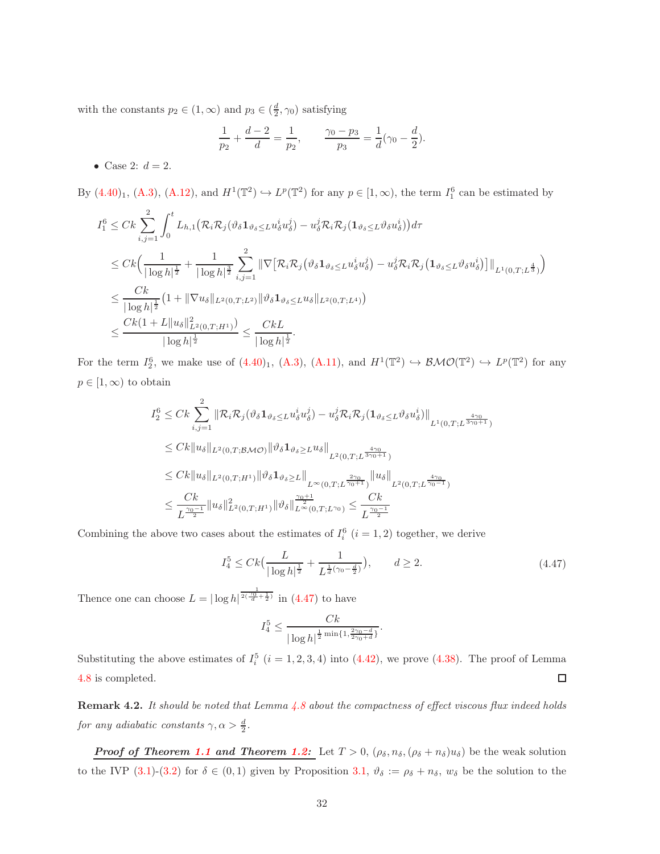with the constants  $p_2 \in (1, \infty)$  and  $p_3 \in (\frac{d}{2}, \gamma_0)$  satisfying

$$
\frac{1}{p_2} + \frac{d-2}{d} = \frac{1}{p_2}, \qquad \frac{\gamma_0 - p_3}{p_3} = \frac{1}{d}(\gamma_0 - \frac{d}{2}).
$$

• Case 2:  $d=2$ .

By  $(4.40)_1$  $(4.40)_1$  $(4.40)_1$ ,  $(A.3)$ ,  $(A.12)$ , and  $H^1(\mathbb{T}^2) \hookrightarrow L^p(\mathbb{T}^2)$  for any  $p \in [1,\infty)$ , the term  $I_1^6$  can be estimated by

$$
I_1^6 \n\t\leq Ck \sum_{i,j=1}^2 \int_0^t L_{h,1} \big( \mathcal{R}_i \mathcal{R}_j (\vartheta_\delta \mathbf{1}_{\vartheta_\delta \leq L} u_\delta^i u_\delta^j) - u_\delta^j \mathcal{R}_i \mathcal{R}_j (\mathbf{1}_{\vartheta_\delta \leq L} \vartheta_\delta u_\delta^i) \big) d\tau
$$
  
\n
$$
\leq Ck \Big( \frac{1}{|\log h|^{\frac{1}{2}}} + \frac{1}{|\log h|^{\frac{3}{2}}} \sum_{i,j=1}^2 \|\nabla \big[ \mathcal{R}_i \mathcal{R}_j (\vartheta_\delta \mathbf{1}_{\vartheta_\delta \leq L} u_\delta^i u_\delta^j) - u_\delta^j \mathcal{R}_i \mathcal{R}_j (\mathbf{1}_{\vartheta_\delta \leq L} \vartheta_\delta u_\delta^i) \big] \|_{L^1(0,T;L^{\frac{4}{3}})} \Big)
$$
  
\n
$$
\leq \frac{Ck}{|\log h|^{\frac{1}{2}}} (1 + \|\nabla u_\delta\|_{L^2(0,T;L^2)} \|\vartheta_\delta \mathbf{1}_{\vartheta_\delta \leq L} u_\delta\|_{L^2(0,T;L^4)} )
$$
  
\n
$$
\leq \frac{Ck(1+L \|u_\delta\|_{L^2(0,T;H^1)}^2)}{|\log h|^{\frac{1}{2}}} \leq \frac{CkL}{|\log h|^{\frac{1}{2}}}.
$$

For the term  $I_2^6$ , we make use of  $(4.40)_1$  $(4.40)_1$  $(4.40)_1$ ,  $(A.3)$ ,  $(A.11)$ , and  $H^1(\mathbb{T}^2) \hookrightarrow \mathcal{BMO}(\mathbb{T}^2) \hookrightarrow L^p(\mathbb{T}^2)$  for any  $p \in [1,\infty)$  to obtain

$$
I_2^6 \leq Ck \sum_{i,j=1}^2 \|\mathcal{R}_i \mathcal{R}_j(\vartheta_{\delta} \mathbf{1}_{\vartheta_{\delta} \leq L} u_{\delta}^i u_{\delta}^j) - u_{\delta}^j \mathcal{R}_i \mathcal{R}_j (\mathbf{1}_{\vartheta_{\delta} \leq L} \vartheta_{\delta} u_{\delta}^i) \|_{L^1(0,T;L^{\frac{4\gamma_0}{3\gamma_0+1}})}
$$
  
\n
$$
\leq Ck \|u_{\delta}\|_{L^2(0,T;\mathcal{BMO})} \|\vartheta_{\delta} \mathbf{1}_{\vartheta_{\delta} \geq L} u_{\delta}\|_{L^2(0,T;L^{\frac{4\gamma_0}{3\gamma_0+1}})}
$$
  
\n
$$
\leq Ck \|u_{\delta}\|_{L^2(0,T;H^1)} \|\vartheta_{\delta} \mathbf{1}_{\vartheta_{\delta} \geq L} \|_{L^{\infty}(0,T;L^{\frac{2\gamma_0}{\gamma_0+1}})} \|u_{\delta}\|_{L^2(0,T;L^{\frac{4\gamma_0}{\gamma_0-1}})}
$$
  
\n
$$
\leq \frac{Ck}{L^{\frac{\gamma_0-1}{2}}} \|u_{\delta}\|_{L^2(0,T;H^1)}^2 \|\vartheta_{\delta}\|_{L^{\infty}(0,T;L^{\gamma_0})}^{\frac{\gamma_0+1}{2}} \leq \frac{Ck}{L^{\frac{\gamma_0-1}{2}}}
$$

<span id="page-31-0"></span>Combining the above two cases about the estimates of  $I_i^6$   $(i = 1, 2)$  together, we derive

$$
I_4^5 \le Ck\left(\frac{L}{|\log h|^{\frac{1}{2}}} + \frac{1}{L^{\frac{1}{d}(\gamma_0 - \frac{d}{2})}}\right), \qquad d \ge 2.
$$
 (4.47)

Thence one can choose  $L = |\log h|^{\frac{1}{2(\frac{\gamma_0}{d} + \frac{1}{2})}}$  in [\(4.47\)](#page-31-0) to have

$$
I_4^5 \le \frac{Ck}{|\log h|^{\frac{1}{2}\min\{1, \frac{2\gamma_0 - d}{2\gamma_0 + d}\}}}.
$$

Substituting the above estimates of  $I_i^5$   $(i = 1, 2, 3, 4)$  into  $(4.42)$ , we prove  $(4.38)$  $(4.38)$ . The proof of Lemma [4.8](#page-28-5) is completed.  $\Box$ 

**Remark 4.2.** It should be noted that Lemma  $4.8$  about the compactness of effect viscous flux indeed holds for any adiabatic constants  $\gamma, \alpha > \frac{d}{2}$ .

*Proof of Theorem [1.1](#page-3-3) and Theorem [1.2:](#page-5-0)* Let  $T > 0$ ,  $(\rho_{\delta}, n_{\delta}, (\rho_{\delta} + n_{\delta})u_{\delta})$  be the weak solution to the IVP (3.[1\)](#page-10-2)-(3.[2\)](#page-11-0) for  $\delta \in (0,1)$  given by Proposition [3.1,](#page-16-1)  $\vartheta_{\delta} := \rho_{\delta} + n_{\delta}$ ,  $w_{\delta}$  be the solution to the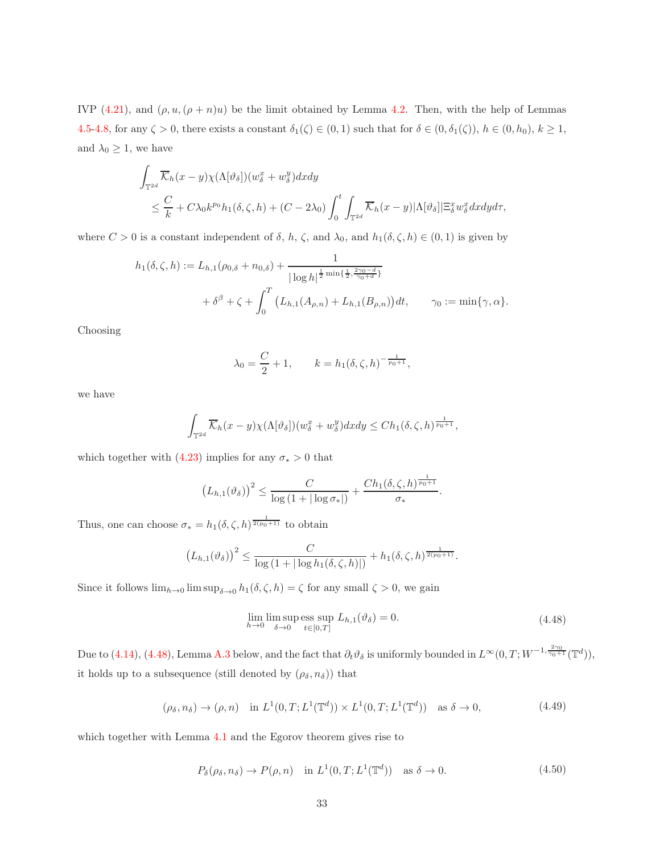IVP (4.[21\)](#page-21-1), and  $(\rho, u, (\rho + n)u)$  be the limit obtained by Lemma [4.2.](#page-19-2) Then, with the help of Lemmas [4.5-](#page-22-4)[4.8,](#page-28-5) for any  $\zeta > 0$ , there exists a constant  $\delta_1(\zeta) \in (0,1)$  such that for  $\delta \in (0, \delta_1(\zeta))$ ,  $h \in (0, h_0)$ ,  $k \ge 1$ , and  $\lambda_0 \geq 1$ , we have

$$
\int_{\mathbb{T}^{2d}} \overline{\mathcal{K}}_h(x-y) \chi(\Lambda[\vartheta_\delta])(w_\delta^x+w_\delta^y) dxdy
$$
\n
$$
\leq \frac{C}{k} + C\lambda_0 k^{p_0} h_1(\delta,\zeta,h) + (C - 2\lambda_0) \int_0^t \int_{\mathbb{T}^{2d}} \overline{\mathcal{K}}_h(x-y) |\Lambda[\vartheta_\delta]| \Xi_\delta^x w_\delta^x dxdy d\tau,
$$

where  $C > 0$  is a constant independent of  $\delta$ ,  $h$ ,  $\zeta$ , and  $\lambda_0$ , and  $h_1(\delta, \zeta, h) \in (0, 1)$  is given by

$$
h_1(\delta, \zeta, h) := L_{h,1}(\rho_{0,\delta} + n_{0,\delta}) + \frac{1}{|\log h|^{\frac{1}{2}\min\{\frac{1}{2}, \frac{2\gamma_0 - d}{\gamma_0 + d}\}}}
$$
  
+  $\delta^{\beta} + \zeta + \int_0^T (L_{h,1}(A_{\rho,n}) + L_{h,1}(B_{\rho,n})) dt, \qquad \gamma_0 := \min\{\gamma, \alpha\}.$ 

Choosing

$$
\lambda_0 = \frac{C}{2} + 1,
$$
\n $k = h_1(\delta, \zeta, h)^{-\frac{1}{p_0 + 1}},$ 

we have

$$
\int_{\mathbb{T}^{2d}} \overline{\mathcal{K}}_h(x-y) \chi(\Lambda[\vartheta_\delta]) (w_\delta^x + w_\delta^y) dxdy \leq Ch_1(\delta, \zeta, h)^{\frac{1}{p_0+1}},
$$

which together with (4.[23\)](#page-21-5) implies for any  $\sigma_* > 0$  that

$$
\left(L_{h,1}(\vartheta_\delta)\right)^2 \leq \frac{C}{\log\left(1+|\log\sigma_*|\right)} + \frac{Ch_1(\delta,\zeta,h)^{\frac{1}{p_0+1}}}{\sigma_*}.
$$

Thus, one can choose  $\sigma_* = h_1(\delta, \zeta, h)^{\frac{1}{2(p_0+1)}}$  to obtain

$$
(L_{h,1}(\vartheta_\delta))^2 \leq \frac{C}{\log(1+|\log h_1(\delta,\zeta,h)|)} + h_1(\delta,\zeta,h)^{\frac{1}{2(p_0+1)}}.
$$

<span id="page-32-0"></span>Since it follows  $\lim_{h\to 0} \limsup_{\delta\to 0} h_1(\delta,\zeta,h) = \zeta$  for any small  $\zeta > 0$ , we gain

$$
\lim_{h \to 0} \limsup_{\delta \to 0} \text{ess sup } L_{h,1}(\vartheta_{\delta}) = 0. \tag{4.48}
$$

Due to (4.[14\)](#page-20-5), [\(4.48\)](#page-32-0), Lemma [A.3](#page-35-0) below, and the fact that  $\partial_t \vartheta_\delta$  is uniformly bounded in  $L^\infty(0,T;W^{-1,\frac{2\gamma_0}{\gamma_0+1}}(\mathbb{T}^d))$ , it holds up to a subsequence (still denoted by  $(\rho_{\delta}, n_{\delta})$ ) that

$$
(\rho_{\delta}, n_{\delta}) \to (\rho, n) \quad \text{in } L^1(0, T; L^1(\mathbb{T}^d)) \times L^1(0, T; L^1(\mathbb{T}^d)) \quad \text{as } \delta \to 0,
$$
\n
$$
(4.49)
$$

<span id="page-32-2"></span><span id="page-32-1"></span>which together with Lemma [4.1](#page-16-3) and the Egorov theorem gives rise to

$$
P_{\delta}(\rho_{\delta}, n_{\delta}) \to P(\rho, n) \quad \text{in } L^{1}(0, T; L^{1}(\mathbb{T}^{d})) \quad \text{as } \delta \to 0.
$$
 (4.50)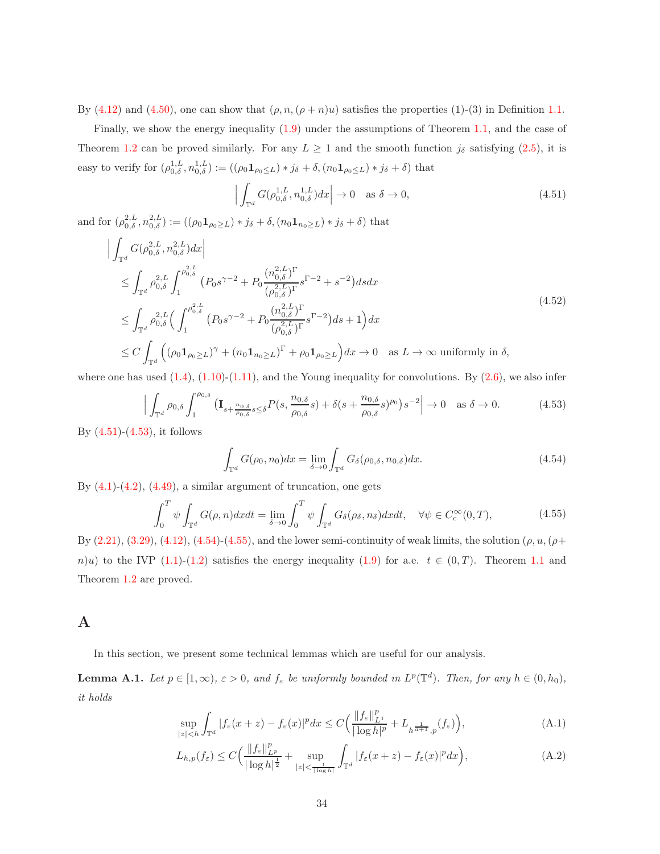By (4.[12\)](#page-19-3) and (4.[50\)](#page-32-1), one can show that  $(\rho, n, (\rho + n)u)$  satisfies the properties (1)-(3) in Definition [1.1.](#page-3-0)

Finally, we show the energy inequality (1.[9\)](#page-3-4) under the assumptions of Theorem [1.1,](#page-3-3) and the case of Theorem [1.2](#page-5-0) can be proved similarly. For any  $L \ge 1$  and the smooth function  $j_{\delta}$  satisfying (2.[5\)](#page-7-5), it is easy to verify for  $(\rho_{0,\delta}^{1,L}, n_{0,\delta}^{1,L}) := ((\rho_0 \mathbf{1}_{\rho_0 \le L}) * j_{\delta} + \delta, (n_0 \mathbf{1}_{\rho_0 \le L}) * j_{\delta} + \delta)$  that

$$
\left| \int_{\mathbb{T}^d} G(\rho_{0,\delta}^{1,L}, n_{0,\delta}^{1,L}) dx \right| \to 0 \quad \text{as } \delta \to 0,
$$
\n(4.51)

<span id="page-33-0"></span>and for  $(\rho_{0,\delta}^{2,L}, n_{0,\delta}^{2,L}) := ((\rho_0 \mathbf{1}_{\rho_0 \geq L}) * j_{\delta} + \delta, (n_0 \mathbf{1}_{n_0 \geq L}) * j_{\delta} + \delta)$  that

$$
\begin{split}\n&\Big| \int_{\mathbb{T}^{d}} G(\rho_{0,\delta}^{2,L}, n_{0,\delta}^{2,L}) dx \Big| \\
&\leq \int_{\mathbb{T}^{d}} \rho_{0,\delta}^{2,L} \int_{1}^{\rho_{0,\delta}^{2,L}} (P_{0}s^{\gamma-2} + P_{0} \frac{(n_{0,\delta}^{2,L})^{\Gamma}}{(\rho_{0,\delta}^{2,L})^{\Gamma}} s^{\Gamma-2} + s^{-2}) ds dx \\
&\leq \int_{\mathbb{T}^{d}} \rho_{0,\delta}^{2,L} \Big( \int_{1}^{\rho_{0,\delta}^{2,L}} (P_{0}s^{\gamma-2} + P_{0} \frac{(n_{0,\delta}^{2,L})^{\Gamma}}{(\rho_{0,\delta}^{2,L})^{\Gamma}} s^{\Gamma-2} \Big) ds + 1 \Big) dx \\
&\leq C \int_{\mathbb{T}^{d}} \Big( (\rho_{0} \mathbf{1}_{\rho_{0} \geq L})^{\gamma} + (n_{0} \mathbf{1}_{n_{0} \geq L})^{\Gamma} + \rho_{0} \mathbf{1}_{\rho_{0} \geq L} \Big) dx \to 0 \quad \text{as } L \to \infty \text{ uniformly in } \delta,\n\end{split}
$$
\n(4.52)

<span id="page-33-1"></span>where one has used  $(1.4)$  $(1.4)$ ,  $(1.10)$  $(1.10)$ - $(1.11)$  $(1.11)$ , and the Young inequality for convolutions. By  $(2.6)$ , we also infer

$$
\Big|\int_{\mathbb{T}^d} \rho_{0,\delta} \int_1^{\rho_{0,\delta}} \left(\mathbf{I}_{s+\frac{n_{0,\delta}}{\rho_{0,\delta}}s\leq \delta} P(s,\frac{n_{0,\delta}}{\rho_{0,\delta}}s) + \delta(s+\frac{n_{0,\delta}}{\rho_{0,\delta}}s)^{p_0}\right) s^{-2}\Big| \to 0 \quad \text{as } \delta \to 0. \tag{4.53}
$$

<span id="page-33-2"></span>By  $(4.51)$ - $(4.53)$ , it follows

$$
\int_{\mathbb{T}^d} G(\rho_0, n_0) dx = \lim_{\delta \to 0} \int_{\mathbb{T}^d} G_{\delta}(\rho_{0,\delta}, n_{0,\delta}) dx.
$$
\n(4.54)

<span id="page-33-3"></span>By  $(4.1)-(4.2)$  $(4.1)-(4.2)$ ,  $(4.49)$  $(4.49)$ , a similar argument of truncation, one gets

$$
\int_0^T \psi \int_{\mathbb{T}^d} G(\rho, n) dx dt = \lim_{\delta \to 0} \int_0^T \psi \int_{\mathbb{T}^d} G_\delta(\rho_\delta, n_\delta) dx dt, \quad \forall \psi \in C_c^\infty(0, T), \tag{4.55}
$$

By  $(2.21), (3.29), (4.12), (4.54)-(4.55),$  $(2.21), (3.29), (4.12), (4.54)-(4.55),$  $(2.21), (3.29), (4.12), (4.54)-(4.55),$  $(2.21), (3.29), (4.12), (4.54)-(4.55),$  $(2.21), (3.29), (4.12), (4.54)-(4.55),$  $(2.21), (3.29), (4.12), (4.54)-(4.55),$  $(2.21), (3.29), (4.12), (4.54)-(4.55),$  $(2.21), (3.29), (4.12), (4.54)-(4.55),$  $(2.21), (3.29), (4.12), (4.54)-(4.55),$  and the lower semi-continuity of weak limits, the solution  $(\rho, u, (\rho +$ n)u) to the IVP [\(1.1\)](#page-0-0)-[\(1.2\)](#page-0-1) satisfies the energy inequality (1.[9\)](#page-3-4) for a.e.  $t \in (0,T)$ . Theorem [1.1](#page-3-3) and Theorem [1.2](#page-5-0) are proved.

#### A

In this section, we present some technical lemmas which are useful for our analysis.

<span id="page-33-6"></span>**Lemma A.1.** Let  $p \in [1, \infty)$ ,  $\varepsilon > 0$ , and  $f_{\varepsilon}$  be uniformly bounded in  $L^p(\mathbb{T}^d)$ . Then, for any  $h \in (0, h_0)$ , it holds

<span id="page-33-5"></span><span id="page-33-4"></span>
$$
\sup_{|z|
$$

$$
L_{h,p}(f_{\varepsilon}) \le C \Big( \frac{\|f_{\varepsilon}\|_{L^p}^p}{|\log h|^{\frac{1}{2}}} + \sup_{|z| < \frac{1}{|\log h|}} \int_{\mathbb{T}^d} |f_{\varepsilon}(x+z) - f_{\varepsilon}(x)|^p dx \Big),\tag{A.2}
$$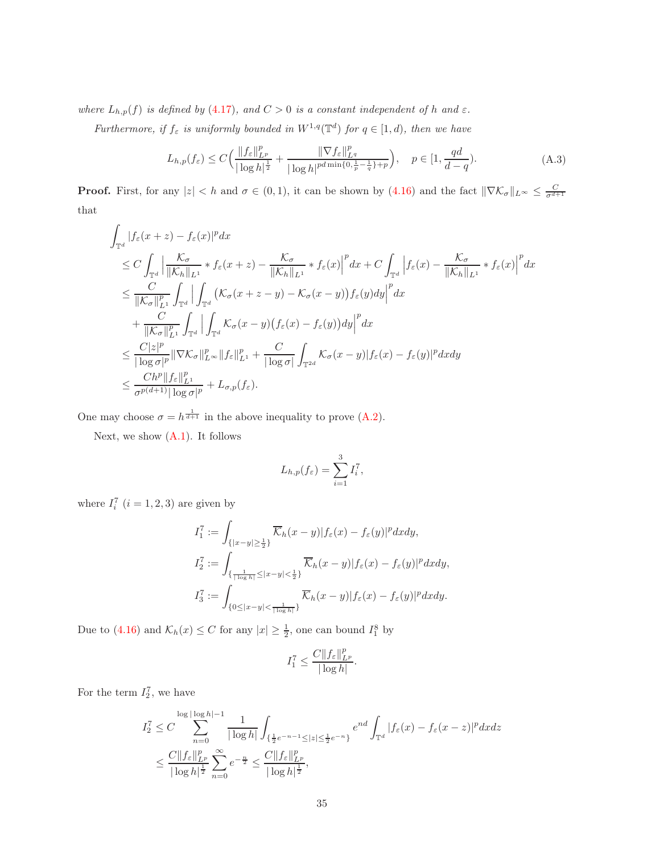where  $L_{h,p}(f)$  is defined by (4.[17\)](#page-20-1), and  $C > 0$  is a constant independent of h and  $\varepsilon$ .

<span id="page-34-0"></span>Furthermore, if  $f_{\varepsilon}$  is uniformly bounded in  $W^{1,q}(\mathbb{T}^d)$  for  $q \in [1,d)$ , then we have

$$
L_{h,p}(f_{\varepsilon}) \le C \Big( \frac{\|f_{\varepsilon}\|_{L^p}^p}{|\log h|^{\frac{1}{2}}} + \frac{\|\nabla f_{\varepsilon}\|_{L^q}^p}{|\log h|^{pd\min\{0, \frac{1}{p} - \frac{1}{q}\} + p}} \Big), \quad p \in [1, \frac{qd}{d - q}).
$$
 (A.3)

**Proof.** First, for any  $|z| < h$  and  $\sigma \in (0,1)$ , it can be shown by  $(4.16)$  and the fact  $\|\nabla \mathcal{K}_{\sigma}\|_{L^{\infty}} \leq \frac{C}{\sigma^{d+1}}$ that

$$
\int_{\mathbb{T}^d} |f_{\varepsilon}(x+z) - f_{\varepsilon}(x)|^p dx
$$
\n
$$
\leq C \int_{\mathbb{T}^d} \left| \frac{\mathcal{K}_{\sigma}}{\|\mathcal{K}_{h}\|_{L^1}} * f_{\varepsilon}(x+z) - \frac{\mathcal{K}_{\sigma}}{\|\mathcal{K}_{h}\|_{L^1}} * f_{\varepsilon}(x)\right|^p dx + C \int_{\mathbb{T}^d} \left|f_{\varepsilon}(x) - \frac{\mathcal{K}_{\sigma}}{\|\mathcal{K}_{h}\|_{L^1}} * f_{\varepsilon}(x)\right|^p dx
$$
\n
$$
\leq \frac{C}{\|\mathcal{K}_{\sigma}\|_{L^1}^p} \int_{\mathbb{T}^d} \left| \int_{\mathbb{T}^d} (\mathcal{K}_{\sigma}(x+z-y) - \mathcal{K}_{\sigma}(x-y)) f_{\varepsilon}(y) dy \right|^p dx
$$
\n
$$
+ \frac{C}{\|\mathcal{K}_{\sigma}\|_{L^1}^p} \int_{\mathbb{T}^d} \left| \int_{\mathbb{T}^d} \mathcal{K}_{\sigma}(x-y) (f_{\varepsilon}(x) - f_{\varepsilon}(y)) dy \right|^p dx
$$
\n
$$
\leq \frac{C|z|^p}{|\log \sigma|^p} \|\nabla \mathcal{K}_{\sigma}\|_{L^{\infty}}^p \|f_{\varepsilon}\|_{L^1}^p + \frac{C}{|\log \sigma|} \int_{\mathbb{T}^{2d}} \mathcal{K}_{\sigma}(x-y) |f_{\varepsilon}(x) - f_{\varepsilon}(y)|^p dx dy
$$
\n
$$
\leq \frac{C h^p \|f_{\varepsilon}\|_{L^1}^p}{\sigma^{p(d+1)} |\log \sigma|^p} + L_{\sigma, p}(f_{\varepsilon}).
$$

One may choose  $\sigma = h^{\frac{1}{d+1}}$  in the above inequality to prove [\(A.2\)](#page-33-4).

Next, we show [\(A.1\)](#page-33-5). It follows

$$
L_{h,p}(f_{\varepsilon}) = \sum_{i=1}^{3} I_i^7,
$$

where  $I_i^7$   $(i = 1, 2, 3)$  are given by

$$
\begin{aligned} I_1^7 &:= \int_{\{|x-y|\geq \frac{1}{2}\}} \overline{\mathcal{K}}_h(x-y) |f_{\varepsilon}(x)-f_{\varepsilon}(y)|^p dx dy, \\ I_2^7 &:= \int_{\{\frac{1}{|\log h|}\leq |x-y|< \frac{1}{2}\}} \overline{\mathcal{K}}_h(x-y) |f_{\varepsilon}(x)-f_{\varepsilon}(y)|^p dx dy, \\ I_3^7 &:= \int_{\{0\leq |x-y|< \frac{1}{|\log h|}\}} \overline{\mathcal{K}}_h(x-y) |f_{\varepsilon}(x)-f_{\varepsilon}(y)|^p dx dy. \end{aligned}
$$

Due to [\(4.16\)](#page-20-3) and  $\mathcal{K}_h(x) \leq C$  for any  $|x| \geq \frac{1}{2}$ , one can bound  $I_1^8$  by

$$
I_1^7 \leq \frac{C\|f_{\varepsilon}\|_{L^p}^p}{|\log h|}.
$$

For the term  $I_2^7$ , we have

$$
I_2^7 \leq C \sum_{n=0}^{\log |\log h|-1} \frac{1}{|\log h|} \int_{\{\frac{1}{2}e^{-n-1} \leq |z| \leq \frac{1}{2}e^{-n}\}} e^{nd} \int_{\mathbb{T}^d} |f_{\varepsilon}(x) - f_{\varepsilon}(x-z)|^p dx dz
$$
  

$$
\leq \frac{C \|f_{\varepsilon}\|_{L^p}^p}{|\log h|^{\frac{1}{2}}} \sum_{n=0}^{\infty} e^{-\frac{n}{2}} \leq \frac{C \|f_{\varepsilon}\|_{L^p}^p}{|\log h|^{\frac{1}{2}}},
$$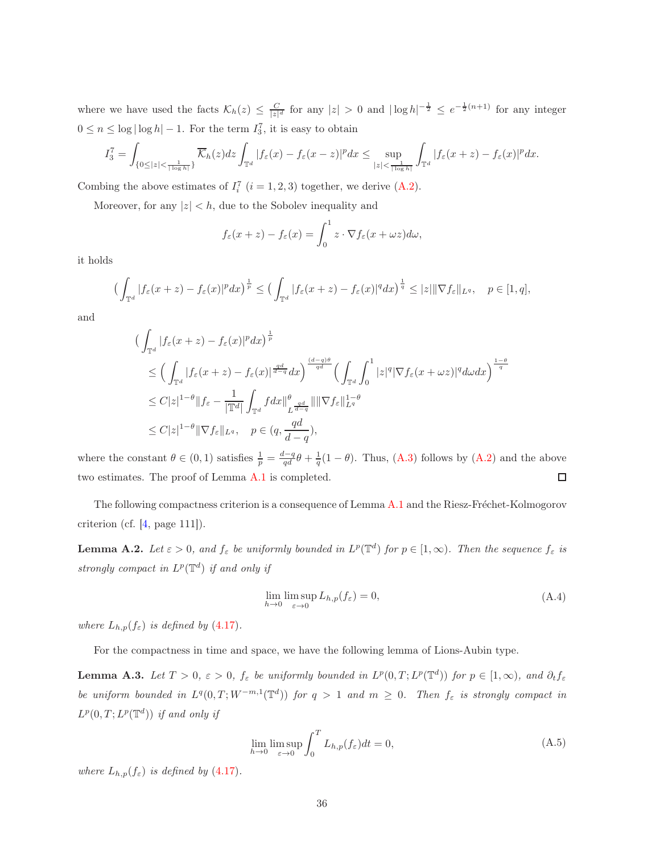where we have used the facts  $\mathcal{K}_h(z) \leq \frac{C}{|z|^d}$  for any  $|z| > 0$  and  $|\log h|^{-\frac{1}{2}} \leq e^{-\frac{1}{2}(n+1)}$  for any integer  $0 \le n \le \log |\log h| - 1$ . For the term  $I_3^7$ , it is easy to obtain

$$
I_3^7 = \int_{\{0 \le |z| < \frac{1}{|\log h|}\}} \overline{\mathcal{K}}_h(z) dz \int_{\mathbb{T}^d} |f_{\varepsilon}(x) - f_{\varepsilon}(x - z)|^p dx \le \sup_{|z| < \frac{1}{|\log h|}} \int_{\mathbb{T}^d} |f_{\varepsilon}(x + z) - f_{\varepsilon}(x)|^p dx.
$$

Combing the above estimates of  $I_i^7$   $(i = 1, 2, 3)$  together, we derive  $(A.2)$ .

Moreover, for any  $|z| < h$ , due to the Sobolev inequality and

$$
f_{\varepsilon}(x+z) - f_{\varepsilon}(x) = \int_0^1 z \cdot \nabla f_{\varepsilon}(x+\omega z) d\omega,
$$

it holds

$$
\left(\int_{\mathbb{T}^d} |f_{\varepsilon}(x+z)-f_{\varepsilon}(x)|^p dx\right)^{\frac{1}{p}} \leq \left(\int_{\mathbb{T}^d} |f_{\varepsilon}(x+z)-f_{\varepsilon}(x)|^q dx\right)^{\frac{1}{q}} \leq |z| \|\nabla f_{\varepsilon}\|_{L^q}, \quad p \in [1, q],
$$

and

$$
\begin{split}\n&\left(\int_{\mathbb{T}^d} |f_{\varepsilon}(x+z) - f_{\varepsilon}(x)|^p dx\right)^{\frac{1}{p}} \\
&\leq \left(\int_{\mathbb{T}^d} |f_{\varepsilon}(x+z) - f_{\varepsilon}(x)|^{\frac{qd}{d-q}} dx\right)^{\frac{(d-q)\theta}{qd}} \left(\int_{\mathbb{T}^d} \int_0^1 |z|^q |\nabla f_{\varepsilon}(x+\omega z)|^q d\omega dx\right)^{\frac{1-\theta}{q}} \\
&\leq C|z|^{1-\theta} \|f_{\varepsilon} - \frac{1}{|\mathbb{T}^d|} \int_{\mathbb{T}^d} f dx \big\|_{L^{\frac{qd}{d-q}}}^{\theta} \|\|\nabla f_{\varepsilon}\|_{L^q}^{1-\theta} \\
&\leq C|z|^{1-\theta} \|\nabla f_{\varepsilon}\|_{L^q}, \quad p \in (q, \frac{qd}{d-q}),\n\end{split}
$$

where the constant  $\theta \in (0,1)$  satisfies  $\frac{1}{p} = \frac{d-q}{qd}\theta + \frac{1}{q}(1-\theta)$ . Thus, [\(A.3\)](#page-34-0) follows by [\(A.2\)](#page-33-4) and the above two estimates. The proof of Lemma [A.1](#page-33-6) is completed.  $\Box$ 

The following compactness criterion is a consequence of Lemma [A.1](#page-33-6) and the Riesz-Fréchet-Kolmogorov criterion (cf. [\[4,](#page-37-6) page 111]).

**Lemma A.2.** Let  $\varepsilon > 0$ , and  $f_{\varepsilon}$  be uniformly bounded in  $L^p(\mathbb{T}^d)$  for  $p \in [1,\infty)$ . Then the sequence  $f_{\varepsilon}$  is strongly compact in  $L^p(\mathbb{T}^d)$  if and only if

$$
\lim_{h \to 0} \limsup_{\varepsilon \to 0} L_{h,p}(f_{\varepsilon}) = 0,
$$
\n(A.4)

where  $L_{h,p}(f_{\varepsilon})$  is defined by (4.[17\)](#page-20-1).

For the compactness in time and space, we have the following lemma of Lions-Aubin type.

<span id="page-35-0"></span>**Lemma A.3.** Let  $T > 0$ ,  $\varepsilon > 0$ ,  $f_{\varepsilon}$  be uniformly bounded in  $L^p(0,T; L^p(\mathbb{T}^d))$  for  $p \in [1,\infty)$ , and  $\partial_t f_{\varepsilon}$ be uniform bounded in  $L^q(0,T;W^{-m,1}(\mathbb{T}^d))$  for  $q>1$  and  $m\geq 0$ . Then  $f_{\varepsilon}$  is strongly compact in  $L^p(0,T;L^p(\mathbb{T}^d))$  if and only if

$$
\lim_{h \to 0} \limsup_{\varepsilon \to 0} \int_0^T L_{h,p}(f_\varepsilon) dt = 0,
$$
\n(A.5)

<span id="page-35-1"></span>where  $L_{h,p}(f_{\varepsilon})$  is defined by (4.[17\)](#page-20-1).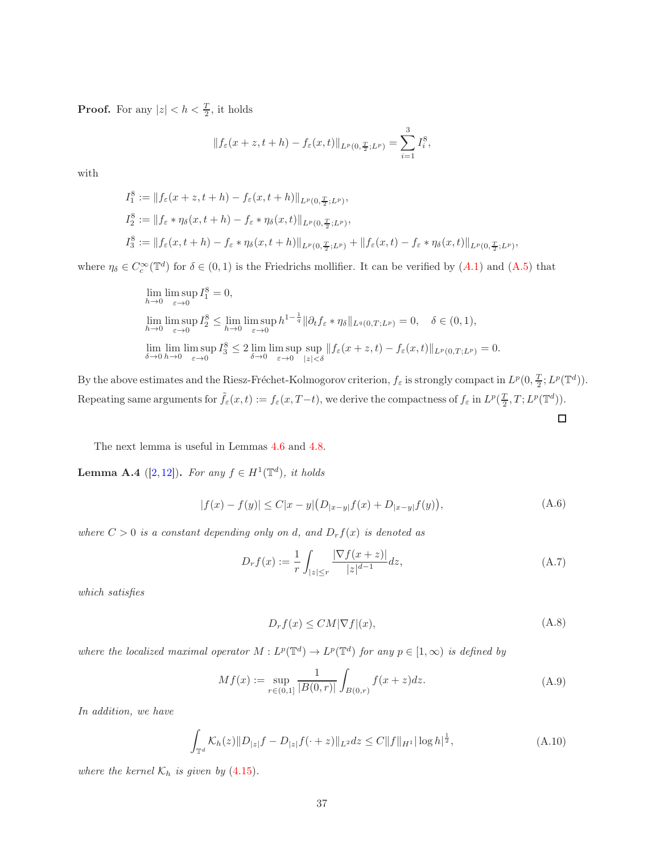**Proof.** For any  $|z| < h < \frac{T}{2}$ , it holds

$$
||f_{\varepsilon}(x+z,t+h) - f_{\varepsilon}(x,t)||_{L^{p}(0,\frac{T}{2};L^{p})} = \sum_{i=1}^{3} I_{i}^{8},
$$

with

$$
I_1^8 := ||f_{\varepsilon}(x+z, t+h) - f_{\varepsilon}(x, t+h)||_{L^p(0, \frac{T}{2}; L^p)},
$$
  
\n
$$
I_2^8 := ||f_{\varepsilon} * \eta_\delta(x, t+h) - f_{\varepsilon} * \eta_\delta(x, t)||_{L^p(0, \frac{T}{2}; L^p)},
$$
  
\n
$$
I_3^8 := ||f_{\varepsilon}(x, t+h) - f_{\varepsilon} * \eta_\delta(x, t+h)||_{L^p(0, \frac{T}{2}; L^p)} + ||f_{\varepsilon}(x, t) - f_{\varepsilon} * \eta_\delta(x, t)||_{L^p(0, \frac{T}{2}; L^p)},
$$

where  $\eta_{\delta} \in C_c^{\infty}(\mathbb{T}^d)$  for  $\delta \in (0,1)$  is the Friedrichs mollifier. It can be verified by  $(A.1)$  $(A.1)$  $(A.1)$  and  $(A.5)$  that

$$
\lim_{h \to 0} \lim_{\varepsilon \to 0} \sup_{\varepsilon \to 0} I_1^8 = 0,
$$
  
\n
$$
\lim_{h \to 0} \lim_{\varepsilon \to 0} I_2^8 \le \lim_{h \to 0} \limsup_{\varepsilon \to 0} h^{1 - \frac{1}{q}} \|\partial_t f_{\varepsilon} * \eta_\delta\|_{L^q(0,T;L^p)} = 0, \quad \delta \in (0,1),
$$
  
\n
$$
\lim_{\delta \to 0} \lim_{h \to 0} \limsup_{\varepsilon \to 0} I_3^8 \le 2 \lim_{\delta \to 0} \limsup_{\varepsilon \to 0} \sup_{|z| < \delta} \|f_{\varepsilon}(x+z,t) - f_{\varepsilon}(x,t)\|_{L^p(0,T;L^p)} = 0.
$$

By the above estimates and the Riesz-Fréchet-Kolmogorov criterion,  $f_{\varepsilon}$  is strongly compact in  $L^p(0, \frac{T}{2}; L^p(\mathbb{T}^d))$ . Repeating same arguments for  $\tilde{f}_{\varepsilon}(x,t) := f_{\varepsilon}(x,T-t)$ , we derive the compactness of  $f_{\varepsilon}$  in  $L^p(\frac{T}{2},T;L^p(\mathbb{T}^d))$ .

The next lemma is useful in Lemmas [4.6](#page-24-1) and [4.8.](#page-28-5)

<span id="page-36-1"></span>**Lemma A.4** ([\[2,](#page-37-3)[12\]](#page-38-1)). For any  $f \in H^1(\mathbb{T}^d)$ , it holds

$$
|f(x) - f(y)| \le C|x - y| \left( D_{|x - y|} f(x) + D_{|x - y|} f(y) \right),\tag{A.6}
$$

<span id="page-36-3"></span>where  $C > 0$  is a constant depending only on d, and  $D_r f(x)$  is denoted as

$$
D_r f(x) := \frac{1}{r} \int_{|z| \le r} \frac{|\nabla f(x+z)|}{|z|^{d-1}} dz,
$$
\n(A.7)

□

which satisfies

$$
D_r f(x) \le CM |\nabla f|(x),\tag{A.8}
$$

<span id="page-36-0"></span>where the localized maximal operator  $M: L^p(\mathbb{T}^d) \to L^p(\mathbb{T}^d)$  for any  $p \in [1, \infty)$  is defined by

$$
Mf(x) := \sup_{r \in (0,1]} \frac{1}{|B(0,r)|} \int_{B(0,r)} f(x+z) dz.
$$
 (A.9)

<span id="page-36-2"></span>In addition, we have

$$
\int_{\mathbb{T}^d} \mathcal{K}_h(z) \|D_{|z|} f - D_{|z|} f(\cdot + z) \|_{L^2} dz \le C \|f\|_{H^1} |\log h|^{\frac{1}{2}}, \tag{A.10}
$$

where the kernel  $\mathcal{K}_h$  is given by (4.[15\)](#page-20-0).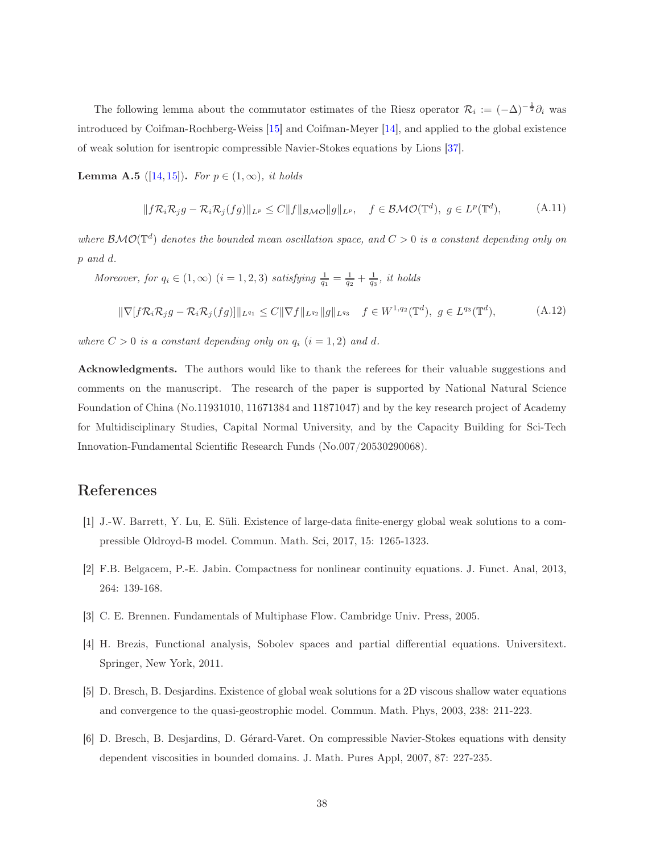The following lemma about the commutator estimates of the Riesz operator  $\mathcal{R}_i := (-\Delta)^{-\frac{1}{2}} \partial_i$  was introduced by Coifman-Rochberg-Weiss [\[15\]](#page-38-11) and Coifman-Meyer [\[14\]](#page-38-12), and applied to the global existence of weak solution for isentropic compressible Navier-Stokes equations by Lions [\[37\]](#page-40-6).

<span id="page-37-4"></span>**Lemma A.5** ([\[14,](#page-38-12) [15\]](#page-38-11)). For  $p \in (1, \infty)$ , it holds

$$
||f\mathcal{R}_{i}\mathcal{R}_{j}g - \mathcal{R}_{i}\mathcal{R}_{j}(fg)||_{L^{p}} \leq C||f||_{\mathcal{BMO}}||g||_{L^{p}}, \quad f \in \mathcal{BMO}(\mathbb{T}^{d}), \ g \in L^{p}(\mathbb{T}^{d}), \tag{A.11}
$$

where  $\mathcal{BMO}(\mathbb{T}^d)$  denotes the bounded mean oscillation space, and  $C > 0$  is a constant depending only on p and d.

<span id="page-37-5"></span>Moreover, for  $q_i \in (1,\infty)$   $(i = 1,2,3)$  satisfying  $\frac{1}{q_1} = \frac{1}{q_2} + \frac{1}{q_3}$ , it holds

$$
\|\nabla[f\mathcal{R}_i\mathcal{R}_j g - \mathcal{R}_i\mathcal{R}_j(fg)]\|_{L^{q_1}} \le C\|\nabla f\|_{L^{q_2}}\|g\|_{L^{q_3}} \quad f \in W^{1,q_2}(\mathbb{T}^d), \ g \in L^{q_3}(\mathbb{T}^d), \tag{A.12}
$$

where  $C > 0$  is a constant depending only on  $q_i$   $(i = 1, 2)$  and d.

Acknowledgments. The authors would like to thank the referees for their valuable suggestions and comments on the manuscript. The research of the paper is supported by National Natural Science Foundation of China (No.11931010, 11671384 and 11871047) and by the key research project of Academy for Multidisciplinary Studies, Capital Normal University, and by the Capacity Building for Sci-Tech Innovation-Fundamental Scientific Research Funds (No.007/20530290068).

#### <span id="page-37-1"></span>References

- <span id="page-37-3"></span>[1] J.-W. Barrett, Y. Lu, E. Süli. Existence of large-data finite-energy global weak solutions to a compressible Oldroyd-B model. Commun. Math. Sci, 2017, 15: 1265-1323.
- <span id="page-37-0"></span>[2] F.B. Belgacem, P.-E. Jabin. Compactness for nonlinear continuity equations. J. Funct. Anal, 2013, 264: 139-168.
- <span id="page-37-6"></span>[3] C. E. Brennen. Fundamentals of Multiphase Flow. Cambridge Univ. Press, 2005.
- <span id="page-37-2"></span>[4] H. Brezis, Functional analysis, Sobolev spaces and partial differential equations. Universitext. Springer, New York, 2011.
- [5] D. Bresch, B. Desjardins. Existence of global weak solutions for a 2D viscous shallow water equations and convergence to the quasi-geostrophic model. Commun. Math. Phys, 2003, 238: 211-223.
- [6] D. Bresch, B. Desjardins, D. G´erard-Varet. On compressible Navier-Stokes equations with density dependent viscosities in bounded domains. J. Math. Pures Appl, 2007, 87: 227-235.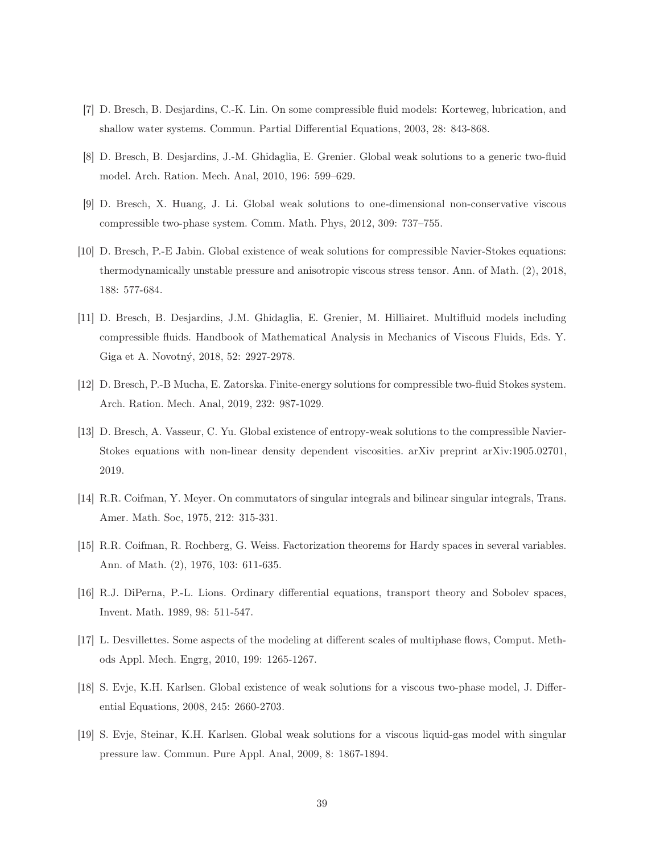- <span id="page-38-8"></span><span id="page-38-4"></span>[7] D. Bresch, B. Desjardins, C.-K. Lin. On some compressible fluid models: Korteweg, lubrication, and shallow water systems. Commun. Partial Differential Equations, 2003, 28: 843-868.
- <span id="page-38-6"></span>[8] D. Bresch, B. Desjardins, J.-M. Ghidaglia, E. Grenier. Global weak solutions to a generic two-fluid model. Arch. Ration. Mech. Anal, 2010, 196: 599–629.
- <span id="page-38-7"></span>[9] D. Bresch, X. Huang, J. Li. Global weak solutions to one-dimensional non-conservative viscous compressible two-phase system. Comm. Math. Phys, 2012, 309: 737–755.
- [10] D. Bresch, P.-E Jabin. Global existence of weak solutions for compressible Navier-Stokes equations: thermodynamically unstable pressure and anisotropic viscous stress tensor. Ann. of Math. (2), 2018, 188: 577-684.
- <span id="page-38-5"></span>[11] D. Bresch, B. Desjardins, J.M. Ghidaglia, E. Grenier, M. Hilliairet. Multifluid models including compressible fluids. Handbook of Mathematical Analysis in Mechanics of Viscous Fluids, Eds. Y. Giga et A. Novotný, 2018, 52: 2927-2978.
- <span id="page-38-9"></span><span id="page-38-1"></span>[12] D. Bresch, P.-B Mucha, E. Zatorska. Finite-energy solutions for compressible two-fluid Stokes system. Arch. Ration. Mech. Anal, 2019, 232: 987-1029.
- [13] D. Bresch, A. Vasseur, C. Yu. Global existence of entropy-weak solutions to the compressible Navier-Stokes equations with non-linear density dependent viscosities. arXiv preprint arXiv:1905.02701, 2019.
- <span id="page-38-12"></span><span id="page-38-11"></span>[14] R.R. Coifman, Y. Meyer. On commutators of singular integrals and bilinear singular integrals, Trans. Amer. Math. Soc, 1975, 212: 315-331.
- <span id="page-38-10"></span>[15] R.R. Coifman, R. Rochberg, G. Weiss. Factorization theorems for Hardy spaces in several variables. Ann. of Math. (2), 1976, 103: 611-635.
- <span id="page-38-0"></span>[16] R.J. DiPerna, P.-L. Lions. Ordinary differential equations, transport theory and Sobolev spaces, Invent. Math. 1989, 98: 511-547.
- <span id="page-38-2"></span>[17] L. Desvillettes. Some aspects of the modeling at different scales of multiphase flows, Comput. Methods Appl. Mech. Engrg, 2010, 199: 1265-1267.
- <span id="page-38-3"></span>[18] S. Evje, K.H. Karlsen. Global existence of weak solutions for a viscous two-phase model, J. Differential Equations, 2008, 245: 2660-2703.
- [19] S. Evje, Steinar, K.H. Karlsen. Global weak solutions for a viscous liquid-gas model with singular pressure law. Commun. Pure Appl. Anal, 2009, 8: 1867-1894.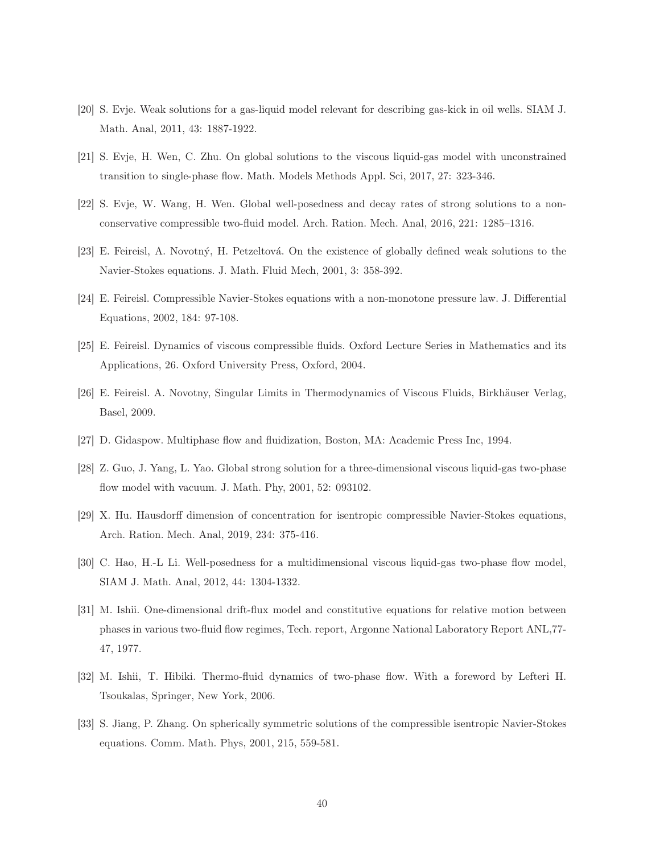- <span id="page-39-4"></span><span id="page-39-0"></span>[20] S. Evje. Weak solutions for a gas-liquid model relevant for describing gas-kick in oil wells. SIAM J. Math. Anal, 2011, 43: 1887-1922.
- <span id="page-39-7"></span>[21] S. Evje, H. Wen, C. Zhu. On global solutions to the viscous liquid-gas model with unconstrained transition to single-phase flow. Math. Models Methods Appl. Sci, 2017, 27: 323-346.
- <span id="page-39-8"></span>[22] S. Evje, W. Wang, H. Wen. Global well-posedness and decay rates of strong solutions to a nonconservative compressible two-fluid model. Arch. Ration. Mech. Anal, 2016, 221: 1285–1316.
- <span id="page-39-9"></span>[23] E. Feireisl, A. Novotný, H. Petzeltová. On the existence of globally defined weak solutions to the Navier-Stokes equations. J. Math. Fluid Mech, 2001, 3: 358-392.
- <span id="page-39-12"></span>[24] E. Feireisl. Compressible Navier-Stokes equations with a non-monotone pressure law. J. Differential Equations, 2002, 184: 97-108.
- <span id="page-39-13"></span>[25] E. Feireisl. Dynamics of viscous compressible fluids. Oxford Lecture Series in Mathematics and its Applications, 26. Oxford University Press, Oxford, 2004.
- <span id="page-39-1"></span>[26] E. Feireisl. A. Novotny, Singular Limits in Thermodynamics of Viscous Fluids, Birkh¨auser Verlag, Basel, 2009.
- <span id="page-39-5"></span>[27] D. Gidaspow. Multiphase flow and fluidization, Boston, MA: Academic Press Inc, 1994.
- <span id="page-39-10"></span>[28] Z. Guo, J. Yang, L. Yao. Global strong solution for a three-dimensional viscous liquid-gas two-phase flow model with vacuum. J. Math. Phy, 2001, 52: 093102.
- <span id="page-39-6"></span>[29] X. Hu. Hausdorff dimension of concentration for isentropic compressible Navier-Stokes equations, Arch. Ration. Mech. Anal, 2019, 234: 375-416.
- <span id="page-39-2"></span>[30] C. Hao, H.-L Li. Well-posedness for a multidimensional viscous liquid-gas two-phase flow model, SIAM J. Math. Anal, 2012, 44: 1304-1332.
- [31] M. Ishii. One-dimensional drift-flux model and constitutive equations for relative motion between phases in various two-fluid flow regimes, Tech. report, Argonne National Laboratory Report ANL,77- 47, 1977.
- <span id="page-39-11"></span><span id="page-39-3"></span>[32] M. Ishii, T. Hibiki. Thermo-fluid dynamics of two-phase flow. With a foreword by Lefteri H. Tsoukalas, Springer, New York, 2006.
- [33] S. Jiang, P. Zhang. On spherically symmetric solutions of the compressible isentropic Navier-Stokes equations. Comm. Math. Phys, 2001, 215, 559-581.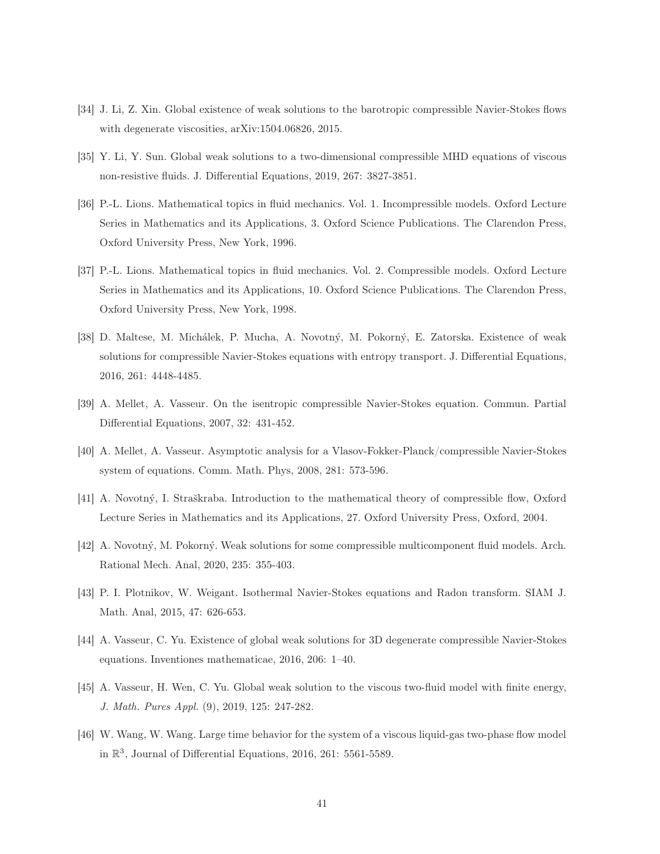- <span id="page-40-8"></span><span id="page-40-4"></span>[34] J. Li, Z. Xin. Global existence of weak solutions to the barotropic compressible Navier-Stokes flows with degenerate viscosities, arXiv:1504.06826, 2015.
- <span id="page-40-12"></span>[35] Y. Li, Y. Sun. Global weak solutions to a two-dimensional compressible MHD equations of viscous non-resistive fluids. J. Differential Equations, 2019, 267: 3827-3851.
- [36] P.-L. Lions. Mathematical topics in fluid mechanics. Vol. 1. Incompressible models. Oxford Lecture Series in Mathematics and its Applications, 3. Oxford Science Publications. The Clarendon Press, Oxford University Press, New York, 1996.
- <span id="page-40-6"></span>[37] P.-L. Lions. Mathematical topics in fluid mechanics. Vol. 2. Compressible models. Oxford Lecture Series in Mathematics and its Applications, 10. Oxford Science Publications. The Clarendon Press, Oxford University Press, New York, 1998.
- <span id="page-40-5"></span>[38] D. Maltese, M. Michálek, P. Mucha, A. Novotný, M. Pokorný, E. Zatorska. Existence of weak solutions for compressible Navier-Stokes equations with entropy transport. J. Differential Equations, 2016, 261: 4448-4485.
- <span id="page-40-9"></span><span id="page-40-0"></span>[39] A. Mellet, A. Vasseur. On the isentropic compressible Navier-Stokes equation. Commun. Partial Differential Equations, 2007, 32: 431-452.
- <span id="page-40-11"></span>[40] A. Mellet, A. Vasseur. Asymptotic analysis for a Vlasov-Fokker-Planck/compressible Navier-Stokes system of equations. Comm. Math. Phys, 2008, 281: 573-596.
- <span id="page-40-1"></span>[41] A. Novotný, I. Straškraba. Introduction to the mathematical theory of compressible flow, Oxford Lecture Series in Mathematics and its Applications, 27. Oxford University Press, Oxford, 2004.
- <span id="page-40-7"></span>[42] A. Novotný, M. Pokorný. Weak solutions for some compressible multicomponent fluid models. Arch. Rational Mech. Anal, 2020, 235: 355-403.
- <span id="page-40-10"></span>[43] P. I. Plotnikov, W. Weigant. Isothermal Navier-Stokes equations and Radon transform. SIAM J. Math. Anal, 2015, 47: 626-653.
- <span id="page-40-2"></span>[44] A. Vasseur, C. Yu. Existence of global weak solutions for 3D degenerate compressible Navier-Stokes equations. Inventiones mathematicae, 2016, 206: 1–40.
- <span id="page-40-3"></span>[45] A. Vasseur, H. Wen, C. Yu. Global weak solution to the viscous two-fluid model with finite energy, J. Math. Pures Appl. (9), 2019, 125: 247-282.
- [46] W. Wang, W. Wang. Large time behavior for the system of a viscous liquid-gas two-phase flow model in  $\mathbb{R}^3$ , Journal of Differential Equations, 2016, 261: 5561-5589.